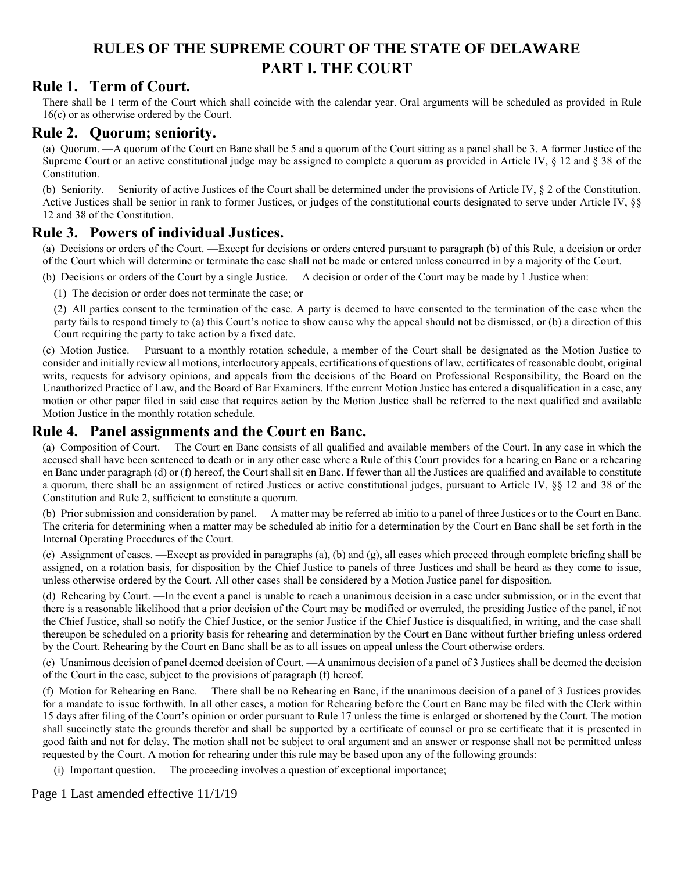# **RULES OF THE SUPREME COURT OF THE STATE OF DELAWARE PART I. THE COURT**

## **Rule 1. Term of Court.**

There shall be 1 term of the Court which shall coincide with the calendar year. Oral arguments will be scheduled as provided in Rule 16(c) or as otherwise ordered by the Court.

#### **Rule 2. Quorum; seniority.**

(a) Quorum. —A quorum of the Court en Banc shall be 5 and a quorum of the Court sitting as a panel shall be 3. A former Justice of the Supreme Court or an active constitutional judge may be assigned to complete a quorum as provided in Article IV, § 12 and § 38 of the Constitution.

(b) Seniority. —Seniority of active Justices of the Court shall be determined under the provisions of Article IV, § 2 of the Constitution. Active Justices shall be senior in rank to former Justices, or judges of the constitutional courts designated to serve under Article IV, §§ 12 and 38 of the Constitution.

#### **Rule 3. Powers of individual Justices.**

(a) Decisions or orders of the Court. —Except for decisions or orders entered pursuant to paragraph (b) of this Rule, a decision or order of the Court which will determine or terminate the case shall not be made or entered unless concurred in by a majority of the Court.

(b) Decisions or orders of the Court by a single Justice. —A decision or order of the Court may be made by 1 Justice when:

(1) The decision or order does not terminate the case; or

(2) All parties consent to the termination of the case. A party is deemed to have consented to the termination of the case when the party fails to respond timely to (a) this Court's notice to show cause why the appeal should not be dismissed, or (b) a direction of this Court requiring the party to take action by a fixed date.

(c) Motion Justice. —Pursuant to a monthly rotation schedule, a member of the Court shall be designated as the Motion Justice to consider and initially review all motions, interlocutory appeals, certifications of questions of law, certificates of reasonable doubt, original writs, requests for advisory opinions, and appeals from the decisions of the Board on Professional Responsibility, the Board on the Unauthorized Practice of Law, and the Board of Bar Examiners. If the current Motion Justice has entered a disqualification in a case, any motion or other paper filed in said case that requires action by the Motion Justice shall be referred to the next qualified and available Motion Justice in the monthly rotation schedule.

#### **Rule 4. Panel assignments and the Court en Banc.**

(a) Composition of Court. —The Court en Banc consists of all qualified and available members of the Court. In any case in which the accused shall have been sentenced to death or in any other case where a Rule of this Court provides for a hearing en Banc or a rehearing en Banc under paragraph (d) or (f) hereof, the Court shall sit en Banc. If fewer than all the Justices are qualified and available to constitute a quorum, there shall be an assignment of retired Justices or active constitutional judges, pursuant to Article IV, §§ 12 and 38 of the Constitution and Rule 2, sufficient to constitute a quorum.

(b) Prior submission and consideration by panel. —A matter may be referred ab initio to a panel of three Justices or to the Court en Banc. The criteria for determining when a matter may be scheduled ab initio for a determination by the Court en Banc shall be set forth in the Internal Operating Procedures of the Court.

(c) Assignment of cases. —Except as provided in paragraphs (a), (b) and (g), all cases which proceed through complete briefing shall be assigned, on a rotation basis, for disposition by the Chief Justice to panels of three Justices and shall be heard as they come to issue, unless otherwise ordered by the Court. All other cases shall be considered by a Motion Justice panel for disposition.

(d) Rehearing by Court. —In the event a panel is unable to reach a unanimous decision in a case under submission, or in the event that there is a reasonable likelihood that a prior decision of the Court may be modified or overruled, the presiding Justice of the panel, if not the Chief Justice, shall so notify the Chief Justice, or the senior Justice if the Chief Justice is disqualified, in writing, and the case shall thereupon be scheduled on a priority basis for rehearing and determination by the Court en Banc without further briefing unless ordered by the Court. Rehearing by the Court en Banc shall be as to all issues on appeal unless the Court otherwise orders.

(e) Unanimous decision of panel deemed decision of Court. —A unanimous decision of a panel of 3 Justices shall be deemed the decision of the Court in the case, subject to the provisions of paragraph (f) hereof.

(f) Motion for Rehearing en Banc. —There shall be no Rehearing en Banc, if the unanimous decision of a panel of 3 Justices provides for a mandate to issue forthwith. In all other cases, a motion for Rehearing before the Court en Banc may be filed with the Clerk within 15 days after filing of the Court's opinion or order pursuant to Rule 17 unless the time is enlarged or shortened by the Court. The motion shall succinctly state the grounds therefor and shall be supported by a certificate of counsel or pro se certificate that it is presented in good faith and not for delay. The motion shall not be subject to oral argument and an answer or response shall not be permitted unless requested by the Court. A motion for rehearing under this rule may be based upon any of the following grounds:

(i) Important question. —The proceeding involves a question of exceptional importance;

Page 1 Last amended effective 11/1/19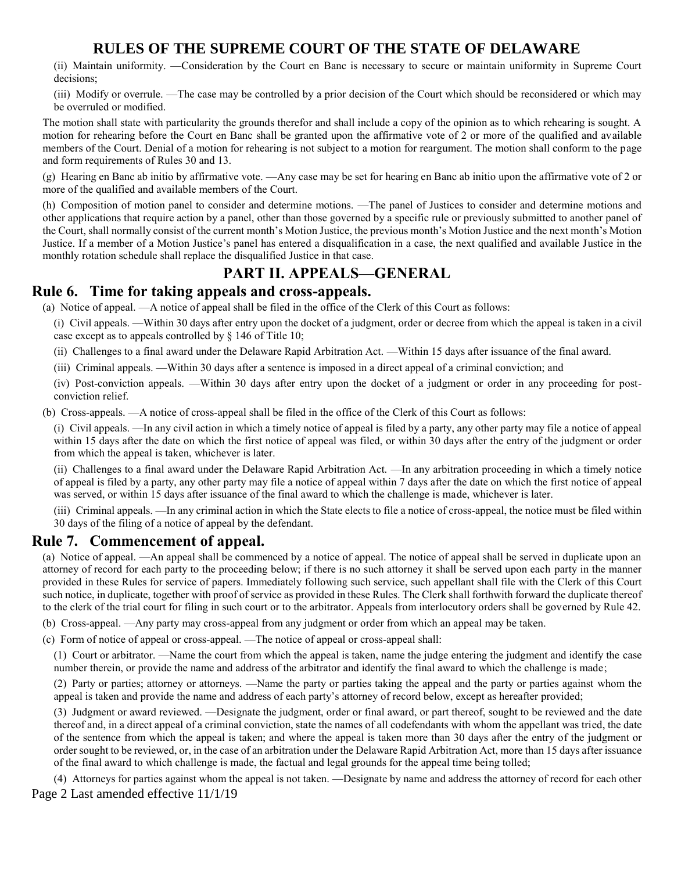(ii) Maintain uniformity. —Consideration by the Court en Banc is necessary to secure or maintain uniformity in Supreme Court decisions;

(iii) Modify or overrule. —The case may be controlled by a prior decision of the Court which should be reconsidered or which may be overruled or modified.

The motion shall state with particularity the grounds therefor and shall include a copy of the opinion as to which rehearing is sought. A motion for rehearing before the Court en Banc shall be granted upon the affirmative vote of 2 or more of the qualified and available members of the Court. Denial of a motion for rehearing is not subject to a motion for reargument. The motion shall conform to the page and form requirements of Rules 30 and 13.

(g) Hearing en Banc ab initio by affirmative vote. —Any case may be set for hearing en Banc ab initio upon the affirmative vote of 2 or more of the qualified and available members of the Court.

(h) Composition of motion panel to consider and determine motions. —The panel of Justices to consider and determine motions and other applications that require action by a panel, other than those governed by a specific rule or previously submitted to another panel of the Court, shall normally consist of the current month's Motion Justice, the previous month's Motion Justice and the next month's Motion Justice. If a member of a Motion Justice's panel has entered a disqualification in a case, the next qualified and available Justice in the monthly rotation schedule shall replace the disqualified Justice in that case.

# **PART II. APPEALS—GENERAL**

#### **Rule 6. Time for taking appeals and cross-appeals.**

(a) Notice of appeal. —A notice of appeal shall be filed in the office of the Clerk of this Court as follows:

- (i) Civil appeals. —Within 30 days after entry upon the docket of a judgment, order or decree from which the appeal is taken in a civil case except as to appeals controlled by § 146 of Title 10;
- (ii) Challenges to a final award under the Delaware Rapid Arbitration Act. —Within 15 days after issuance of the final award.
- (iii) Criminal appeals. —Within 30 days after a sentence is imposed in a direct appeal of a criminal conviction; and

(iv) Post-conviction appeals. —Within 30 days after entry upon the docket of a judgment or order in any proceeding for postconviction relief.

(b) Cross-appeals. —A notice of cross-appeal shall be filed in the office of the Clerk of this Court as follows:

(i) Civil appeals. —In any civil action in which a timely notice of appeal is filed by a party, any other party may file a notice of appeal within 15 days after the date on which the first notice of appeal was filed, or within 30 days after the entry of the judgment or order from which the appeal is taken, whichever is later.

(ii) Challenges to a final award under the Delaware Rapid Arbitration Act. —In any arbitration proceeding in which a timely notice of appeal is filed by a party, any other party may file a notice of appeal within 7 days after the date on which the first notice of appeal was served, or within 15 days after issuance of the final award to which the challenge is made, whichever is later.

(iii) Criminal appeals. —In any criminal action in which the State elects to file a notice of cross-appeal, the notice must be filed within 30 days of the filing of a notice of appeal by the defendant.

#### **Rule 7. Commencement of appeal.**

(a) Notice of appeal. —An appeal shall be commenced by a notice of appeal. The notice of appeal shall be served in duplicate upon an attorney of record for each party to the proceeding below; if there is no such attorney it shall be served upon each party in the manner provided in these Rules for service of papers. Immediately following such service, such appellant shall file with the Clerk of this Court such notice, in duplicate, together with proof of service as provided in these Rules. The Clerk shall forthwith forward the duplicate thereof to the clerk of the trial court for filing in such court or to the arbitrator. Appeals from interlocutory orders shall be governed by Rule 42.

(b) Cross-appeal. —Any party may cross-appeal from any judgment or order from which an appeal may be taken.

(c) Form of notice of appeal or cross-appeal. —The notice of appeal or cross-appeal shall:

(1) Court or arbitrator. —Name the court from which the appeal is taken, name the judge entering the judgment and identify the case number therein, or provide the name and address of the arbitrator and identify the final award to which the challenge is made;

(2) Party or parties; attorney or attorneys. —Name the party or parties taking the appeal and the party or parties against whom the appeal is taken and provide the name and address of each party's attorney of record below, except as hereafter provided;

(3) Judgment or award reviewed. —Designate the judgment, order or final award, or part thereof, sought to be reviewed and the date thereof and, in a direct appeal of a criminal conviction, state the names of all codefendants with whom the appellant was tried, the date of the sentence from which the appeal is taken; and where the appeal is taken more than 30 days after the entry of the judgment or order sought to be reviewed, or, in the case of an arbitration under the Delaware Rapid Arbitration Act, more than 15 days after issuance of the final award to which challenge is made, the factual and legal grounds for the appeal time being tolled;

Page 2 Last amended effective 11/1/19 (4) Attorneys for parties against whom the appeal is not taken. —Designate by name and address the attorney of record for each other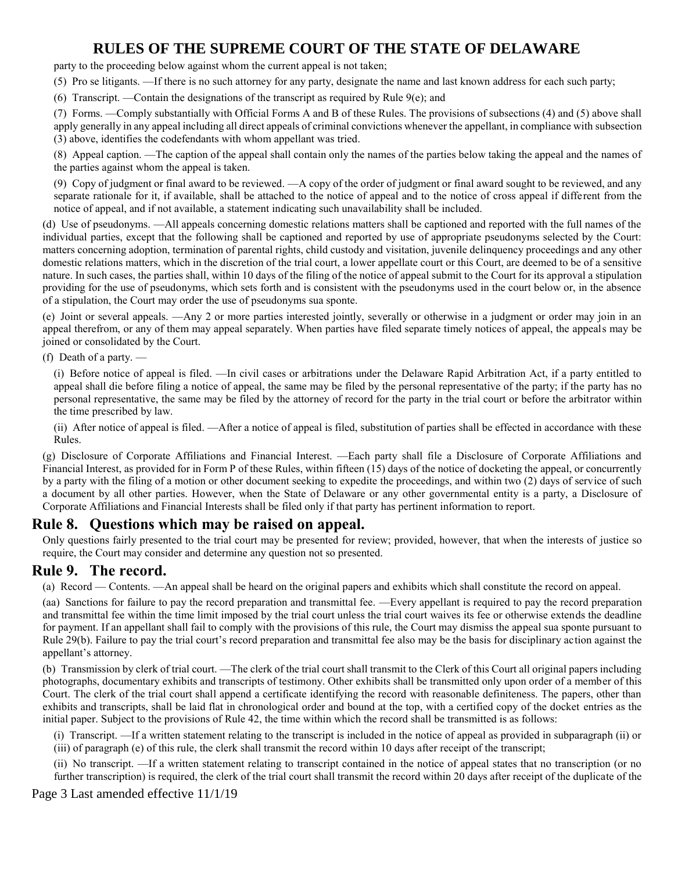party to the proceeding below against whom the current appeal is not taken;

(5) Pro se litigants. —If there is no such attorney for any party, designate the name and last known address for each such party;

(6) Transcript. —Contain the designations of the transcript as required by Rule 9(e); and

(7) Forms. —Comply substantially with Official Forms A and B of these Rules. The provisions of subsections (4) and (5) above shall apply generally in any appeal including all direct appeals of criminal convictions whenever the appellant, in compliance with subsection (3) above, identifies the codefendants with whom appellant was tried.

(8) Appeal caption. —The caption of the appeal shall contain only the names of the parties below taking the appeal and the names of the parties against whom the appeal is taken.

(9) Copy of judgment or final award to be reviewed. —A copy of the order of judgment or final award sought to be reviewed, and any separate rationale for it, if available, shall be attached to the notice of appeal and to the notice of cross appeal if different from the notice of appeal, and if not available, a statement indicating such unavailability shall be included.

(d) Use of pseudonyms. —All appeals concerning domestic relations matters shall be captioned and reported with the full names of the individual parties, except that the following shall be captioned and reported by use of appropriate pseudonyms selected by the Court: matters concerning adoption, termination of parental rights, child custody and visitation, juvenile delinquency proceedings and any other domestic relations matters, which in the discretion of the trial court, a lower appellate court or this Court, are deemed to be of a sensitive nature. In such cases, the parties shall, within 10 days of the filing of the notice of appeal submit to the Court for its approval a stipulation providing for the use of pseudonyms, which sets forth and is consistent with the pseudonyms used in the court below or, in the absence of a stipulation, the Court may order the use of pseudonyms sua sponte.

(e) Joint or several appeals. —Any 2 or more parties interested jointly, severally or otherwise in a judgment or order may join in an appeal therefrom, or any of them may appeal separately. When parties have filed separate timely notices of appeal, the appeals may be joined or consolidated by the Court.

(f) Death of a party. —

(i) Before notice of appeal is filed. —In civil cases or arbitrations under the Delaware Rapid Arbitration Act, if a party entitled to appeal shall die before filing a notice of appeal, the same may be filed by the personal representative of the party; if the party has no personal representative, the same may be filed by the attorney of record for the party in the trial court or before the arbitrator within the time prescribed by law.

(ii) After notice of appeal is filed. —After a notice of appeal is filed, substitution of parties shall be effected in accordance with these Rules.

(g) Disclosure of Corporate Affiliations and Financial Interest. —Each party shall file a Disclosure of Corporate Affiliations and Financial Interest, as provided for in Form P of these Rules, within fifteen (15) days of the notice of docketing the appeal, or concurrently by a party with the filing of a motion or other document seeking to expedite the proceedings, and within two (2) days of service of such a document by all other parties. However, when the State of Delaware or any other governmental entity is a party, a Disclosure of Corporate Affiliations and Financial Interests shall be filed only if that party has pertinent information to report.

#### **Rule 8. Questions which may be raised on appeal.**

Only questions fairly presented to the trial court may be presented for review; provided, however, that when the interests of justice so require, the Court may consider and determine any question not so presented.

### **Rule 9. The record.**

(a) Record — Contents. —An appeal shall be heard on the original papers and exhibits which shall constitute the record on appeal.

(aa) Sanctions for failure to pay the record preparation and transmittal fee. —Every appellant is required to pay the record preparation and transmittal fee within the time limit imposed by the trial court unless the trial court waives its fee or otherwise extends the deadline for payment. If an appellant shall fail to comply with the provisions of this rule, the Court may dismiss the appeal sua sponte pursuant to Rule 29(b). Failure to pay the trial court's record preparation and transmittal fee also may be the basis for disciplinary action against the appellant's attorney.

(b) Transmission by clerk of trial court. —The clerk of the trial court shall transmit to the Clerk of this Court all original papers including photographs, documentary exhibits and transcripts of testimony. Other exhibits shall be transmitted only upon order of a member of this Court. The clerk of the trial court shall append a certificate identifying the record with reasonable definiteness. The papers, other than exhibits and transcripts, shall be laid flat in chronological order and bound at the top, with a certified copy of the docket entries as the initial paper. Subject to the provisions of Rule 42, the time within which the record shall be transmitted is as follows:

(i) Transcript. —If a written statement relating to the transcript is included in the notice of appeal as provided in subparagraph (ii) or (iii) of paragraph (e) of this rule, the clerk shall transmit the record within 10 days after receipt of the transcript;

(ii) No transcript. —If a written statement relating to transcript contained in the notice of appeal states that no transcription (or no further transcription) is required, the clerk of the trial court shall transmit the record within 20 days after receipt of the duplicate of the

Page 3 Last amended effective 11/1/19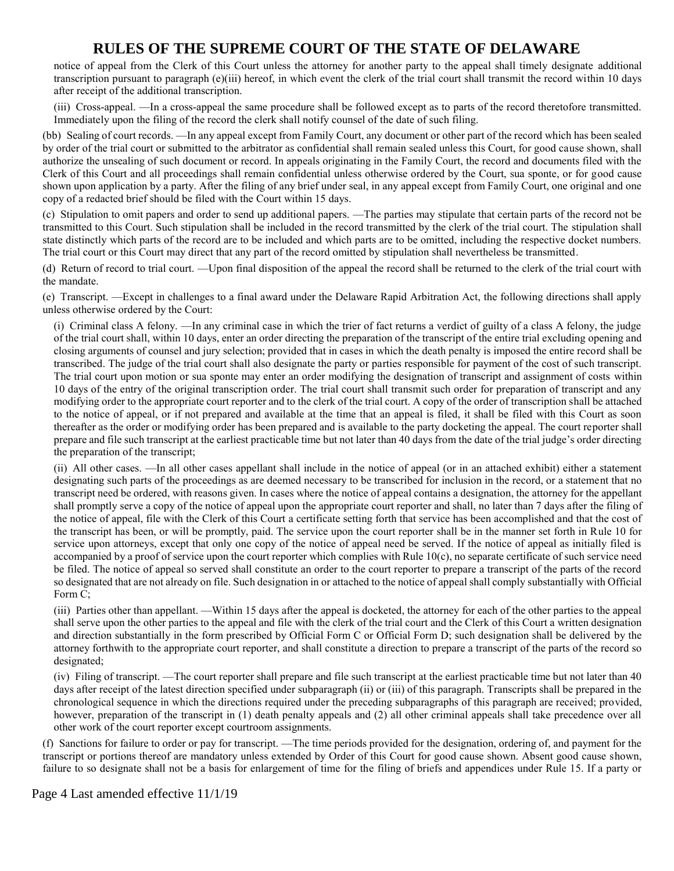notice of appeal from the Clerk of this Court unless the attorney for another party to the appeal shall timely designate additional transcription pursuant to paragraph (e)(iii) hereof, in which event the clerk of the trial court shall transmit the record within 10 days after receipt of the additional transcription.

(iii) Cross-appeal. —In a cross-appeal the same procedure shall be followed except as to parts of the record theretofore transmitted. Immediately upon the filing of the record the clerk shall notify counsel of the date of such filing.

(bb) Sealing of court records. —In any appeal except from Family Court, any document or other part of the record which has been sealed by order of the trial court or submitted to the arbitrator as confidential shall remain sealed unless this Court, for good cause shown, shall authorize the unsealing of such document or record. In appeals originating in the Family Court, the record and documents filed with the Clerk of this Court and all proceedings shall remain confidential unless otherwise ordered by the Court, sua sponte, or for good cause shown upon application by a party. After the filing of any brief under seal, in any appeal except from Family Court, one original and one copy of a redacted brief should be filed with the Court within 15 days.

(c) Stipulation to omit papers and order to send up additional papers. —The parties may stipulate that certain parts of the record not be transmitted to this Court. Such stipulation shall be included in the record transmitted by the clerk of the trial court. The stipulation shall state distinctly which parts of the record are to be included and which parts are to be omitted, including the respective docket numbers. The trial court or this Court may direct that any part of the record omitted by stipulation shall nevertheless be transmitted.

(d) Return of record to trial court. —Upon final disposition of the appeal the record shall be returned to the clerk of the trial court with the mandate.

(e) Transcript. —Except in challenges to a final award under the Delaware Rapid Arbitration Act, the following directions shall apply unless otherwise ordered by the Court:

(i) Criminal class A felony. —In any criminal case in which the trier of fact returns a verdict of guilty of a class A felony, the judge of the trial court shall, within 10 days, enter an order directing the preparation of the transcript of the entire trial excluding opening and closing arguments of counsel and jury selection; provided that in cases in which the death penalty is imposed the entire record shall be transcribed. The judge of the trial court shall also designate the party or parties responsible for payment of the cost of such transcript. The trial court upon motion or sua sponte may enter an order modifying the designation of transcript and assignment of costs within 10 days of the entry of the original transcription order. The trial court shall transmit such order for preparation of transcript and any modifying order to the appropriate court reporter and to the clerk of the trial court. A copy of the order of transcription shall be attached to the notice of appeal, or if not prepared and available at the time that an appeal is filed, it shall be filed with this Court as soon thereafter as the order or modifying order has been prepared and is available to the party docketing the appeal. The court reporter shall prepare and file such transcript at the earliest practicable time but not later than 40 days from the date of the trial judge's order directing the preparation of the transcript;

(ii) All other cases. —In all other cases appellant shall include in the notice of appeal (or in an attached exhibit) either a statement designating such parts of the proceedings as are deemed necessary to be transcribed for inclusion in the record, or a statement that no transcript need be ordered, with reasons given. In cases where the notice of appeal contains a designation, the attorney for the appellant shall promptly serve a copy of the notice of appeal upon the appropriate court reporter and shall, no later than 7 days after the filing of the notice of appeal, file with the Clerk of this Court a certificate setting forth that service has been accomplished and that the cost of the transcript has been, or will be promptly, paid. The service upon the court reporter shall be in the manner set forth in Rule 10 for service upon attorneys, except that only one copy of the notice of appeal need be served. If the notice of appeal as initially filed is accompanied by a proof of service upon the court reporter which complies with Rule 10(c), no separate certificate of such service need be filed. The notice of appeal so served shall constitute an order to the court reporter to prepare a transcript of the parts of the record so designated that are not already on file. Such designation in or attached to the notice of appeal shall comply substantially with Official Form C;

(iii) Parties other than appellant. —Within 15 days after the appeal is docketed, the attorney for each of the other parties to the appeal shall serve upon the other parties to the appeal and file with the clerk of the trial court and the Clerk of this Court a written designation and direction substantially in the form prescribed by Official Form C or Official Form D; such designation shall be delivered by the attorney forthwith to the appropriate court reporter, and shall constitute a direction to prepare a transcript of the parts of the record so designated;

(iv) Filing of transcript. —The court reporter shall prepare and file such transcript at the earliest practicable time but not later than 40 days after receipt of the latest direction specified under subparagraph (ii) or (iii) of this paragraph. Transcripts shall be prepared in the chronological sequence in which the directions required under the preceding subparagraphs of this paragraph are received; provided, however, preparation of the transcript in (1) death penalty appeals and (2) all other criminal appeals shall take precedence over all other work of the court reporter except courtroom assignments.

(f) Sanctions for failure to order or pay for transcript. —The time periods provided for the designation, ordering of, and payment for the transcript or portions thereof are mandatory unless extended by Order of this Court for good cause shown. Absent good cause shown, failure to so designate shall not be a basis for enlargement of time for the filing of briefs and appendices under Rule 15. If a party or

Page 4 Last amended effective 11/1/19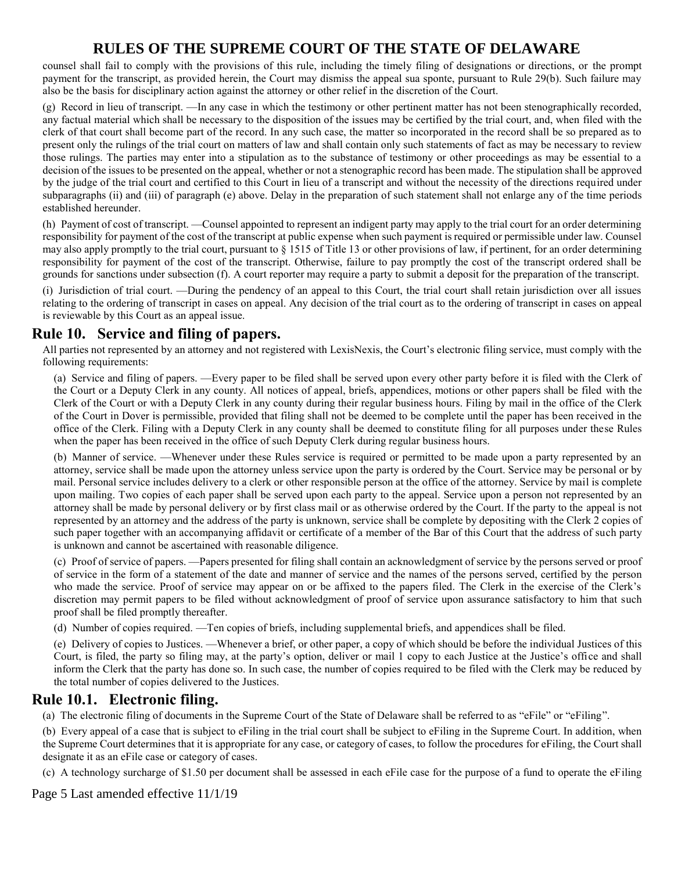counsel shall fail to comply with the provisions of this rule, including the timely filing of designations or directions, or the prompt payment for the transcript, as provided herein, the Court may dismiss the appeal sua sponte, pursuant to Rule 29(b). Such failure may also be the basis for disciplinary action against the attorney or other relief in the discretion of the Court.

(g) Record in lieu of transcript. —In any case in which the testimony or other pertinent matter has not been stenographically recorded, any factual material which shall be necessary to the disposition of the issues may be certified by the trial court, and, when filed with the clerk of that court shall become part of the record. In any such case, the matter so incorporated in the record shall be so prepared as to present only the rulings of the trial court on matters of law and shall contain only such statements of fact as may be necessary to review those rulings. The parties may enter into a stipulation as to the substance of testimony or other proceedings as may be essential to a decision of the issues to be presented on the appeal, whether or not a stenographic record has been made. The stipulation shall be approved by the judge of the trial court and certified to this Court in lieu of a transcript and without the necessity of the directions required under subparagraphs (ii) and (iii) of paragraph (e) above. Delay in the preparation of such statement shall not enlarge any of the time periods established hereunder.

(h) Payment of cost of transcript. —Counsel appointed to represent an indigent party may apply to the trial court for an order determining responsibility for payment of the cost of the transcript at public expense when such payment is required or permissible under law. Counsel may also apply promptly to the trial court, pursuant to § 1515 of Title 13 or other provisions of law, if pertinent, for an order determining responsibility for payment of the cost of the transcript. Otherwise, failure to pay promptly the cost of the transcript ordered shall be grounds for sanctions under subsection (f). A court reporter may require a party to submit a deposit for the preparation of the transcript.

(i) Jurisdiction of trial court. —During the pendency of an appeal to this Court, the trial court shall retain jurisdiction over all issues relating to the ordering of transcript in cases on appeal. Any decision of the trial court as to the ordering of transcript in cases on appeal is reviewable by this Court as an appeal issue.

## **Rule 10. Service and filing of papers.**

All parties not represented by an attorney and not registered with LexisNexis, the Court's electronic filing service, must comply with the following requirements:

(a) Service and filing of papers. —Every paper to be filed shall be served upon every other party before it is filed with the Clerk of the Court or a Deputy Clerk in any county. All notices of appeal, briefs, appendices, motions or other papers shall be filed with the Clerk of the Court or with a Deputy Clerk in any county during their regular business hours. Filing by mail in the office of the Clerk of the Court in Dover is permissible, provided that filing shall not be deemed to be complete until the paper has been received in the office of the Clerk. Filing with a Deputy Clerk in any county shall be deemed to constitute filing for all purposes under these Rules when the paper has been received in the office of such Deputy Clerk during regular business hours.

(b) Manner of service. —Whenever under these Rules service is required or permitted to be made upon a party represented by an attorney, service shall be made upon the attorney unless service upon the party is ordered by the Court. Service may be personal or by mail. Personal service includes delivery to a clerk or other responsible person at the office of the attorney. Service by mail is complete upon mailing. Two copies of each paper shall be served upon each party to the appeal. Service upon a person not represented by an attorney shall be made by personal delivery or by first class mail or as otherwise ordered by the Court. If the party to the appeal is not represented by an attorney and the address of the party is unknown, service shall be complete by depositing with the Clerk 2 copies of such paper together with an accompanying affidavit or certificate of a member of the Bar of this Court that the address of such party is unknown and cannot be ascertained with reasonable diligence.

(c) Proof of service of papers. —Papers presented for filing shall contain an acknowledgment of service by the persons served or proof of service in the form of a statement of the date and manner of service and the names of the persons served, certified by the person who made the service. Proof of service may appear on or be affixed to the papers filed. The Clerk in the exercise of the Clerk's discretion may permit papers to be filed without acknowledgment of proof of service upon assurance satisfactory to him that such proof shall be filed promptly thereafter.

(d) Number of copies required. —Ten copies of briefs, including supplemental briefs, and appendices shall be filed.

(e) Delivery of copies to Justices. —Whenever a brief, or other paper, a copy of which should be before the individual Justices of this Court, is filed, the party so filing may, at the party's option, deliver or mail 1 copy to each Justice at the Justice's office and shall inform the Clerk that the party has done so. In such case, the number of copies required to be filed with the Clerk may be reduced by the total number of copies delivered to the Justices.

#### **Rule 10.1. Electronic filing.**

(a) The electronic filing of documents in the Supreme Court of the State of Delaware shall be referred to as "eFile" or "eFiling".

(b) Every appeal of a case that is subject to eFiling in the trial court shall be subject to eFiling in the Supreme Court. In addition, when the Supreme Court determines that it is appropriate for any case, or category of cases, to follow the procedures for eFiling, the Court shall designate it as an eFile case or category of cases.

(c) A technology surcharge of \$1.50 per document shall be assessed in each eFile case for the purpose of a fund to operate the eFiling

Page 5 Last amended effective 11/1/19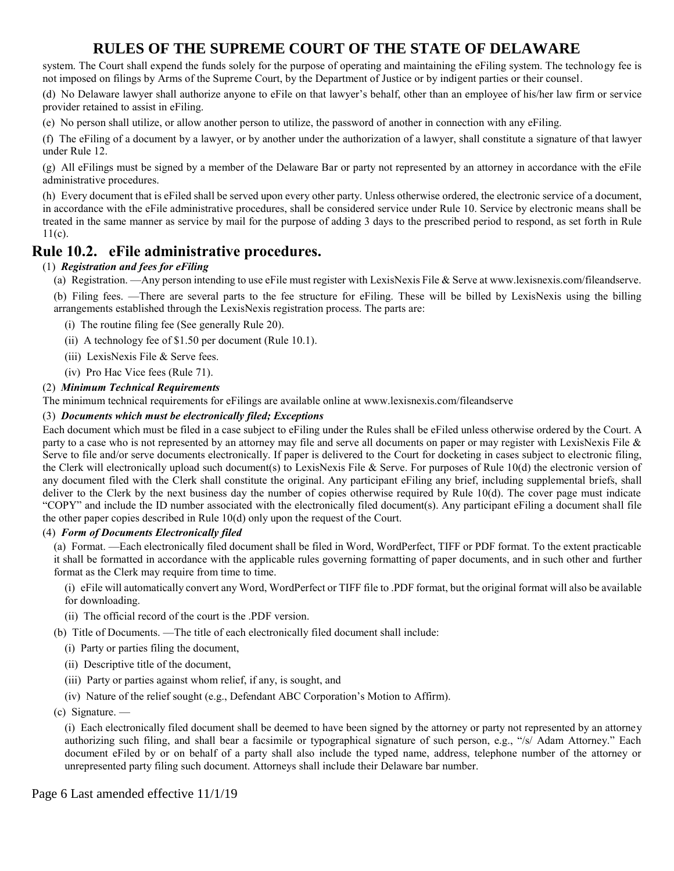system. The Court shall expend the funds solely for the purpose of operating and maintaining the eFiling system. The technology fee is not imposed on filings by Arms of the Supreme Court, by the Department of Justice or by indigent parties or their counsel.

(d) No Delaware lawyer shall authorize anyone to eFile on that lawyer's behalf, other than an employee of his/her law firm or service provider retained to assist in eFiling.

(e) No person shall utilize, or allow another person to utilize, the password of another in connection with any eFiling.

(f) The eFiling of a document by a lawyer, or by another under the authorization of a lawyer, shall constitute a signature of that lawyer under Rule 12.

(g) All eFilings must be signed by a member of the Delaware Bar or party not represented by an attorney in accordance with the eFile administrative procedures.

(h) Every document that is eFiled shall be served upon every other party. Unless otherwise ordered, the electronic service of a document, in accordance with the eFile administrative procedures, shall be considered service under Rule 10. Service by electronic means shall be treated in the same manner as service by mail for the purpose of adding 3 days to the prescribed period to respond, as set forth in Rule 11(c).

#### **Rule 10.2. eFile administrative procedures.**

#### (1) *Registration and fees for eFiling*

(a) Registration. —Any person intending to use eFile must register with LexisNexis File & Serve at www.lexisnexis.com/fileandserve.

(b) Filing fees. —There are several parts to the fee structure for eFiling. These will be billed by LexisNexis using the billing arrangements established through the LexisNexis registration process. The parts are:

- (i) The routine filing fee (See generally Rule 20).
- (ii) A technology fee of \$1.50 per document (Rule 10.1).
- (iii) LexisNexis File & Serve fees.
- (iv) Pro Hac Vice fees (Rule 71).

#### (2) *Minimum Technical Requirements*

The minimum technical requirements for eFilings are available online at www.lexisnexis.com/fileandserve

#### (3) *Documents which must be electronically filed; Exceptions*

Each document which must be filed in a case subject to eFiling under the Rules shall be eFiled unless otherwise ordered by the Court. A party to a case who is not represented by an attorney may file and serve all documents on paper or may register with LexisNexis File  $\&$ Serve to file and/or serve documents electronically. If paper is delivered to the Court for docketing in cases subject to electronic filing, the Clerk will electronically upload such document(s) to LexisNexis File & Serve. For purposes of Rule 10(d) the electronic version of any document filed with the Clerk shall constitute the original. Any participant eFiling any brief, including supplemental briefs, shall deliver to the Clerk by the next business day the number of copies otherwise required by Rule 10(d). The cover page must indicate "COPY" and include the ID number associated with the electronically filed document(s). Any participant eFiling a document shall file the other paper copies described in Rule 10(d) only upon the request of the Court.

#### (4) *Form of Documents Electronically filed*

(a) Format. —Each electronically filed document shall be filed in Word, WordPerfect, TIFF or PDF format. To the extent practicable it shall be formatted in accordance with the applicable rules governing formatting of paper documents, and in such other and further format as the Clerk may require from time to time.

(i) eFile will automatically convert any Word, WordPerfect or TIFF file to .PDF format, but the original format will also be available for downloading.

- (ii) The official record of the court is the .PDF version.
- (b) Title of Documents. —The title of each electronically filed document shall include:
	- (i) Party or parties filing the document,
	- (ii) Descriptive title of the document,
	- (iii) Party or parties against whom relief, if any, is sought, and
	- (iv) Nature of the relief sought (e.g., Defendant ABC Corporation's Motion to Affirm).
- (c) Signature. —

(i) Each electronically filed document shall be deemed to have been signed by the attorney or party not represented by an attorney authorizing such filing, and shall bear a facsimile or typographical signature of such person, e.g., "/s/ Adam Attorney." Each document eFiled by or on behalf of a party shall also include the typed name, address, telephone number of the attorney or unrepresented party filing such document. Attorneys shall include their Delaware bar number.

Page 6 Last amended effective 11/1/19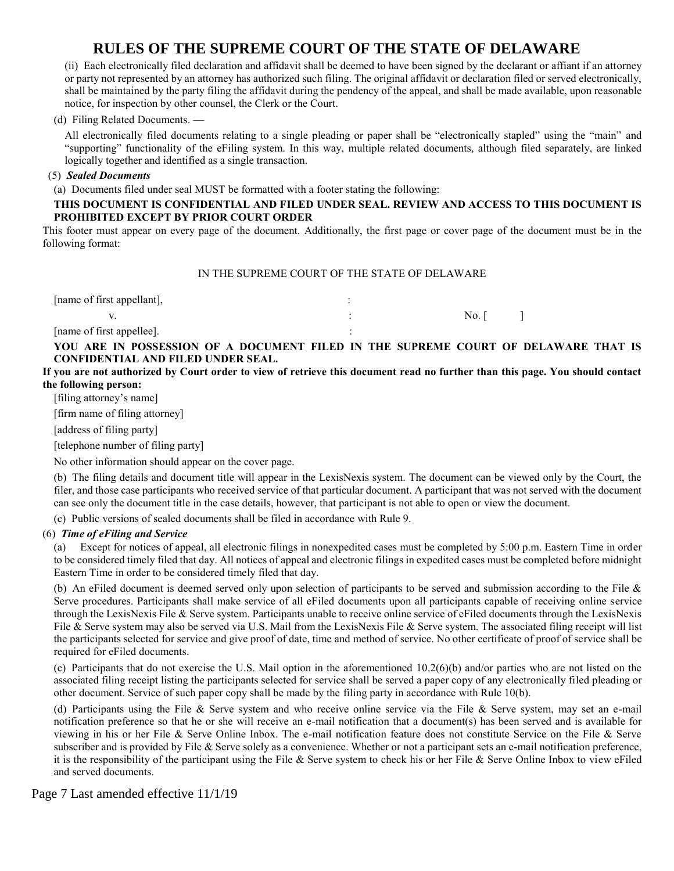(ii) Each electronically filed declaration and affidavit shall be deemed to have been signed by the declarant or affiant if an attorney or party not represented by an attorney has authorized such filing. The original affidavit or declaration filed or served electronically, shall be maintained by the party filing the affidavit during the pendency of the appeal, and shall be made available, upon reasonable notice, for inspection by other counsel, the Clerk or the Court.

(d) Filing Related Documents. —

All electronically filed documents relating to a single pleading or paper shall be "electronically stapled" using the "main" and "supporting" functionality of the eFiling system. In this way, multiple related documents, although filed separately, are linked logically together and identified as a single transaction.

#### (5) *Sealed Documents*

(a) Documents filed under seal MUST be formatted with a footer stating the following:

#### **THIS DOCUMENT IS CONFIDENTIAL AND FILED UNDER SEAL. REVIEW AND ACCESS TO THIS DOCUMENT IS PROHIBITED EXCEPT BY PRIOR COURT ORDER**

This footer must appear on every page of the document. Additionally, the first page or cover page of the document must be in the following format:

#### IN THE SUPREME COURT OF THE STATE OF DELAWARE

| [name of first appellant], |       |  |
|----------------------------|-------|--|
|                            | No. I |  |
| [name of first appellee].  |       |  |

**YOU ARE IN POSSESSION OF A DOCUMENT FILED IN THE SUPREME COURT OF DELAWARE THAT IS CONFIDENTIAL AND FILED UNDER SEAL.**

**If you are not authorized by Court order to view of retrieve this document read no further than this page. You should contact the following person:**

[filing attorney's name]

[firm name of filing attorney]

[address of filing party]

[telephone number of filing party]

No other information should appear on the cover page.

(b) The filing details and document title will appear in the LexisNexis system. The document can be viewed only by the Court, the filer, and those case participants who received service of that particular document. A participant that was not served with the document can see only the document title in the case details, however, that participant is not able to open or view the document.

(c) Public versions of sealed documents shall be filed in accordance with Rule 9.

#### (6) *Time of eFiling and Service*

(a) Except for notices of appeal, all electronic filings in nonexpedited cases must be completed by 5:00 p.m. Eastern Time in order to be considered timely filed that day. All notices of appeal and electronic filings in expedited cases must be completed before midnight Eastern Time in order to be considered timely filed that day.

(b) An eFiled document is deemed served only upon selection of participants to be served and submission according to the File & Serve procedures. Participants shall make service of all eFiled documents upon all participants capable of receiving online service through the LexisNexis File & Serve system. Participants unable to receive online service of eFiled documents through the LexisNexis File & Serve system may also be served via U.S. Mail from the LexisNexis File & Serve system. The associated filing receipt will list the participants selected for service and give proof of date, time and method of service. No other certificate of proof of service shall be required for eFiled documents.

(c) Participants that do not exercise the U.S. Mail option in the aforementioned 10.2(6)(b) and/or parties who are not listed on the associated filing receipt listing the participants selected for service shall be served a paper copy of any electronically filed pleading or other document. Service of such paper copy shall be made by the filing party in accordance with Rule 10(b).

(d) Participants using the File  $\&$  Serve system and who receive online service via the File  $\&$  Serve system, may set an e-mail notification preference so that he or she will receive an e-mail notification that a document(s) has been served and is available for viewing in his or her File & Serve Online Inbox. The e-mail notification feature does not constitute Service on the File & Serve subscriber and is provided by File  $\&$  Serve solely as a convenience. Whether or not a participant sets an e-mail notification preference, it is the responsibility of the participant using the File  $\&$  Serve system to check his or her File  $\&$  Serve Online Inbox to view eFiled and served documents.

Page 7 Last amended effective 11/1/19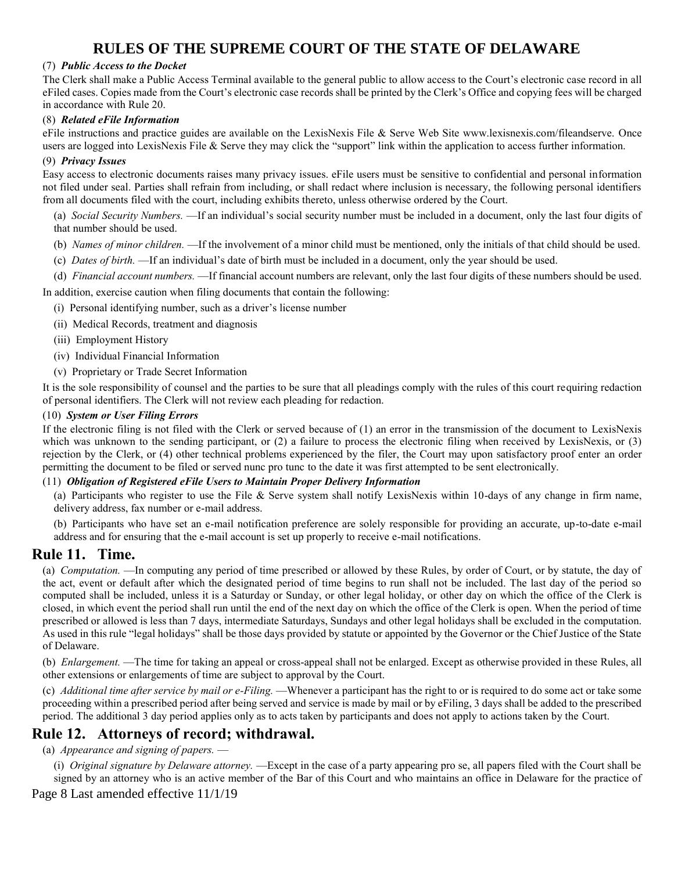#### (7) *Public Access to the Docket*

The Clerk shall make a Public Access Terminal available to the general public to allow access to the Court's electronic case record in all eFiled cases. Copies made from the Court's electronic case records shall be printed by the Clerk's Office and copying fees will be charged in accordance with Rule 20.

#### (8) *Related eFile Information*

eFile instructions and practice guides are available on the LexisNexis File & Serve Web Site www.lexisnexis.com/fileandserve. Once users are logged into LexisNexis File & Serve they may click the "support" link within the application to access further information.

#### (9) *Privacy Issues*

Easy access to electronic documents raises many privacy issues. eFile users must be sensitive to confidential and personal information not filed under seal. Parties shall refrain from including, or shall redact where inclusion is necessary, the following personal identifiers from all documents filed with the court, including exhibits thereto, unless otherwise ordered by the Court.

(a) *Social Security Numbers.* —If an individual's social security number must be included in a document, only the last four digits of that number should be used.

- (b) *Names of minor children.* —If the involvement of a minor child must be mentioned, only the initials of that child should be used.
- (c) *Dates of birth.* —If an individual's date of birth must be included in a document, only the year should be used.

(d) *Financial account numbers.* —If financial account numbers are relevant, only the last four digits of these numbers should be used.

In addition, exercise caution when filing documents that contain the following:

- (i) Personal identifying number, such as a driver's license number
- (ii) Medical Records, treatment and diagnosis
- (iii) Employment History
- (iv) Individual Financial Information
- (v) Proprietary or Trade Secret Information

It is the sole responsibility of counsel and the parties to be sure that all pleadings comply with the rules of this court requiring redaction of personal identifiers. The Clerk will not review each pleading for redaction.

#### (10) *System or User Filing Errors*

If the electronic filing is not filed with the Clerk or served because of (1) an error in the transmission of the document to LexisNexis which was unknown to the sending participant, or (2) a failure to process the electronic filing when received by LexisNexis, or (3) rejection by the Clerk, or (4) other technical problems experienced by the filer, the Court may upon satisfactory proof enter an order permitting the document to be filed or served nunc pro tunc to the date it was first attempted to be sent electronically.

#### (11) *Obligation of Registered eFile Users to Maintain Proper Delivery Information*

(a) Participants who register to use the File & Serve system shall notify LexisNexis within 10-days of any change in firm name, delivery address, fax number or e-mail address.

(b) Participants who have set an e-mail notification preference are solely responsible for providing an accurate, up-to-date e-mail address and for ensuring that the e-mail account is set up properly to receive e-mail notifications.

#### **Rule 11. Time.**

(a) *Computation.* —In computing any period of time prescribed or allowed by these Rules, by order of Court, or by statute, the day of the act, event or default after which the designated period of time begins to run shall not be included. The last day of the period so computed shall be included, unless it is a Saturday or Sunday, or other legal holiday, or other day on which the office of the Clerk is closed, in which event the period shall run until the end of the next day on which the office of the Clerk is open. When the period of time prescribed or allowed is less than 7 days, intermediate Saturdays, Sundays and other legal holidays shall be excluded in the computation. As used in this rule "legal holidays" shall be those days provided by statute or appointed by the Governor or the Chief Justice of the State of Delaware.

(b) *Enlargement.* —The time for taking an appeal or cross-appeal shall not be enlarged. Except as otherwise provided in these Rules, all other extensions or enlargements of time are subject to approval by the Court.

(c) *Additional time after service by mail or e-Filing.* —Whenever a participant has the right to or is required to do some act or take some proceeding within a prescribed period after being served and service is made by mail or by eFiling, 3 days shall be added to the prescribed period. The additional 3 day period applies only as to acts taken by participants and does not apply to actions taken by the Court.

### **Rule 12. Attorneys of record; withdrawal.**

(a) *Appearance and signing of papers.* —

(i) *Original signature by Delaware attorney.* —Except in the case of a party appearing pro se, all papers filed with the Court shall be signed by an attorney who is an active member of the Bar of this Court and who maintains an office in Delaware for the practice of

Page 8 Last amended effective 11/1/19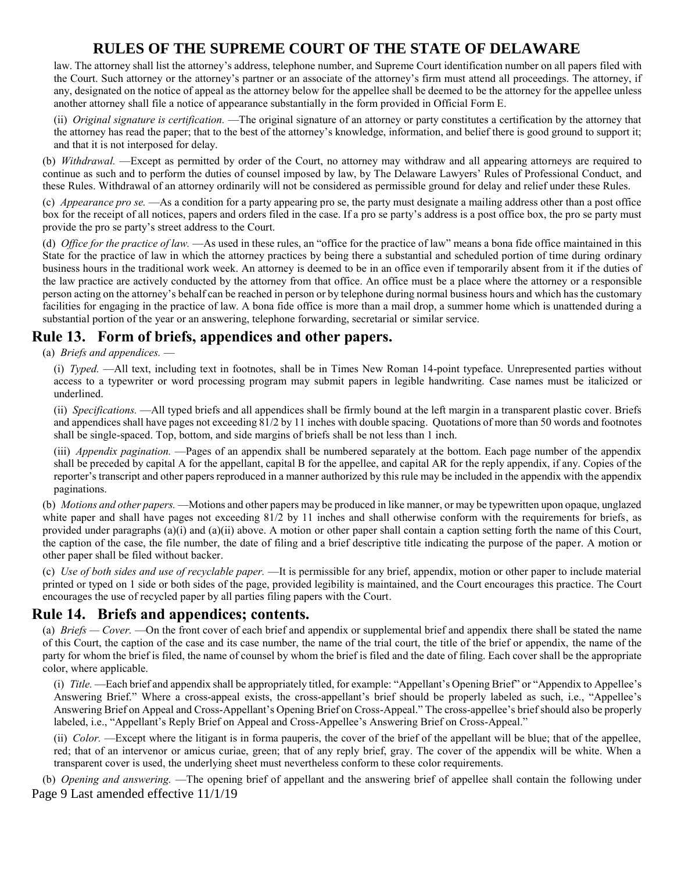law. The attorney shall list the attorney's address, telephone number, and Supreme Court identification number on all papers filed with the Court. Such attorney or the attorney's partner or an associate of the attorney's firm must attend all proceedings. The attorney, if any, designated on the notice of appeal as the attorney below for the appellee shall be deemed to be the attorney for the appellee unless another attorney shall file a notice of appearance substantially in the form provided in Official Form E.

(ii) *Original signature is certification.* —The original signature of an attorney or party constitutes a certification by the attorney that the attorney has read the paper; that to the best of the attorney's knowledge, information, and belief there is good ground to support it; and that it is not interposed for delay.

(b) *Withdrawal.* —Except as permitted by order of the Court, no attorney may withdraw and all appearing attorneys are required to continue as such and to perform the duties of counsel imposed by law, by The Delaware Lawyers' Rules of Professional Conduct, and these Rules. Withdrawal of an attorney ordinarily will not be considered as permissible ground for delay and relief under these Rules.

(c) *Appearance pro se.* —As a condition for a party appearing pro se, the party must designate a mailing address other than a post office box for the receipt of all notices, papers and orders filed in the case. If a pro se party's address is a post office box, the pro se party must provide the pro se party's street address to the Court.

(d) *Office for the practice of law.* —As used in these rules, an "office for the practice of law" means a bona fide office maintained in this State for the practice of law in which the attorney practices by being there a substantial and scheduled portion of time during ordinary business hours in the traditional work week. An attorney is deemed to be in an office even if temporarily absent from it if the duties of the law practice are actively conducted by the attorney from that office. An office must be a place where the attorney or a responsible person acting on the attorney's behalf can be reached in person or by telephone during normal business hours and which has the customary facilities for engaging in the practice of law. A bona fide office is more than a mail drop, a summer home which is unattended during a substantial portion of the year or an answering, telephone forwarding, secretarial or similar service.

## **Rule 13. Form of briefs, appendices and other papers.**

(a) *Briefs and appendices.* —

(i) *Typed.* —All text, including text in footnotes, shall be in Times New Roman 14-point typeface. Unrepresented parties without access to a typewriter or word processing program may submit papers in legible handwriting. Case names must be italicized or underlined.

(ii) *Specifications.* —All typed briefs and all appendices shall be firmly bound at the left margin in a transparent plastic cover. Briefs and appendices shall have pages not exceeding 81/2 by 11 inches with double spacing. Quotations of more than 50 words and footnotes shall be single-spaced. Top, bottom, and side margins of briefs shall be not less than 1 inch.

(iii) *Appendix pagination.* —Pages of an appendix shall be numbered separately at the bottom. Each page number of the appendix shall be preceded by capital A for the appellant, capital B for the appellee, and capital AR for the reply appendix, if any. Copies of the reporter's transcript and other papers reproduced in a manner authorized by this rule may be included in the appendix with the appendix paginations.

(b) *Motions and other papers.* —Motions and other papers may be produced in like manner, or may be typewritten upon opaque, unglazed white paper and shall have pages not exceeding 81/2 by 11 inches and shall otherwise conform with the requirements for briefs, as provided under paragraphs (a)(i) and (a)(ii) above. A motion or other paper shall contain a caption setting forth the name of this Court, the caption of the case, the file number, the date of filing and a brief descriptive title indicating the purpose of the paper. A motion or other paper shall be filed without backer.

(c) *Use of both sides and use of recyclable paper.* —It is permissible for any brief, appendix, motion or other paper to include material printed or typed on 1 side or both sides of the page, provided legibility is maintained, and the Court encourages this practice. The Court encourages the use of recycled paper by all parties filing papers with the Court.

#### **Rule 14. Briefs and appendices; contents.**

(a) *Briefs — Cover.* —On the front cover of each brief and appendix or supplemental brief and appendix there shall be stated the name of this Court, the caption of the case and its case number, the name of the trial court, the title of the brief or appendix, the name of the party for whom the brief is filed, the name of counsel by whom the brief is filed and the date of filing. Each cover shall be the appropriate color, where applicable.

(i) *Title.* —Each brief and appendix shall be appropriately titled, for example: "Appellant's Opening Brief" or "Appendix to Appellee's Answering Brief." Where a cross-appeal exists, the cross-appellant's brief should be properly labeled as such, i.e., "Appellee's Answering Brief on Appeal and Cross-Appellant's Opening Brief on Cross-Appeal." The cross-appellee's brief should also be properly labeled, i.e., "Appellant's Reply Brief on Appeal and Cross-Appellee's Answering Brief on Cross-Appeal."

(ii) *Color.* —Except where the litigant is in forma pauperis, the cover of the brief of the appellant will be blue; that of the appellee, red; that of an intervenor or amicus curiae, green; that of any reply brief, gray. The cover of the appendix will be white. When a transparent cover is used, the underlying sheet must nevertheless conform to these color requirements.

Page 9 Last amended effective 11/1/19 (b) *Opening and answering.* —The opening brief of appellant and the answering brief of appellee shall contain the following under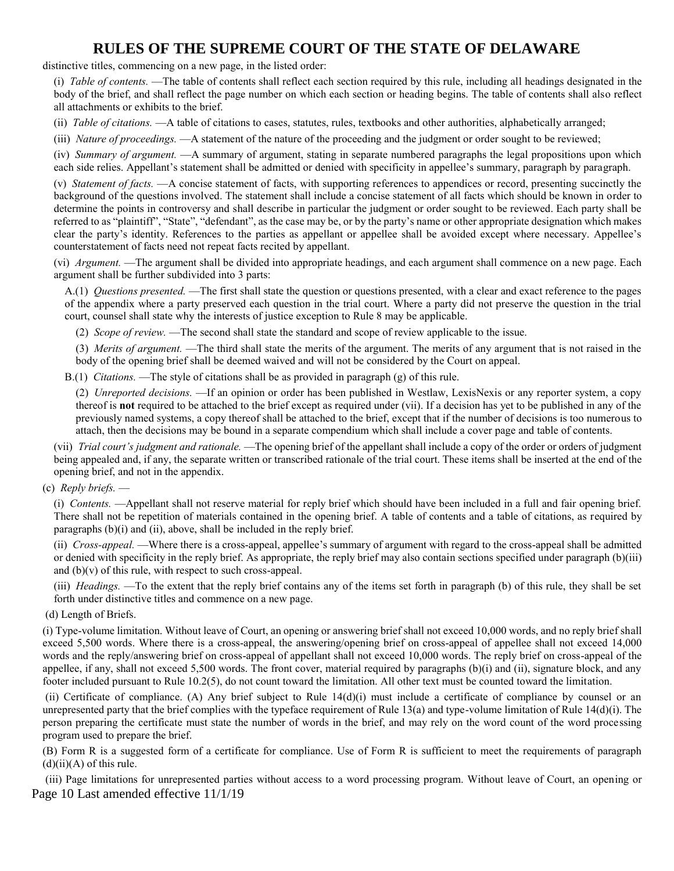distinctive titles, commencing on a new page, in the listed order:

(i) *Table of contents.* —The table of contents shall reflect each section required by this rule, including all headings designated in the body of the brief, and shall reflect the page number on which each section or heading begins. The table of contents shall also reflect all attachments or exhibits to the brief.

(ii) *Table of citations.* —A table of citations to cases, statutes, rules, textbooks and other authorities, alphabetically arranged;

(iii) *Nature of proceedings.* —A statement of the nature of the proceeding and the judgment or order sought to be reviewed;

(iv) *Summary of argument.* —A summary of argument, stating in separate numbered paragraphs the legal propositions upon which each side relies. Appellant's statement shall be admitted or denied with specificity in appellee's summary, paragraph by paragraph.

(v) *Statement of facts.* —A concise statement of facts, with supporting references to appendices or record, presenting succinctly the background of the questions involved. The statement shall include a concise statement of all facts which should be known in order to determine the points in controversy and shall describe in particular the judgment or order sought to be reviewed. Each party shall be referred to as "plaintiff", "State", "defendant", as the case may be, or by the party's name or other appropriate designation which makes clear the party's identity. References to the parties as appellant or appellee shall be avoided except where necessary. Appellee's counterstatement of facts need not repeat facts recited by appellant.

(vi) *Argument.* —The argument shall be divided into appropriate headings, and each argument shall commence on a new page. Each argument shall be further subdivided into 3 parts:

A.(1) *Questions presented.* —The first shall state the question or questions presented, with a clear and exact reference to the pages of the appendix where a party preserved each question in the trial court. Where a party did not preserve the question in the trial court, counsel shall state why the interests of justice exception to Rule 8 may be applicable.

(2) *Scope of review.* —The second shall state the standard and scope of review applicable to the issue.

(3) *Merits of argument.* —The third shall state the merits of the argument. The merits of any argument that is not raised in the body of the opening brief shall be deemed waived and will not be considered by the Court on appeal.

B.(1) *Citations.* —The style of citations shall be as provided in paragraph (g) of this rule.

(2) *Unreported decisions.* —If an opinion or order has been published in Westlaw, LexisNexis or any reporter system, a copy thereof is **not** required to be attached to the brief except as required under (vii). If a decision has yet to be published in any of the previously named systems, a copy thereof shall be attached to the brief, except that if the number of decisions is too numerous to attach, then the decisions may be bound in a separate compendium which shall include a cover page and table of contents.

(vii) *Trial court's judgment and rationale.* —The opening brief of the appellant shall include a copy of the order or orders of judgment being appealed and, if any, the separate written or transcribed rationale of the trial court. These items shall be inserted at the end of the opening brief, and not in the appendix.

(c) *Reply briefs.* —

(i) *Contents.* —Appellant shall not reserve material for reply brief which should have been included in a full and fair opening brief. There shall not be repetition of materials contained in the opening brief. A table of contents and a table of citations, as required by paragraphs  $(b)(i)$  and  $(ii)$ , above, shall be included in the reply brief.

(ii) *Cross-appeal.* —Where there is a cross-appeal, appellee's summary of argument with regard to the cross-appeal shall be admitted or denied with specificity in the reply brief. As appropriate, the reply brief may also contain sections specified under paragraph (b)(iii) and  $(b)(v)$  of this rule, with respect to such cross-appeal.

(iii) *Headings.* —To the extent that the reply brief contains any of the items set forth in paragraph (b) of this rule, they shall be set forth under distinctive titles and commence on a new page.

(d) Length of Briefs.

(i) Type-volume limitation. Without leave of Court, an opening or answering brief shall not exceed 10,000 words, and no reply brief shall exceed 5,500 words. Where there is a cross-appeal, the answering/opening brief on cross-appeal of appellee shall not exceed 14,000 words and the reply/answering brief on cross-appeal of appellant shall not exceed 10,000 words. The reply brief on cross-appeal of the appellee, if any, shall not exceed 5,500 words. The front cover, material required by paragraphs (b)(i) and (ii), signature block, and any footer included pursuant to Rule 10.2(5), do not count toward the limitation. All other text must be counted toward the limitation.

(ii) Certificate of compliance. (A) Any brief subject to Rule 14(d)(i) must include a certificate of compliance by counsel or an unrepresented party that the brief complies with the typeface requirement of Rule 13(a) and type-volume limitation of Rule 14(d)(i). The person preparing the certificate must state the number of words in the brief, and may rely on the word count of the word processing program used to prepare the brief.

(B) Form R is a suggested form of a certificate for compliance. Use of Form R is sufficient to meet the requirements of paragraph  $(d)(ii)(A)$  of this rule.

Page 10 Last amended effective 11/1/19 (iii) Page limitations for unrepresented parties without access to a word processing program. Without leave of Court, an opening or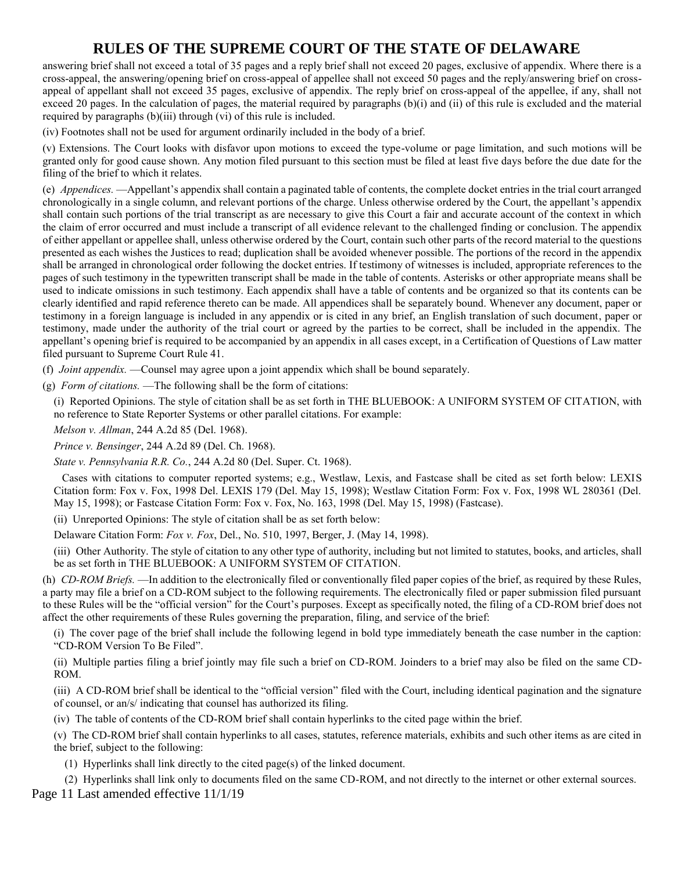answering brief shall not exceed a total of 35 pages and a reply brief shall not exceed 20 pages, exclusive of appendix. Where there is a cross-appeal, the answering/opening brief on cross-appeal of appellee shall not exceed 50 pages and the reply/answering brief on crossappeal of appellant shall not exceed 35 pages, exclusive of appendix. The reply brief on cross-appeal of the appellee, if any, shall not exceed 20 pages. In the calculation of pages, the material required by paragraphs (b)(i) and (ii) of this rule is excluded and the material required by paragraphs (b)(iii) through (vi) of this rule is included.

(iv) Footnotes shall not be used for argument ordinarily included in the body of a brief.

(v) Extensions. The Court looks with disfavor upon motions to exceed the type-volume or page limitation, and such motions will be granted only for good cause shown. Any motion filed pursuant to this section must be filed at least five days before the due date for the filing of the brief to which it relates.

(e) *Appendices.* —Appellant's appendix shall contain a paginated table of contents, the complete docket entries in the trial court arranged chronologically in a single column, and relevant portions of the charge. Unless otherwise ordered by the Court, the appellant's appendix shall contain such portions of the trial transcript as are necessary to give this Court a fair and accurate account of the context in which the claim of error occurred and must include a transcript of all evidence relevant to the challenged finding or conclusion. The appendix of either appellant or appellee shall, unless otherwise ordered by the Court, contain such other parts of the record material to the questions presented as each wishes the Justices to read; duplication shall be avoided whenever possible. The portions of the record in the appendix shall be arranged in chronological order following the docket entries. If testimony of witnesses is included, appropriate references to the pages of such testimony in the typewritten transcript shall be made in the table of contents. Asterisks or other appropriate means shall be used to indicate omissions in such testimony. Each appendix shall have a table of contents and be organized so that its contents can be clearly identified and rapid reference thereto can be made. All appendices shall be separately bound. Whenever any document, paper or testimony in a foreign language is included in any appendix or is cited in any brief, an English translation of such document, paper or testimony, made under the authority of the trial court or agreed by the parties to be correct, shall be included in the appendix. The appellant's opening brief is required to be accompanied by an appendix in all cases except, in a Certification of Questions of Law matter filed pursuant to Supreme Court Rule 41.

(f) *Joint appendix.* —Counsel may agree upon a joint appendix which shall be bound separately.

(g) *Form of citations.* —The following shall be the form of citations:

(i) Reported Opinions. The style of citation shall be as set forth in THE BLUEBOOK: A UNIFORM SYSTEM OF CITATION, with no reference to State Reporter Systems or other parallel citations. For example:

*Melson v. Allman*, 244 A.2d 85 (Del. 1968).

*Prince v. Bensinger*, 244 A.2d 89 (Del. Ch. 1968).

*State v. Pennsylvania R.R. Co.*, 244 A.2d 80 (Del. Super. Ct. 1968).

Cases with citations to computer reported systems; e.g., Westlaw, Lexis, and Fastcase shall be cited as set forth below: LEXIS Citation form: Fox v. Fox, 1998 Del. LEXIS 179 (Del. May 15, 1998); Westlaw Citation Form: Fox v. Fox, 1998 WL 280361 (Del. May 15, 1998); or Fastcase Citation Form: Fox v. Fox, No. 163, 1998 (Del. May 15, 1998) (Fastcase).

(ii) Unreported Opinions: The style of citation shall be as set forth below:

Delaware Citation Form: *Fox v. Fox*, Del., No. 510, 1997, Berger, J. (May 14, 1998).

(iii) Other Authority. The style of citation to any other type of authority, including but not limited to statutes, books, and articles, shall be as set forth in THE BLUEBOOK: A UNIFORM SYSTEM OF CITATION.

(h) *CD-ROM Briefs.* —In addition to the electronically filed or conventionally filed paper copies of the brief, as required by these Rules, a party may file a brief on a CD-ROM subject to the following requirements. The electronically filed or paper submission filed pursuant to these Rules will be the "official version" for the Court's purposes. Except as specifically noted, the filing of a CD-ROM brief does not affect the other requirements of these Rules governing the preparation, filing, and service of the brief:

(i) The cover page of the brief shall include the following legend in bold type immediately beneath the case number in the caption: "CD-ROM Version To Be Filed".

(ii) Multiple parties filing a brief jointly may file such a brief on CD-ROM. Joinders to a brief may also be filed on the same CD-ROM.

(iii) A CD-ROM brief shall be identical to the "official version" filed with the Court, including identical pagination and the signature of counsel, or an/s/ indicating that counsel has authorized its filing.

(iv) The table of contents of the CD-ROM brief shall contain hyperlinks to the cited page within the brief.

(v) The CD-ROM brief shall contain hyperlinks to all cases, statutes, reference materials, exhibits and such other items as are cited in the brief, subject to the following:

(1) Hyperlinks shall link directly to the cited page(s) of the linked document.

Page 11 Last amended effective 11/1/19 (2) Hyperlinks shall link only to documents filed on the same CD-ROM, and not directly to the internet or other external sources.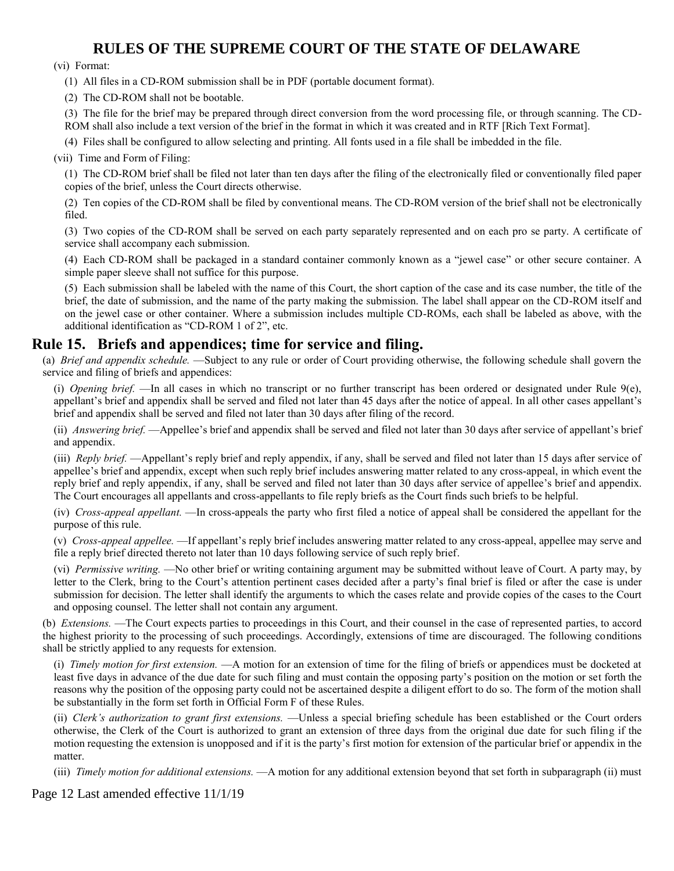(vi) Format:

(1) All files in a CD-ROM submission shall be in PDF (portable document format).

(2) The CD-ROM shall not be bootable.

(3) The file for the brief may be prepared through direct conversion from the word processing file, or through scanning. The CD-ROM shall also include a text version of the brief in the format in which it was created and in RTF [Rich Text Format].

(4) Files shall be configured to allow selecting and printing. All fonts used in a file shall be imbedded in the file.

(vii) Time and Form of Filing:

(1) The CD-ROM brief shall be filed not later than ten days after the filing of the electronically filed or conventionally filed paper copies of the brief, unless the Court directs otherwise.

(2) Ten copies of the CD-ROM shall be filed by conventional means. The CD-ROM version of the brief shall not be electronically filed.

(3) Two copies of the CD-ROM shall be served on each party separately represented and on each pro se party. A certificate of service shall accompany each submission.

(4) Each CD-ROM shall be packaged in a standard container commonly known as a "jewel case" or other secure container. A simple paper sleeve shall not suffice for this purpose.

(5) Each submission shall be labeled with the name of this Court, the short caption of the case and its case number, the title of the brief, the date of submission, and the name of the party making the submission. The label shall appear on the CD-ROM itself and on the jewel case or other container. Where a submission includes multiple CD-ROMs, each shall be labeled as above, with the additional identification as "CD-ROM 1 of 2", etc.

#### **Rule 15. Briefs and appendices; time for service and filing.**

(a) *Brief and appendix schedule.* —Subject to any rule or order of Court providing otherwise, the following schedule shall govern the service and filing of briefs and appendices:

(i) *Opening brief.* —In all cases in which no transcript or no further transcript has been ordered or designated under Rule 9(e), appellant's brief and appendix shall be served and filed not later than 45 days after the notice of appeal. In all other cases appellant's brief and appendix shall be served and filed not later than 30 days after filing of the record.

(ii) *Answering brief.* —Appellee's brief and appendix shall be served and filed not later than 30 days after service of appellant's brief and appendix.

(iii) *Reply brief.* —Appellant's reply brief and reply appendix, if any, shall be served and filed not later than 15 days after service of appellee's brief and appendix, except when such reply brief includes answering matter related to any cross-appeal, in which event the reply brief and reply appendix, if any, shall be served and filed not later than 30 days after service of appellee's brief and appendix. The Court encourages all appellants and cross-appellants to file reply briefs as the Court finds such briefs to be helpful.

(iv) *Cross-appeal appellant.* —In cross-appeals the party who first filed a notice of appeal shall be considered the appellant for the purpose of this rule.

(v) *Cross-appeal appellee.* —If appellant's reply brief includes answering matter related to any cross-appeal, appellee may serve and file a reply brief directed thereto not later than 10 days following service of such reply brief.

(vi) *Permissive writing.* —No other brief or writing containing argument may be submitted without leave of Court. A party may, by letter to the Clerk, bring to the Court's attention pertinent cases decided after a party's final brief is filed or after the case is under submission for decision. The letter shall identify the arguments to which the cases relate and provide copies of the cases to the Court and opposing counsel. The letter shall not contain any argument.

(b) *Extensions.* —The Court expects parties to proceedings in this Court, and their counsel in the case of represented parties, to accord the highest priority to the processing of such proceedings. Accordingly, extensions of time are discouraged. The following conditions shall be strictly applied to any requests for extension.

(i) *Timely motion for first extension.* —A motion for an extension of time for the filing of briefs or appendices must be docketed at least five days in advance of the due date for such filing and must contain the opposing party's position on the motion or set forth the reasons why the position of the opposing party could not be ascertained despite a diligent effort to do so. The form of the motion shall be substantially in the form set forth in Official Form F of these Rules.

(ii) *Clerk's authorization to grant first extensions.* —Unless a special briefing schedule has been established or the Court orders otherwise, the Clerk of the Court is authorized to grant an extension of three days from the original due date for such filing if the motion requesting the extension is unopposed and if it is the party's first motion for extension of the particular brief or appendix in the matter.

(iii) *Timely motion for additional extensions.* —A motion for any additional extension beyond that set forth in subparagraph (ii) must

Page 12 Last amended effective 11/1/19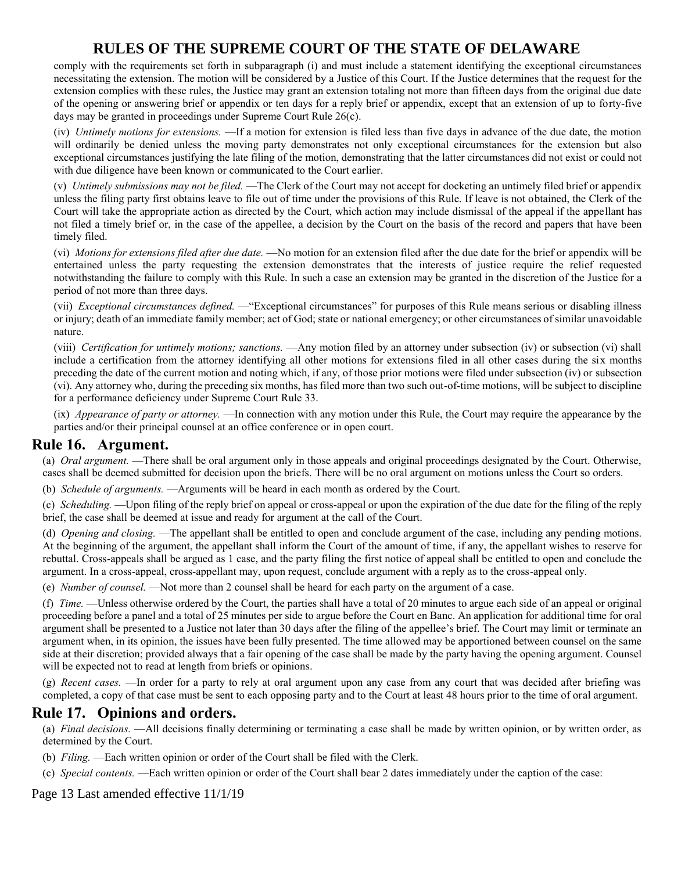comply with the requirements set forth in subparagraph (i) and must include a statement identifying the exceptional circumstances necessitating the extension. The motion will be considered by a Justice of this Court. If the Justice determines that the request for the extension complies with these rules, the Justice may grant an extension totaling not more than fifteen days from the original due date of the opening or answering brief or appendix or ten days for a reply brief or appendix, except that an extension of up to forty-five days may be granted in proceedings under Supreme Court Rule 26(c).

(iv) *Untimely motions for extensions.* —If a motion for extension is filed less than five days in advance of the due date, the motion will ordinarily be denied unless the moving party demonstrates not only exceptional circumstances for the extension but also exceptional circumstances justifying the late filing of the motion, demonstrating that the latter circumstances did not exist or could not with due diligence have been known or communicated to the Court earlier.

(v) *Untimely submissions may not be filed.* —The Clerk of the Court may not accept for docketing an untimely filed brief or appendix unless the filing party first obtains leave to file out of time under the provisions of this Rule. If leave is not obtained, the Clerk of the Court will take the appropriate action as directed by the Court, which action may include dismissal of the appeal if the appellant has not filed a timely brief or, in the case of the appellee, a decision by the Court on the basis of the record and papers that have been timely filed.

(vi) *Motions for extensions filed after due date.* —No motion for an extension filed after the due date for the brief or appendix will be entertained unless the party requesting the extension demonstrates that the interests of justice require the relief requested notwithstanding the failure to comply with this Rule. In such a case an extension may be granted in the discretion of the Justice for a period of not more than three days.

(vii) *Exceptional circumstances defined.* —"Exceptional circumstances" for purposes of this Rule means serious or disabling illness or injury; death of an immediate family member; act of God; state or national emergency; or other circumstances of similar unavoidable nature.

(viii) *Certification for untimely motions; sanctions.* —Any motion filed by an attorney under subsection (iv) or subsection (vi) shall include a certification from the attorney identifying all other motions for extensions filed in all other cases during the six months preceding the date of the current motion and noting which, if any, of those prior motions were filed under subsection (iv) or subsection (vi). Any attorney who, during the preceding six months, has filed more than two such out-of-time motions, will be subject to discipline for a performance deficiency under Supreme Court Rule 33.

(ix) *Appearance of party or attorney.* —In connection with any motion under this Rule, the Court may require the appearance by the parties and/or their principal counsel at an office conference or in open court.

### **Rule 16. Argument.**

(a) *Oral argument.* —There shall be oral argument only in those appeals and original proceedings designated by the Court. Otherwise, cases shall be deemed submitted for decision upon the briefs. There will be no oral argument on motions unless the Court so orders.

(b) *Schedule of arguments.* —Arguments will be heard in each month as ordered by the Court.

(c) *Scheduling.* —Upon filing of the reply brief on appeal or cross-appeal or upon the expiration of the due date for the filing of the reply brief, the case shall be deemed at issue and ready for argument at the call of the Court.

(d) *Opening and closing.* —The appellant shall be entitled to open and conclude argument of the case, including any pending motions. At the beginning of the argument, the appellant shall inform the Court of the amount of time, if any, the appellant wishes to reserve for rebuttal. Cross-appeals shall be argued as 1 case, and the party filing the first notice of appeal shall be entitled to open and conclude the argument. In a cross-appeal, cross-appellant may, upon request, conclude argument with a reply as to the cross-appeal only.

(e) *Number of counsel.* —Not more than 2 counsel shall be heard for each party on the argument of a case.

(f) *Time.* —Unless otherwise ordered by the Court, the parties shall have a total of 20 minutes to argue each side of an appeal or original proceeding before a panel and a total of 25 minutes per side to argue before the Court en Banc. An application for additional time for oral argument shall be presented to a Justice not later than 30 days after the filing of the appellee's brief. The Court may limit or terminate an argument when, in its opinion, the issues have been fully presented. The time allowed may be apportioned between counsel on the same side at their discretion; provided always that a fair opening of the case shall be made by the party having the opening argument. Counsel will be expected not to read at length from briefs or opinions.

(g) *Recent cases.* —In order for a party to rely at oral argument upon any case from any court that was decided after briefing was completed, a copy of that case must be sent to each opposing party and to the Court at least 48 hours prior to the time of oral argument.

### **Rule 17. Opinions and orders.**

(a) *Final decisions.* —All decisions finally determining or terminating a case shall be made by written opinion, or by written order, as determined by the Court.

(b) *Filing.* —Each written opinion or order of the Court shall be filed with the Clerk.

(c) *Special contents.* —Each written opinion or order of the Court shall bear 2 dates immediately under the caption of the case:

Page 13 Last amended effective 11/1/19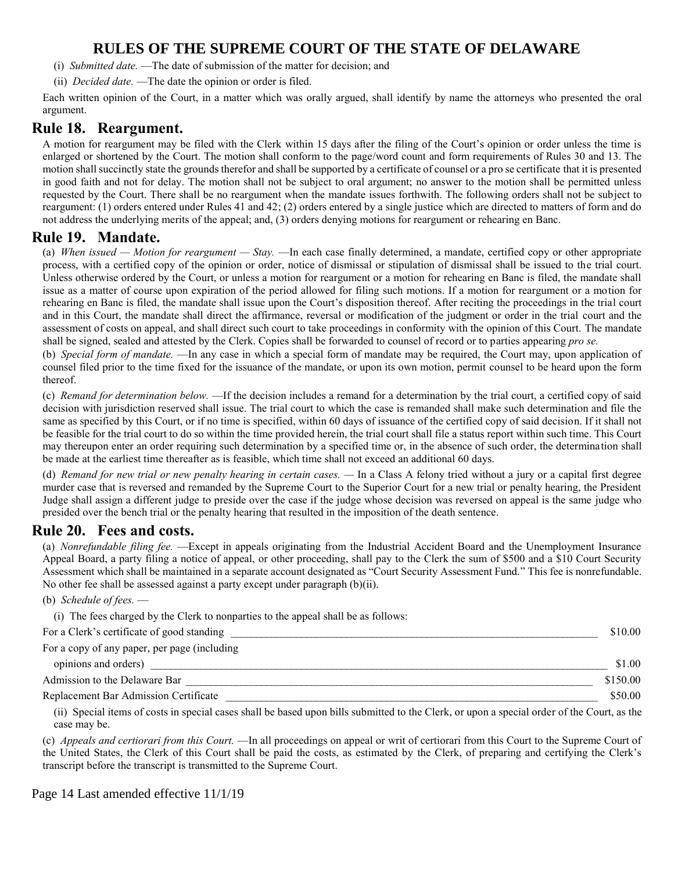- (i) *Submitted date.* —The date of submission of the matter for decision; and
- (ii) *Decided date.* —The date the opinion or order is filed.

Each written opinion of the Court, in a matter which was orally argued, shall identify by name the attorneys who presented the oral argument.

#### **Rule 18. Reargument.**

A motion for reargument may be filed with the Clerk within 15 days after the filing of the Court's opinion or order unless the time is enlarged or shortened by the Court. The motion shall conform to the page/word count and form requirements of Rules 30 and 13. The motion shall succinctly state the grounds therefor and shall be supported by a certificate of counsel or a pro se certificate that it is presented in good faith and not for delay. The motion shall not be subject to oral argument; no answer to the motion shall be permitted unless requested by the Court. There shall be no reargument when the mandate issues forthwith. The following orders shall not be subject to reargument: (1) orders entered under Rules 41 and 42; (2) orders entered by a single justice which are directed to matters of form and do not address the underlying merits of the appeal; and, (3) orders denying motions for reargument or rehearing en Banc.

#### **Rule 19. Mandate.**

(a) *When issued — Motion for reargument — Stay.* —In each case finally determined, a mandate, certified copy or other appropriate process, with a certified copy of the opinion or order, notice of dismissal or stipulation of dismissal shall be issued to the trial court. Unless otherwise ordered by the Court, or unless a motion for reargument or a motion for rehearing en Banc is filed, the mandate shall issue as a matter of course upon expiration of the period allowed for filing such motions. If a motion for reargument or a motion for rehearing en Banc is filed, the mandate shall issue upon the Court's disposition thereof. After reciting the proceedings in the trial court and in this Court, the mandate shall direct the affirmance, reversal or modification of the judgment or order in the trial court and the assessment of costs on appeal, and shall direct such court to take proceedings in conformity with the opinion of this Court. The mandate shall be signed, sealed and attested by the Clerk. Copies shall be forwarded to counsel of record or to parties appearing *pro se.*

(b) *Special form of mandate.* —In any case in which a special form of mandate may be required, the Court may, upon application of counsel filed prior to the time fixed for the issuance of the mandate, or upon its own motion, permit counsel to be heard upon the form thereof.

(c) *Remand for determination below.* —If the decision includes a remand for a determination by the trial court, a certified copy of said decision with jurisdiction reserved shall issue. The trial court to which the case is remanded shall make such determination and file the same as specified by this Court, or if no time is specified, within 60 days of issuance of the certified copy of said decision. If it shall not be feasible for the trial court to do so within the time provided herein, the trial court shall file a status report within such time. This Court may thereupon enter an order requiring such determination by a specified time or, in the absence of such order, the determination shall be made at the earliest time thereafter as is feasible, which time shall not exceed an additional 60 days.

(d) *Remand for new trial or new penalty hearing in certain cases. — In a Class A felony tried without a jury or a capital first degree* murder case that is reversed and remanded by the Supreme Court to the Superior Court for a new trial or penalty hearing, the President Judge shall assign a different judge to preside over the case if the judge whose decision was reversed on appeal is the same judge who presided over the bench trial or the penalty hearing that resulted in the imposition of the death sentence.

#### **Rule 20. Fees and costs.**

(a) *Nonrefundable filing fee.* —Except in appeals originating from the Industrial Accident Board and the Unemployment Insurance Appeal Board, a party filing a notice of appeal, or other proceeding, shall pay to the Clerk the sum of \$500 and a \$10 Court Security Assessment which shall be maintained in a separate account designated as "Court Security Assessment Fund." This fee is nonrefundable. No other fee shall be assessed against a party except under paragraph (b)(ii).

(b) *Schedule of fees.* —

| (i) The fees charged by the Clerk to nonparties to the appeal shall be as follows: |  |
|------------------------------------------------------------------------------------|--|
|                                                                                    |  |

| For a Clerk's certificate of good standing   |          |
|----------------------------------------------|----------|
| For a copy of any paper, per page (including |          |
| opinions and orders)                         | \$1.00   |
| Admission to the Delaware Bar                | \$150.00 |
| Replacement Bar Admission Certificate        | \$50.00  |

(ii) Special items of costs in special cases shall be based upon bills submitted to the Clerk, or upon a special order of the Court, as the case may be.

(c) *Appeals and certiorari from this Court.* —In all proceedings on appeal or writ of certiorari from this Court to the Supreme Court of the United States, the Clerk of this Court shall be paid the costs, as estimated by the Clerk, of preparing and certifying the Clerk's transcript before the transcript is transmitted to the Supreme Court.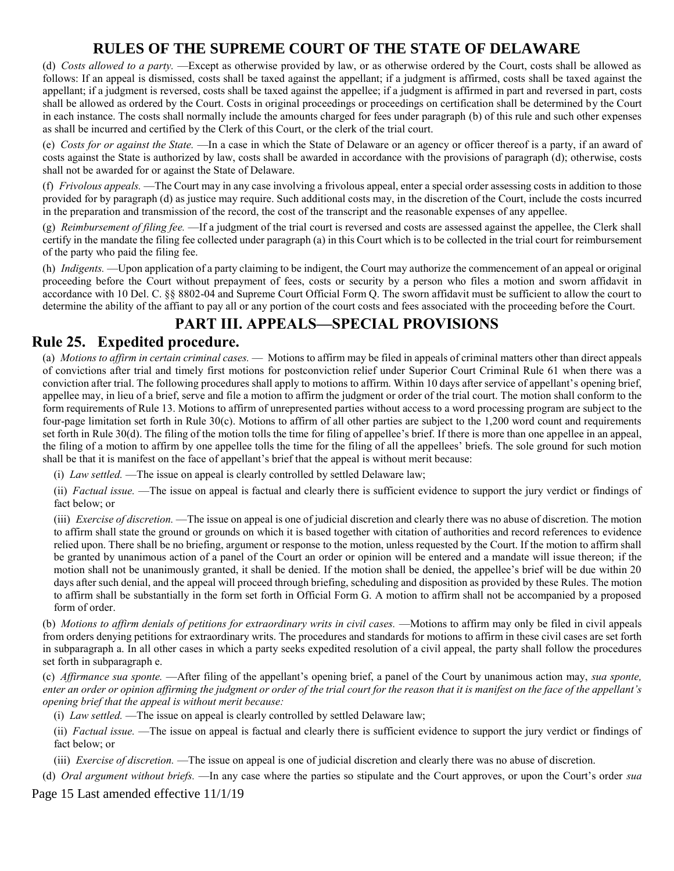(d) *Costs allowed to a party.* —Except as otherwise provided by law, or as otherwise ordered by the Court, costs shall be allowed as follows: If an appeal is dismissed, costs shall be taxed against the appellant; if a judgment is affirmed, costs shall be taxed against the appellant; if a judgment is reversed, costs shall be taxed against the appellee; if a judgment is affirmed in part and reversed in part, costs shall be allowed as ordered by the Court. Costs in original proceedings or proceedings on certification shall be determined by the Court in each instance. The costs shall normally include the amounts charged for fees under paragraph (b) of this rule and such other expenses as shall be incurred and certified by the Clerk of this Court, or the clerk of the trial court.

(e) *Costs for or against the State.* —In a case in which the State of Delaware or an agency or officer thereof is a party, if an award of costs against the State is authorized by law, costs shall be awarded in accordance with the provisions of paragraph (d); otherwise, costs shall not be awarded for or against the State of Delaware.

(f) *Frivolous appeals.* —The Court may in any case involving a frivolous appeal, enter a special order assessing costs in addition to those provided for by paragraph (d) as justice may require. Such additional costs may, in the discretion of the Court, include the costs incurred in the preparation and transmission of the record, the cost of the transcript and the reasonable expenses of any appellee.

(g) *Reimbursement of filing fee.* —If a judgment of the trial court is reversed and costs are assessed against the appellee, the Clerk shall certify in the mandate the filing fee collected under paragraph (a) in this Court which is to be collected in the trial court for reimbursement of the party who paid the filing fee.

(h) *Indigents.* —Upon application of a party claiming to be indigent, the Court may authorize the commencement of an appeal or original proceeding before the Court without prepayment of fees, costs or security by a person who files a motion and sworn affidavit in accordance with 10 Del. C. §§ 8802-04 and Supreme Court Official Form Q. The sworn affidavit must be sufficient to allow the court to determine the ability of the affiant to pay all or any portion of the court costs and fees associated with the proceeding before the Court.

# **PART III. APPEALS—SPECIAL PROVISIONS**

## **Rule 25. Expedited procedure.**

(a) *Motions to affirm in certain criminal cases.* — Motions to affirm may be filed in appeals of criminal matters other than direct appeals of convictions after trial and timely first motions for postconviction relief under Superior Court Criminal Rule 61 when there was a conviction after trial. The following procedures shall apply to motions to affirm. Within 10 days after service of appellant's opening brief, appellee may, in lieu of a brief, serve and file a motion to affirm the judgment or order of the trial court. The motion shall conform to the form requirements of Rule 13. Motions to affirm of unrepresented parties without access to a word processing program are subject to the four-page limitation set forth in Rule 30(c). Motions to affirm of all other parties are subject to the 1,200 word count and requirements set forth in Rule 30(d). The filing of the motion tolls the time for filing of appellee's brief. If there is more than one appellee in an appeal, the filing of a motion to affirm by one appellee tolls the time for the filing of all the appellees' briefs. The sole ground for such motion shall be that it is manifest on the face of appellant's brief that the appeal is without merit because:

(i) *Law settled.* —The issue on appeal is clearly controlled by settled Delaware law;

(ii) *Factual issue.* —The issue on appeal is factual and clearly there is sufficient evidence to support the jury verdict or findings of fact below; or

(iii) *Exercise of discretion.* —The issue on appeal is one of judicial discretion and clearly there was no abuse of discretion. The motion to affirm shall state the ground or grounds on which it is based together with citation of authorities and record references to evidence relied upon. There shall be no briefing, argument or response to the motion, unless requested by the Court. If the motion to affirm shall be granted by unanimous action of a panel of the Court an order or opinion will be entered and a mandate will issue thereon; if the motion shall not be unanimously granted, it shall be denied. If the motion shall be denied, the appellee's brief will be due within 20 days after such denial, and the appeal will proceed through briefing, scheduling and disposition as provided by these Rules. The motion to affirm shall be substantially in the form set forth in Official Form G. A motion to affirm shall not be accompanied by a proposed form of order

(b) *Motions to affirm denials of petitions for extraordinary writs in civil cases*. —Motions to affirm may only be filed in civil appeals from orders denying petitions for extraordinary writs. The procedures and standards for motions to affirm in these civil cases are set forth in subparagraph a. In all other cases in which a party seeks expedited resolution of a civil appeal, the party shall follow the procedures set forth in subparagraph e.

(c) *Affirmance sua sponte.* —After filing of the appellant's opening brief, a panel of the Court by unanimous action may, *sua sponte, enter an order or opinion affirming the judgment or order of the trial court for the reason that it is manifest on the face of the appellant's opening brief that the appeal is without merit because:*

(i) *Law settled.* —The issue on appeal is clearly controlled by settled Delaware law;

(ii) *Factual issue.* —The issue on appeal is factual and clearly there is sufficient evidence to support the jury verdict or findings of fact below; or

(iii) *Exercise of discretion.* —The issue on appeal is one of judicial discretion and clearly there was no abuse of discretion.

(d) *Oral argument without briefs.* —In any case where the parties so stipulate and the Court approves, or upon the Court's order *sua* 

Page 15 Last amended effective 11/1/19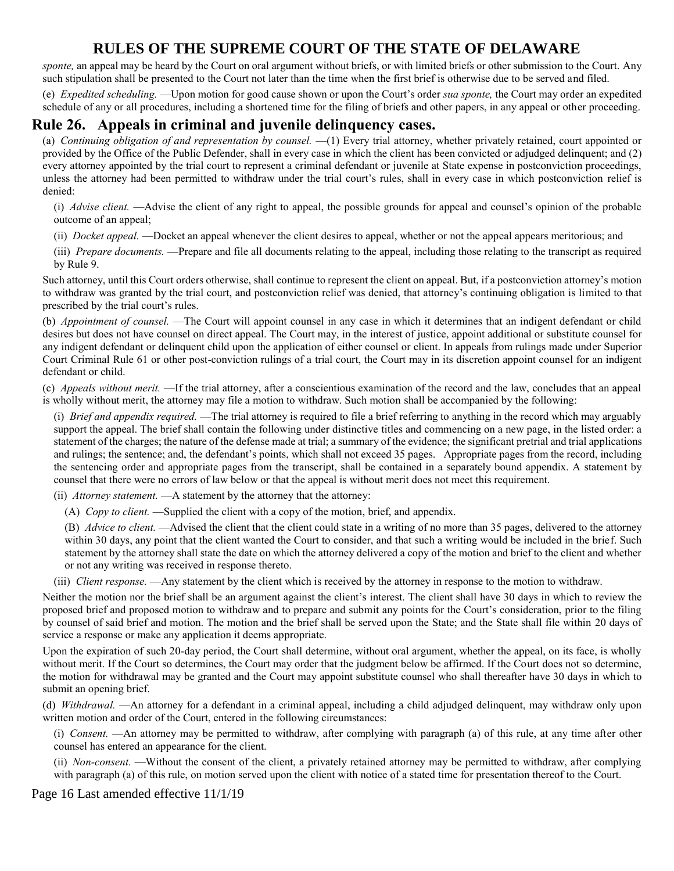sponte, an appeal may be heard by the Court on oral argument without briefs, or with limited briefs or other submission to the Court. Any such stipulation shall be presented to the Court not later than the time when the first brief is otherwise due to be served and filed.

(e) *Expedited scheduling.* —Upon motion for good cause shown or upon the Court's order *sua sponte,* the Court may order an expedited schedule of any or all procedures, including a shortened time for the filing of briefs and other papers, in any appeal or other proceeding.

#### **Rule 26. Appeals in criminal and juvenile delinquency cases.**

(a) *Continuing obligation of and representation by counsel.* —(1) Every trial attorney, whether privately retained, court appointed or provided by the Office of the Public Defender, shall in every case in which the client has been convicted or adjudged delinquent; and (2) every attorney appointed by the trial court to represent a criminal defendant or juvenile at State expense in postconviction proceedings, unless the attorney had been permitted to withdraw under the trial court's rules, shall in every case in which postconviction relief is denied:

(i) *Advise client.* —Advise the client of any right to appeal, the possible grounds for appeal and counsel's opinion of the probable outcome of an appeal;

(ii) *Docket appeal.* —Docket an appeal whenever the client desires to appeal, whether or not the appeal appears meritorious; and

(iii) *Prepare documents.* —Prepare and file all documents relating to the appeal, including those relating to the transcript as required by Rule 9.

Such attorney, until this Court orders otherwise, shall continue to represent the client on appeal. But, if a postconviction attorney's motion to withdraw was granted by the trial court, and postconviction relief was denied, that attorney's continuing obligation is limited to that prescribed by the trial court's rules.

(b) *Appointment of counsel.* —The Court will appoint counsel in any case in which it determines that an indigent defendant or child desires but does not have counsel on direct appeal. The Court may, in the interest of justice, appoint additional or substitute counsel for any indigent defendant or delinquent child upon the application of either counsel or client. In appeals from rulings made under Superior Court Criminal Rule 61 or other post-conviction rulings of a trial court, the Court may in its discretion appoint counsel for an indigent defendant or child.

(c) *Appeals without merit.* —If the trial attorney, after a conscientious examination of the record and the law, concludes that an appeal is wholly without merit, the attorney may file a motion to withdraw. Such motion shall be accompanied by the following:

(i) *Brief and appendix required.* —The trial attorney is required to file a brief referring to anything in the record which may arguably support the appeal. The brief shall contain the following under distinctive titles and commencing on a new page, in the listed order: a statement of the charges; the nature of the defense made at trial; a summary of the evidence; the significant pretrial and trial applications and rulings; the sentence; and, the defendant's points, which shall not exceed 35 pages. Appropriate pages from the record, including the sentencing order and appropriate pages from the transcript, shall be contained in a separately bound appendix. A statement by counsel that there were no errors of law below or that the appeal is without merit does not meet this requirement.

(ii) *Attorney statement*. —A statement by the attorney that the attorney:

(A) *Copy to client.* —Supplied the client with a copy of the motion, brief, and appendix.

(B) *Advice to client.* —Advised the client that the client could state in a writing of no more than 35 pages, delivered to the attorney within 30 days, any point that the client wanted the Court to consider, and that such a writing would be included in the brief. Such statement by the attorney shall state the date on which the attorney delivered a copy of the motion and brief to the client and whether or not any writing was received in response thereto.

(iii) *Client response.* —Any statement by the client which is received by the attorney in response to the motion to withdraw.

Neither the motion nor the brief shall be an argument against the client's interest. The client shall have 30 days in which to review the proposed brief and proposed motion to withdraw and to prepare and submit any points for the Court's consideration, prior to the filing by counsel of said brief and motion. The motion and the brief shall be served upon the State; and the State shall file within 20 days of service a response or make any application it deems appropriate.

Upon the expiration of such 20-day period, the Court shall determine, without oral argument, whether the appeal, on its face, is wholly without merit. If the Court so determines, the Court may order that the judgment below be affirmed. If the Court does not so determine, the motion for withdrawal may be granted and the Court may appoint substitute counsel who shall thereafter have 30 days in which to submit an opening brief.

(d) *Withdrawal.* —An attorney for a defendant in a criminal appeal, including a child adjudged delinquent, may withdraw only upon written motion and order of the Court, entered in the following circumstances:

(i) *Consent.* —An attorney may be permitted to withdraw, after complying with paragraph (a) of this rule, at any time after other counsel has entered an appearance for the client.

(ii) *Non-consent.* —Without the consent of the client, a privately retained attorney may be permitted to withdraw, after complying with paragraph (a) of this rule, on motion served upon the client with notice of a stated time for presentation thereof to the Court.

Page 16 Last amended effective 11/1/19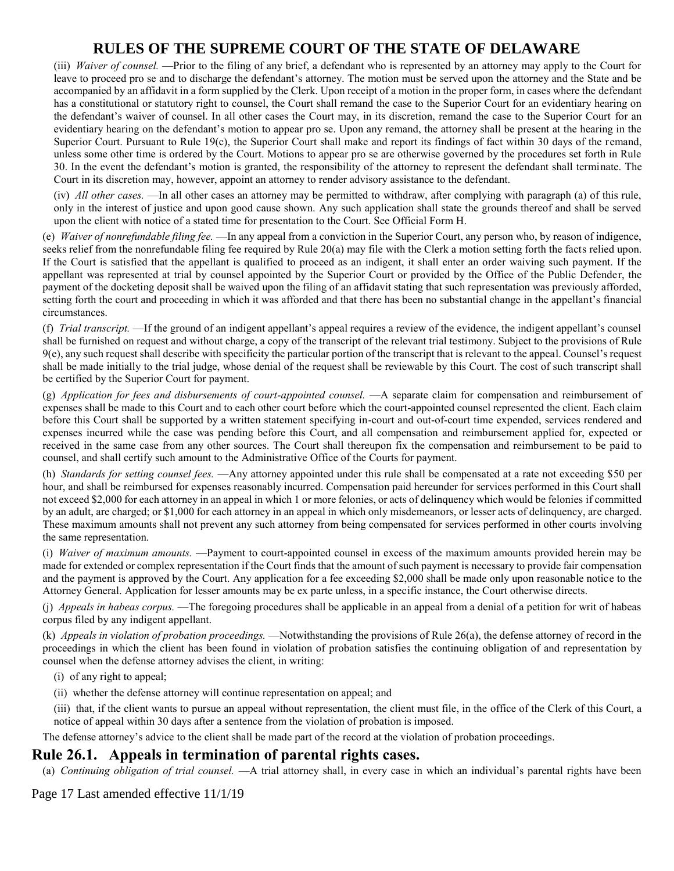(iii) *Waiver of counsel.* —Prior to the filing of any brief, a defendant who is represented by an attorney may apply to the Court for leave to proceed pro se and to discharge the defendant's attorney. The motion must be served upon the attorney and the State and be accompanied by an affidavit in a form supplied by the Clerk. Upon receipt of a motion in the proper form, in cases where the defendant has a constitutional or statutory right to counsel, the Court shall remand the case to the Superior Court for an evidentiary hearing on the defendant's waiver of counsel. In all other cases the Court may, in its discretion, remand the case to the Superior Court for an evidentiary hearing on the defendant's motion to appear pro se. Upon any remand, the attorney shall be present at the hearing in the Superior Court. Pursuant to Rule 19(c), the Superior Court shall make and report its findings of fact within 30 days of the remand, unless some other time is ordered by the Court. Motions to appear pro se are otherwise governed by the procedures set forth in Rule 30. In the event the defendant's motion is granted, the responsibility of the attorney to represent the defendant shall terminate. The Court in its discretion may, however, appoint an attorney to render advisory assistance to the defendant.

(iv) *All other cases.* —In all other cases an attorney may be permitted to withdraw, after complying with paragraph (a) of this rule, only in the interest of justice and upon good cause shown. Any such application shall state the grounds thereof and shall be served upon the client with notice of a stated time for presentation to the Court. See Official Form H.

(e) *Waiver of nonrefundable filing fee.* —In any appeal from a conviction in the Superior Court, any person who, by reason of indigence, seeks relief from the nonrefundable filing fee required by Rule 20(a) may file with the Clerk a motion setting forth the facts relied upon. If the Court is satisfied that the appellant is qualified to proceed as an indigent, it shall enter an order waiving such payment. If the appellant was represented at trial by counsel appointed by the Superior Court or provided by the Office of the Public Defender, the payment of the docketing deposit shall be waived upon the filing of an affidavit stating that such representation was previously afforded, setting forth the court and proceeding in which it was afforded and that there has been no substantial change in the appellant's financial circumstances.

(f) *Trial transcript.* —If the ground of an indigent appellant's appeal requires a review of the evidence, the indigent appellant's counsel shall be furnished on request and without charge, a copy of the transcript of the relevant trial testimony. Subject to the provisions of Rule 9(e), any such request shall describe with specificity the particular portion of the transcript that is relevant to the appeal. Counsel's request shall be made initially to the trial judge, whose denial of the request shall be reviewable by this Court. The cost of such transcript shall be certified by the Superior Court for payment.

(g) *Application for fees and disbursements of court-appointed counsel.* —A separate claim for compensation and reimbursement of expenses shall be made to this Court and to each other court before which the court-appointed counsel represented the client. Each claim before this Court shall be supported by a written statement specifying in-court and out-of-court time expended, services rendered and expenses incurred while the case was pending before this Court, and all compensation and reimbursement applied for, expected or received in the same case from any other sources. The Court shall thereupon fix the compensation and reimbursement to be paid to counsel, and shall certify such amount to the Administrative Office of the Courts for payment.

(h) *Standards for setting counsel fees.* —Any attorney appointed under this rule shall be compensated at a rate not exceeding \$50 per hour, and shall be reimbursed for expenses reasonably incurred. Compensation paid hereunder for services performed in this Court shall not exceed \$2,000 for each attorney in an appeal in which 1 or more felonies, or acts of delinquency which would be felonies if committed by an adult, are charged; or \$1,000 for each attorney in an appeal in which only misdemeanors, or lesser acts of delinquency, are charged. These maximum amounts shall not prevent any such attorney from being compensated for services performed in other courts involving the same representation.

(i) *Waiver of maximum amounts.* —Payment to court-appointed counsel in excess of the maximum amounts provided herein may be made for extended or complex representation if the Court finds that the amount of such payment is necessary to provide fair compensation and the payment is approved by the Court. Any application for a fee exceeding \$2,000 shall be made only upon reasonable notice to the Attorney General. Application for lesser amounts may be ex parte unless, in a specific instance, the Court otherwise directs.

(j) *Appeals in habeas corpus.* —The foregoing procedures shall be applicable in an appeal from a denial of a petition for writ of habeas corpus filed by any indigent appellant.

(k) *Appeals in violation of probation proceedings.* —Notwithstanding the provisions of Rule 26(a), the defense attorney of record in the proceedings in which the client has been found in violation of probation satisfies the continuing obligation of and representation by counsel when the defense attorney advises the client, in writing:

(i) of any right to appeal;

(ii) whether the defense attorney will continue representation on appeal; and

(iii) that, if the client wants to pursue an appeal without representation, the client must file, in the office of the Clerk of this Court, a notice of appeal within 30 days after a sentence from the violation of probation is imposed.

The defense attorney's advice to the client shall be made part of the record at the violation of probation proceedings.

### **Rule 26.1. Appeals in termination of parental rights cases.**

(a) *Continuing obligation of trial counsel.* —A trial attorney shall, in every case in which an individual's parental rights have been

#### Page 17 Last amended effective 11/1/19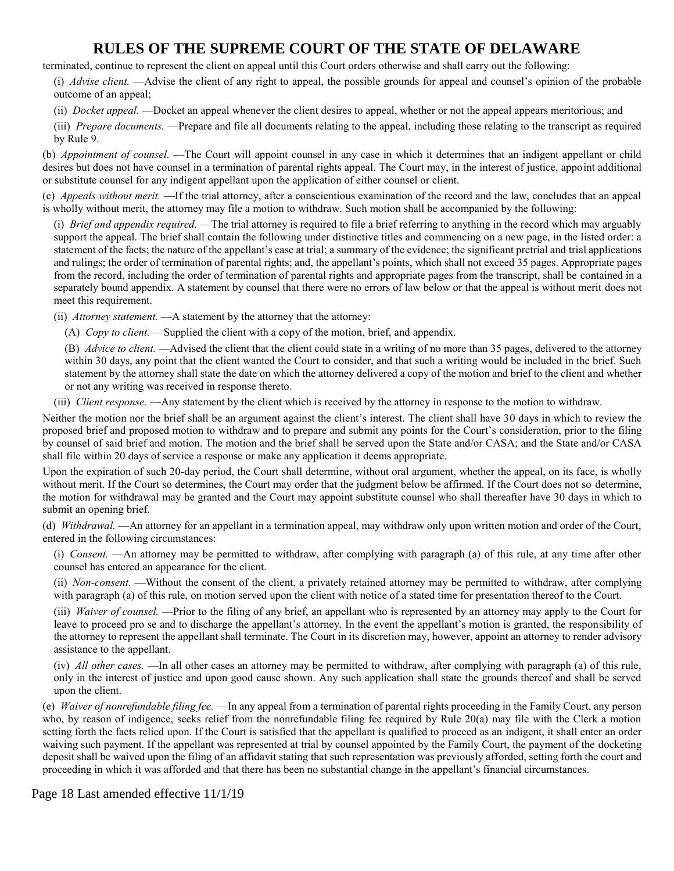terminated, continue to represent the client on appeal until this Court orders otherwise and shall carry out the following:

(i) *Advise client.* —Advise the client of any right to appeal, the possible grounds for appeal and counsel's opinion of the probable outcome of an appeal;

(ii) *Docket appeal.* —Docket an appeal whenever the client desires to appeal, whether or not the appeal appears meritorious; and

(iii) *Prepare documents.* —Prepare and file all documents relating to the appeal, including those relating to the transcript as required by Rule 9.

(b) *Appointment of counsel.* —The Court will appoint counsel in any case in which it determines that an indigent appellant or child desires but does not have counsel in a termination of parental rights appeal. The Court may, in the interest of justice, appoint additional or substitute counsel for any indigent appellant upon the application of either counsel or client.

(c) *Appeals without merit.* —If the trial attorney, after a conscientious examination of the record and the law, concludes that an appeal is wholly without merit, the attorney may file a motion to withdraw. Such motion shall be accompanied by the following:

(i) *Brief and appendix required.* —The trial attorney is required to file a brief referring to anything in the record which may arguably support the appeal. The brief shall contain the following under distinctive titles and commencing on a new page, in the listed order: a statement of the facts; the nature of the appellant's case at trial; a summary of the evidence; the significant pretrial and trial applications and rulings; the order of termination of parental rights; and, the appellant's points, which shall not exceed 35 pages. Appropriate pages from the record, including the order of termination of parental rights and appropriate pages from the transcript, shall be contained in a separately bound appendix. A statement by counsel that there were no errors of law below or that the appeal is without merit does not meet this requirement.

(ii) *Attorney statement*. —A statement by the attorney that the attorney:

(A) *Copy to client.* —Supplied the client with a copy of the motion, brief, and appendix.

(B) *Advice to client.* —Advised the client that the client could state in a writing of no more than 35 pages, delivered to the attorney within 30 days, any point that the client wanted the Court to consider, and that such a writing would be included in the brief. Such statement by the attorney shall state the date on which the attorney delivered a copy of the motion and brief to the client and whether or not any writing was received in response thereto.

(iii) *Client response.* —Any statement by the client which is received by the attorney in response to the motion to withdraw.

Neither the motion nor the brief shall be an argument against the client's interest. The client shall have 30 days in which to review the proposed brief and proposed motion to withdraw and to prepare and submit any points for the Court's consideration, prior to the filing by counsel of said brief and motion. The motion and the brief shall be served upon the State and/or CASA; and the State and/or CASA shall file within 20 days of service a response or make any application it deems appropriate.

Upon the expiration of such 20-day period, the Court shall determine, without oral argument, whether the appeal, on its face, is wholly without merit. If the Court so determines, the Court may order that the judgment below be affirmed. If the Court does not so determine, the motion for withdrawal may be granted and the Court may appoint substitute counsel who shall thereafter have 30 days in which to submit an opening brief.

(d) *Withdrawal.* —An attorney for an appellant in a termination appeal, may withdraw only upon written motion and order of the Court, entered in the following circumstances:

(i) *Consent.* —An attorney may be permitted to withdraw, after complying with paragraph (a) of this rule, at any time after other counsel has entered an appearance for the client.

(ii) *Non-consent.* —Without the consent of the client, a privately retained attorney may be permitted to withdraw, after complying with paragraph (a) of this rule, on motion served upon the client with notice of a stated time for presentation thereof to the Court.

(iii) *Waiver of counsel.* —Prior to the filing of any brief, an appellant who is represented by an attorney may apply to the Court for leave to proceed pro se and to discharge the appellant's attorney. In the event the appellant's motion is granted, the responsibility of the attorney to represent the appellant shall terminate. The Court in its discretion may, however, appoint an attorney to render advisory assistance to the appellant.

(iv) *All other cases.* —In all other cases an attorney may be permitted to withdraw, after complying with paragraph (a) of this rule, only in the interest of justice and upon good cause shown. Any such application shall state the grounds thereof and shall be served upon the client.

(e) *Waiver of nonrefundable filing fee.* —In any appeal from a termination of parental rights proceeding in the Family Court, any person who, by reason of indigence, seeks relief from the nonrefundable filing fee required by Rule 20(a) may file with the Clerk a motion setting forth the facts relied upon. If the Court is satisfied that the appellant is qualified to proceed as an indigent, it shall enter an order waiving such payment. If the appellant was represented at trial by counsel appointed by the Family Court, the payment of the docketing deposit shall be waived upon the filing of an affidavit stating that such representation was previously afforded, setting forth the court and proceeding in which it was afforded and that there has been no substantial change in the appellant's financial circumstances.

Page 18 Last amended effective 11/1/19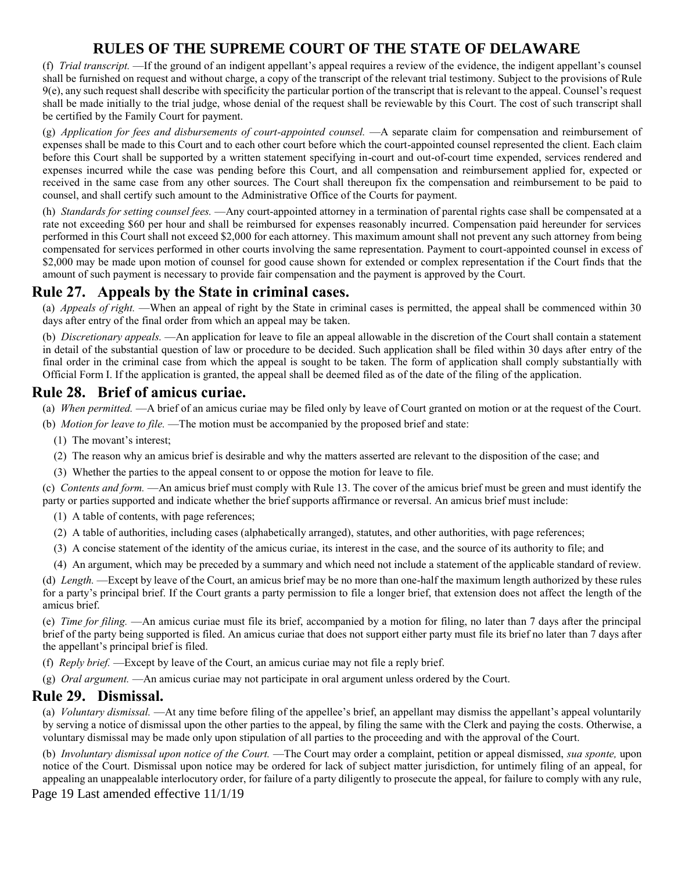(f) *Trial transcript.* —If the ground of an indigent appellant's appeal requires a review of the evidence, the indigent appellant's counsel shall be furnished on request and without charge, a copy of the transcript of the relevant trial testimony. Subject to the provisions of Rule 9(e), any such request shall describe with specificity the particular portion of the transcript that is relevant to the appeal. Counsel's request shall be made initially to the trial judge, whose denial of the request shall be reviewable by this Court. The cost of such transcript shall be certified by the Family Court for payment.

(g) *Application for fees and disbursements of court-appointed counsel.* —A separate claim for compensation and reimbursement of expenses shall be made to this Court and to each other court before which the court-appointed counsel represented the client. Each claim before this Court shall be supported by a written statement specifying in-court and out-of-court time expended, services rendered and expenses incurred while the case was pending before this Court, and all compensation and reimbursement applied for, expected or received in the same case from any other sources. The Court shall thereupon fix the compensation and reimbursement to be paid to counsel, and shall certify such amount to the Administrative Office of the Courts for payment.

(h) *Standards for setting counsel fees.* —Any court-appointed attorney in a termination of parental rights case shall be compensated at a rate not exceeding \$60 per hour and shall be reimbursed for expenses reasonably incurred. Compensation paid hereunder for services performed in this Court shall not exceed \$2,000 for each attorney. This maximum amount shall not prevent any such attorney from being compensated for services performed in other courts involving the same representation. Payment to court-appointed counsel in excess of \$2,000 may be made upon motion of counsel for good cause shown for extended or complex representation if the Court finds that the amount of such payment is necessary to provide fair compensation and the payment is approved by the Court.

### **Rule 27. Appeals by the State in criminal cases.**

(a) *Appeals of right.* —When an appeal of right by the State in criminal cases is permitted, the appeal shall be commenced within 30 days after entry of the final order from which an appeal may be taken.

(b) *Discretionary appeals.* —An application for leave to file an appeal allowable in the discretion of the Court shall contain a statement in detail of the substantial question of law or procedure to be decided. Such application shall be filed within 30 days after entry of the final order in the criminal case from which the appeal is sought to be taken. The form of application shall comply substantially with Official Form I. If the application is granted, the appeal shall be deemed filed as of the date of the filing of the application.

#### **Rule 28. Brief of amicus curiae.**

(a) *When permitted.* —A brief of an amicus curiae may be filed only by leave of Court granted on motion or at the request of the Court.

- (b) *Motion for leave to file.* —The motion must be accompanied by the proposed brief and state:
	- (1) The movant's interest;
	- (2) The reason why an amicus brief is desirable and why the matters asserted are relevant to the disposition of the case; and
	- (3) Whether the parties to the appeal consent to or oppose the motion for leave to file.

(c) *Contents and form.* —An amicus brief must comply with Rule 13. The cover of the amicus brief must be green and must identify the party or parties supported and indicate whether the brief supports affirmance or reversal. An amicus brief must include:

- (1) A table of contents, with page references;
- (2) A table of authorities, including cases (alphabetically arranged), statutes, and other authorities, with page references;
- (3) A concise statement of the identity of the amicus curiae, its interest in the case, and the source of its authority to file; and
- (4) An argument, which may be preceded by a summary and which need not include a statement of the applicable standard of review.

(d) *Length.* —Except by leave of the Court, an amicus brief may be no more than one-half the maximum length authorized by these rules for a party's principal brief. If the Court grants a party permission to file a longer brief, that extension does not affect the length of the amicus brief.

(e) *Time for filing.* —An amicus curiae must file its brief, accompanied by a motion for filing, no later than 7 days after the principal brief of the party being supported is filed. An amicus curiae that does not support either party must file its brief no later than 7 days after the appellant's principal brief is filed.

- (f) *Reply brief.* —Except by leave of the Court, an amicus curiae may not file a reply brief.
- (g) *Oral argument.* —An amicus curiae may not participate in oral argument unless ordered by the Court.

#### **Rule 29. Dismissal.**

(a) *Voluntary dismissal.* —At any time before filing of the appellee's brief, an appellant may dismiss the appellant's appeal voluntarily by serving a notice of dismissal upon the other parties to the appeal, by filing the same with the Clerk and paying the costs. Otherwise, a voluntary dismissal may be made only upon stipulation of all parties to the proceeding and with the approval of the Court.

(b) *Involuntary dismissal upon notice of the Court.* —The Court may order a complaint, petition or appeal dismissed, *sua sponte,* upon notice of the Court. Dismissal upon notice may be ordered for lack of subject matter jurisdiction, for untimely filing of an appeal, for appealing an unappealable interlocutory order, for failure of a party diligently to prosecute the appeal, for failure to comply with any rule,

Page 19 Last amended effective 11/1/19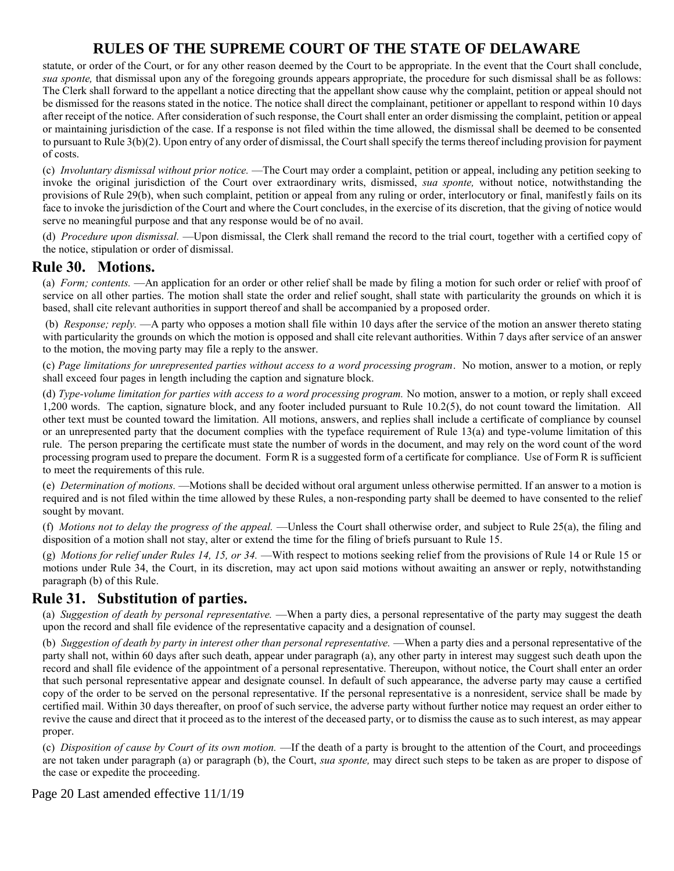statute, or order of the Court, or for any other reason deemed by the Court to be appropriate. In the event that the Court shall conclude, *sua sponte,* that dismissal upon any of the foregoing grounds appears appropriate, the procedure for such dismissal shall be as follows: The Clerk shall forward to the appellant a notice directing that the appellant show cause why the complaint, petition or appeal should not be dismissed for the reasons stated in the notice. The notice shall direct the complainant, petitioner or appellant to respond within 10 days after receipt of the notice. After consideration of such response, the Court shall enter an order dismissing the complaint, petition or appeal or maintaining jurisdiction of the case. If a response is not filed within the time allowed, the dismissal shall be deemed to be consented to pursuant to Rule 3(b)(2). Upon entry of any order of dismissal, the Court shall specify the terms thereof including provision for payment of costs.

(c) *Involuntary dismissal without prior notice.* —The Court may order a complaint, petition or appeal, including any petition seeking to invoke the original jurisdiction of the Court over extraordinary writs, dismissed, *sua sponte,* without notice, notwithstanding the provisions of Rule 29(b), when such complaint, petition or appeal from any ruling or order, interlocutory or final, manifestly fails on its face to invoke the jurisdiction of the Court and where the Court concludes, in the exercise of its discretion, that the giving of notice would serve no meaningful purpose and that any response would be of no avail.

(d) *Procedure upon dismissal.* —Upon dismissal, the Clerk shall remand the record to the trial court, together with a certified copy of the notice, stipulation or order of dismissal.

#### **Rule 30. Motions.**

(a) *Form; contents.* —An application for an order or other relief shall be made by filing a motion for such order or relief with proof of service on all other parties. The motion shall state the order and relief sought, shall state with particularity the grounds on which it is based, shall cite relevant authorities in support thereof and shall be accompanied by a proposed order.

(b) *Response; reply.* —A party who opposes a motion shall file within 10 days after the service of the motion an answer thereto stating with particularity the grounds on which the motion is opposed and shall cite relevant authorities. Within 7 days after service of an answer to the motion, the moving party may file a reply to the answer.

(c) *Page limitations for unrepresented parties without access to a word processing program*. No motion, answer to a motion, or reply shall exceed four pages in length including the caption and signature block.

(d) *Type-volume limitation for parties with access to a word processing program.* No motion, answer to a motion, or reply shall exceed 1,200 words. The caption, signature block, and any footer included pursuant to Rule 10.2(5), do not count toward the limitation. All other text must be counted toward the limitation. All motions, answers, and replies shall include a certificate of compliance by counsel or an unrepresented party that the document complies with the typeface requirement of Rule 13(a) and type-volume limitation of this rule. The person preparing the certificate must state the number of words in the document, and may rely on the word count of the word processing program used to prepare the document. Form R is a suggested form of a certificate for compliance. Use of Form R is sufficient to meet the requirements of this rule.

(e) *Determination of motions.* —Motions shall be decided without oral argument unless otherwise permitted. If an answer to a motion is required and is not filed within the time allowed by these Rules, a non-responding party shall be deemed to have consented to the relief sought by movant.

(f) *Motions not to delay the progress of the appeal.* —Unless the Court shall otherwise order, and subject to Rule 25(a), the filing and disposition of a motion shall not stay, alter or extend the time for the filing of briefs pursuant to Rule 15.

(g) *Motions for relief under Rules 14, 15, or 34.* —With respect to motions seeking relief from the provisions of Rule 14 or Rule 15 or motions under Rule 34, the Court, in its discretion, may act upon said motions without awaiting an answer or reply, notwithstanding paragraph (b) of this Rule.

### **Rule 31. Substitution of parties.**

(a) *Suggestion of death by personal representative.* —When a party dies, a personal representative of the party may suggest the death upon the record and shall file evidence of the representative capacity and a designation of counsel.

(b) *Suggestion of death by party in interest other than personal representative.* —When a party dies and a personal representative of the party shall not, within 60 days after such death, appear under paragraph (a), any other party in interest may suggest such death upon the record and shall file evidence of the appointment of a personal representative. Thereupon, without notice, the Court shall enter an order that such personal representative appear and designate counsel. In default of such appearance, the adverse party may cause a certified copy of the order to be served on the personal representative. If the personal representative is a nonresident, service shall be made by certified mail. Within 30 days thereafter, on proof of such service, the adverse party without further notice may request an order either to revive the cause and direct that it proceed as to the interest of the deceased party, or to dismiss the cause as to such interest, as may appear proper.

(c) *Disposition of cause by Court of its own motion.* —If the death of a party is brought to the attention of the Court, and proceedings are not taken under paragraph (a) or paragraph (b), the Court, *sua sponte,* may direct such steps to be taken as are proper to dispose of the case or expedite the proceeding.

Page 20 Last amended effective 11/1/19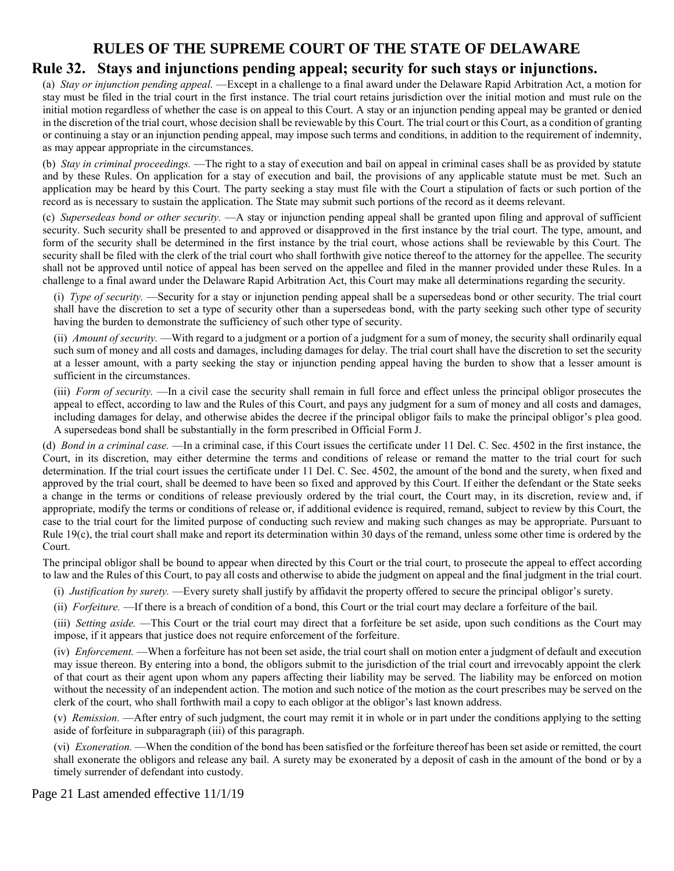# **Rule 32. Stays and injunctions pending appeal; security for such stays or injunctions.**

(a) *Stay or injunction pending appeal.* —Except in a challenge to a final award under the Delaware Rapid Arbitration Act, a motion for stay must be filed in the trial court in the first instance. The trial court retains jurisdiction over the initial motion and must rule on the initial motion regardless of whether the case is on appeal to this Court. A stay or an injunction pending appeal may be granted or denied in the discretion of the trial court, whose decision shall be reviewable by this Court. The trial court or this Court, as a condition of granting or continuing a stay or an injunction pending appeal, may impose such terms and conditions, in addition to the requirement of indemnity, as may appear appropriate in the circumstances.

(b) *Stay in criminal proceedings.* —The right to a stay of execution and bail on appeal in criminal cases shall be as provided by statute and by these Rules. On application for a stay of execution and bail, the provisions of any applicable statute must be met. Such an application may be heard by this Court. The party seeking a stay must file with the Court a stipulation of facts or such portion of the record as is necessary to sustain the application. The State may submit such portions of the record as it deems relevant.

(c) *Supersedeas bond or other security.* —A stay or injunction pending appeal shall be granted upon filing and approval of sufficient security. Such security shall be presented to and approved or disapproved in the first instance by the trial court. The type, amount, and form of the security shall be determined in the first instance by the trial court, whose actions shall be reviewable by this Court. The security shall be filed with the clerk of the trial court who shall forthwith give notice thereof to the attorney for the appellee. The security shall not be approved until notice of appeal has been served on the appellee and filed in the manner provided under these Rules. In a challenge to a final award under the Delaware Rapid Arbitration Act, this Court may make all determinations regarding the security.

(i) *Type of security.* —Security for a stay or injunction pending appeal shall be a supersedeas bond or other security. The trial court shall have the discretion to set a type of security other than a supersedeas bond, with the party seeking such other type of security having the burden to demonstrate the sufficiency of such other type of security.

(ii) *Amount of security.* —With regard to a judgment or a portion of a judgment for a sum of money, the security shall ordinarily equal such sum of money and all costs and damages, including damages for delay. The trial court shall have the discretion to set the security at a lesser amount, with a party seeking the stay or injunction pending appeal having the burden to show that a lesser amount is sufficient in the circumstances.

(iii) *Form of security.* —In a civil case the security shall remain in full force and effect unless the principal obligor prosecutes the appeal to effect, according to law and the Rules of this Court, and pays any judgment for a sum of money and all costs and damages, including damages for delay, and otherwise abides the decree if the principal obligor fails to make the principal obligor's plea good. A supersedeas bond shall be substantially in the form prescribed in Official Form J.

(d) *Bond in a criminal case.* —In a criminal case, if this Court issues the certificate under 11 Del. C. Sec. 4502 in the first instance, the Court, in its discretion, may either determine the terms and conditions of release or remand the matter to the trial court for such determination. If the trial court issues the certificate under 11 Del. C. Sec. 4502, the amount of the bond and the surety, when fixed and approved by the trial court, shall be deemed to have been so fixed and approved by this Court. If either the defendant or the State seeks a change in the terms or conditions of release previously ordered by the trial court, the Court may, in its discretion, review and, if appropriate, modify the terms or conditions of release or, if additional evidence is required, remand, subject to review by this Court, the case to the trial court for the limited purpose of conducting such review and making such changes as may be appropriate. Pursuant to Rule 19(c), the trial court shall make and report its determination within 30 days of the remand, unless some other time is ordered by the Court.

The principal obligor shall be bound to appear when directed by this Court or the trial court, to prosecute the appeal to effect according to law and the Rules of this Court, to pay all costs and otherwise to abide the judgment on appeal and the final judgment in the trial court.

(i) *Justification by surety.* —Every surety shall justify by affidavit the property offered to secure the principal obligor's surety.

(ii) *Forfeiture.* —If there is a breach of condition of a bond, this Court or the trial court may declare a forfeiture of the bail.

(iii) *Setting aside.* —This Court or the trial court may direct that a forfeiture be set aside, upon such conditions as the Court may impose, if it appears that justice does not require enforcement of the forfeiture.

(iv) *Enforcement*. —When a forfeiture has not been set aside, the trial court shall on motion enter a judgment of default and execution may issue thereon. By entering into a bond, the obligors submit to the jurisdiction of the trial court and irrevocably appoint the clerk of that court as their agent upon whom any papers affecting their liability may be served. The liability may be enforced on motion without the necessity of an independent action. The motion and such notice of the motion as the court prescribes may be served on the clerk of the court, who shall forthwith mail a copy to each obligor at the obligor's last known address.

(v) *Remission.* —After entry of such judgment, the court may remit it in whole or in part under the conditions applying to the setting aside of forfeiture in subparagraph (iii) of this paragraph.

(vi) *Exoneration.* —When the condition of the bond has been satisfied or the forfeiture thereof has been set aside or remitted, the court shall exonerate the obligors and release any bail. A surety may be exonerated by a deposit of cash in the amount of the bond or by a timely surrender of defendant into custody.

Page 21 Last amended effective 11/1/19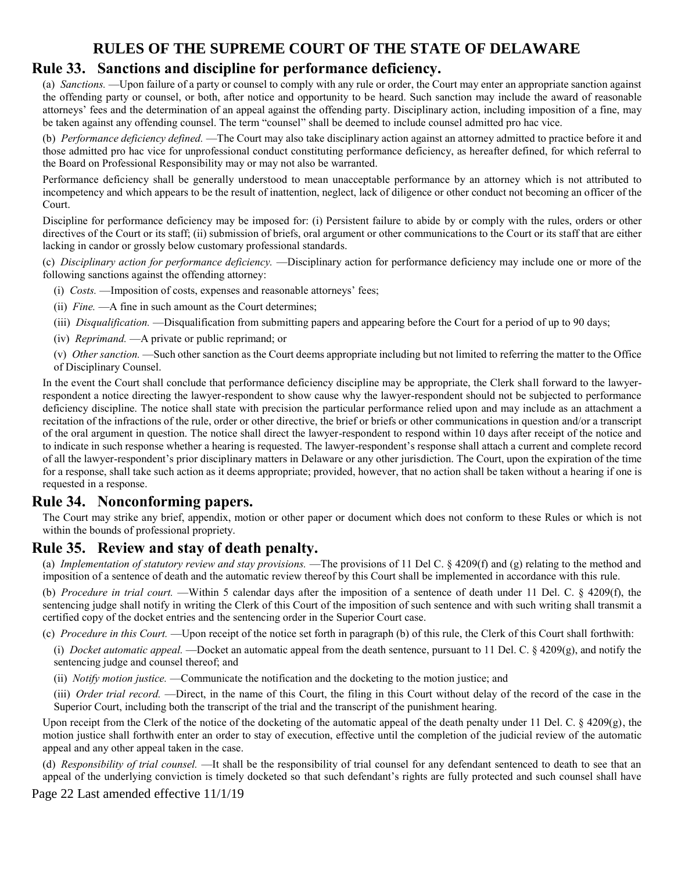## **Rule 33. Sanctions and discipline for performance deficiency.**

(a) *Sanctions.* —Upon failure of a party or counsel to comply with any rule or order, the Court may enter an appropriate sanction against the offending party or counsel, or both, after notice and opportunity to be heard. Such sanction may include the award of reasonable attorneys' fees and the determination of an appeal against the offending party. Disciplinary action, including imposition of a fine, may be taken against any offending counsel. The term "counsel" shall be deemed to include counsel admitted pro hac vice.

(b) *Performance deficiency defined.* —The Court may also take disciplinary action against an attorney admitted to practice before it and those admitted pro hac vice for unprofessional conduct constituting performance deficiency, as hereafter defined, for which referral to the Board on Professional Responsibility may or may not also be warranted.

Performance deficiency shall be generally understood to mean unacceptable performance by an attorney which is not attributed to incompetency and which appears to be the result of inattention, neglect, lack of diligence or other conduct not becoming an officer of the Court.

Discipline for performance deficiency may be imposed for: (i) Persistent failure to abide by or comply with the rules, orders or other directives of the Court or its staff; (ii) submission of briefs, oral argument or other communications to the Court or its staff that are either lacking in candor or grossly below customary professional standards.

(c) *Disciplinary action for performance deficiency.* —Disciplinary action for performance deficiency may include one or more of the following sanctions against the offending attorney:

- (i) *Costs.* —Imposition of costs, expenses and reasonable attorneys' fees;
- (ii) *Fine.* —A fine in such amount as the Court determines;
- (iii) *Disqualification.* —Disqualification from submitting papers and appearing before the Court for a period of up to 90 days;
- (iv) *Reprimand.* —A private or public reprimand; or
- (v) *Other sanction.* —Such other sanction as the Court deems appropriate including but not limited to referring the matter to the Office of Disciplinary Counsel.

In the event the Court shall conclude that performance deficiency discipline may be appropriate, the Clerk shall forward to the lawyerrespondent a notice directing the lawyer-respondent to show cause why the lawyer-respondent should not be subjected to performance deficiency discipline. The notice shall state with precision the particular performance relied upon and may include as an attachment a recitation of the infractions of the rule, order or other directive, the brief or briefs or other communications in question and/or a transcript of the oral argument in question. The notice shall direct the lawyer-respondent to respond within 10 days after receipt of the notice and to indicate in such response whether a hearing is requested. The lawyer-respondent's response shall attach a current and complete record of all the lawyer-respondent's prior disciplinary matters in Delaware or any other jurisdiction. The Court, upon the expiration of the time for a response, shall take such action as it deems appropriate; provided, however, that no action shall be taken without a hearing if one is requested in a response.

### **Rule 34. Nonconforming papers.**

The Court may strike any brief, appendix, motion or other paper or document which does not conform to these Rules or which is not within the bounds of professional propriety.

#### **Rule 35. Review and stay of death penalty.**

(a) *Implementation of statutory review and stay provisions.* —The provisions of 11 Del C. § 4209(f) and (g) relating to the method and imposition of a sentence of death and the automatic review thereof by this Court shall be implemented in accordance with this rule.

(b) *Procedure in trial court.* —Within 5 calendar days after the imposition of a sentence of death under 11 Del. C. § 4209(f), the sentencing judge shall notify in writing the Clerk of this Court of the imposition of such sentence and with such writing shall transmit a certified copy of the docket entries and the sentencing order in the Superior Court case.

(c) *Procedure in this Court.* —Upon receipt of the notice set forth in paragraph (b) of this rule, the Clerk of this Court shall forthwith:

(i) *Docket automatic appeal.* —Docket an automatic appeal from the death sentence, pursuant to 11 Del. C. § 4209(g), and notify the sentencing judge and counsel thereof; and

(ii) *Notify motion justice.* —Communicate the notification and the docketing to the motion justice; and

(iii) *Order trial record.* —Direct, in the name of this Court, the filing in this Court without delay of the record of the case in the Superior Court, including both the transcript of the trial and the transcript of the punishment hearing.

Upon receipt from the Clerk of the notice of the docketing of the automatic appeal of the death penalty under 11 Del. C.  $\S$  4209(g), the motion justice shall forthwith enter an order to stay of execution, effective until the completion of the judicial review of the automatic appeal and any other appeal taken in the case.

(d) *Responsibility of trial counsel.* —It shall be the responsibility of trial counsel for any defendant sentenced to death to see that an appeal of the underlying conviction is timely docketed so that such defendant's rights are fully protected and such counsel shall have

Page 22 Last amended effective 11/1/19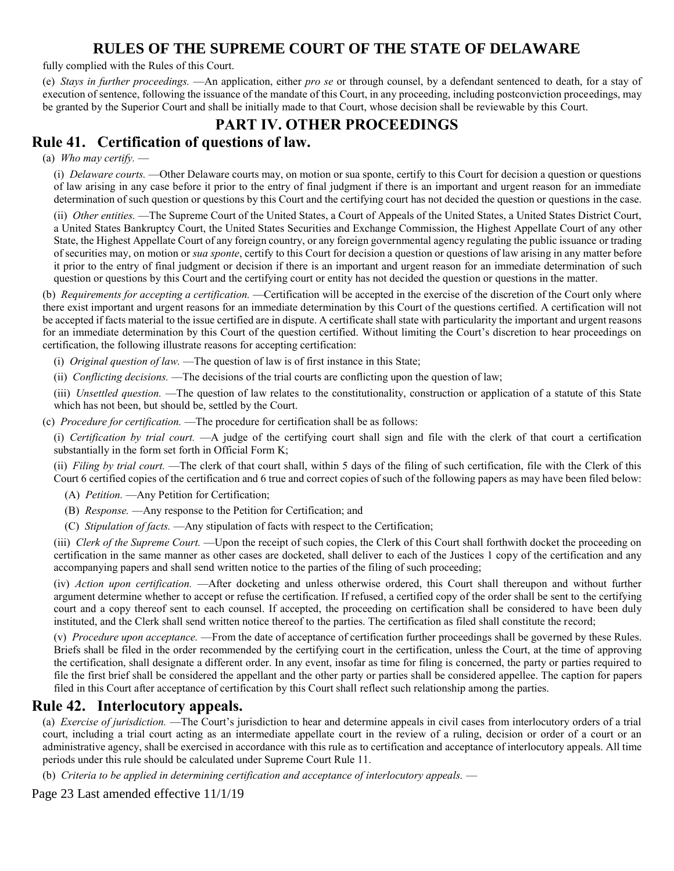fully complied with the Rules of this Court.

(e) *Stays in further proceedings.* —An application, either *pro se* or through counsel, by a defendant sentenced to death, for a stay of execution of sentence, following the issuance of the mandate of this Court, in any proceeding, including postconviction proceedings, may be granted by the Superior Court and shall be initially made to that Court, whose decision shall be reviewable by this Court.

## **PART IV. OTHER PROCEEDINGS**

## **Rule 41. Certification of questions of law.**

(a) *Who may certify.* —

(i) *Delaware courts.* —Other Delaware courts may, on motion or sua sponte, certify to this Court for decision a question or questions of law arising in any case before it prior to the entry of final judgment if there is an important and urgent reason for an immediate determination of such question or questions by this Court and the certifying court has not decided the question or questions in the case.

(ii) *Other entities.* —The Supreme Court of the United States, a Court of Appeals of the United States, a United States District Court, a United States Bankruptcy Court, the United States Securities and Exchange Commission, the Highest Appellate Court of any other State, the Highest Appellate Court of any foreign country, or any foreign governmental agency regulating the public issuance or trading of securities may, on motion or *sua sponte*, certify to this Court for decision a question or questions of law arising in any matter before it prior to the entry of final judgment or decision if there is an important and urgent reason for an immediate determination of such question or questions by this Court and the certifying court or entity has not decided the question or questions in the matter.

(b) *Requirements for accepting a certification.* —Certification will be accepted in the exercise of the discretion of the Court only where there exist important and urgent reasons for an immediate determination by this Court of the questions certified. A certification will not be accepted if facts material to the issue certified are in dispute. A certificate shall state with particularity the important and urgent reasons for an immediate determination by this Court of the question certified. Without limiting the Court's discretion to hear proceedings on certification, the following illustrate reasons for accepting certification:

(i) *Original question of law.* —The question of law is of first instance in this State;

(ii) *Conflicting decisions.* —The decisions of the trial courts are conflicting upon the question of law;

(iii) *Unsettled question.* —The question of law relates to the constitutionality, construction or application of a statute of this State which has not been, but should be, settled by the Court.

(c) *Procedure for certification.* —The procedure for certification shall be as follows:

(i) *Certification by trial court.* —A judge of the certifying court shall sign and file with the clerk of that court a certification substantially in the form set forth in Official Form K;

(ii) *Filing by trial court.* —The clerk of that court shall, within 5 days of the filing of such certification, file with the Clerk of this Court 6 certified copies of the certification and 6 true and correct copies of such of the following papers as may have been filed below:

- (A) *Petition.* —Any Petition for Certification;
- (B) *Response.* —Any response to the Petition for Certification; and
- (C) *Stipulation of facts.* —Any stipulation of facts with respect to the Certification;

(iii) *Clerk of the Supreme Court.* —Upon the receipt of such copies, the Clerk of this Court shall forthwith docket the proceeding on certification in the same manner as other cases are docketed, shall deliver to each of the Justices 1 copy of the certification and any accompanying papers and shall send written notice to the parties of the filing of such proceeding;

(iv) *Action upon certification.* —After docketing and unless otherwise ordered, this Court shall thereupon and without further argument determine whether to accept or refuse the certification. If refused, a certified copy of the order shall be sent to the certifying court and a copy thereof sent to each counsel. If accepted, the proceeding on certification shall be considered to have been duly instituted, and the Clerk shall send written notice thereof to the parties. The certification as filed shall constitute the record;

(v) *Procedure upon acceptance.* —From the date of acceptance of certification further proceedings shall be governed by these Rules. Briefs shall be filed in the order recommended by the certifying court in the certification, unless the Court, at the time of approving the certification, shall designate a different order. In any event, insofar as time for filing is concerned, the party or parties required to file the first brief shall be considered the appellant and the other party or parties shall be considered appellee. The caption for papers filed in this Court after acceptance of certification by this Court shall reflect such relationship among the parties.

#### **Rule 42. Interlocutory appeals.**

(a) *Exercise of jurisdiction.* —The Court's jurisdiction to hear and determine appeals in civil cases from interlocutory orders of a trial court, including a trial court acting as an intermediate appellate court in the review of a ruling, decision or order of a court or an administrative agency, shall be exercised in accordance with this rule as to certification and acceptance of interlocutory appeals. All time periods under this rule should be calculated under Supreme Court Rule 11.

(b) *Criteria to be applied in determining certification and acceptance of interlocutory appeals.* —

Page 23 Last amended effective 11/1/19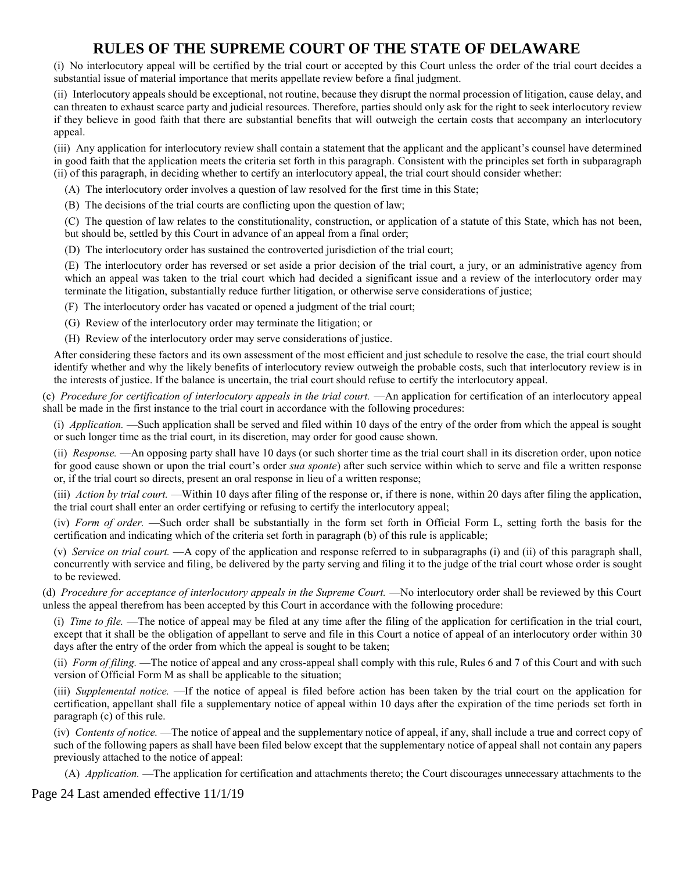(i) No interlocutory appeal will be certified by the trial court or accepted by this Court unless the order of the trial court decides a substantial issue of material importance that merits appellate review before a final judgment.

(ii) Interlocutory appeals should be exceptional, not routine, because they disrupt the normal procession of litigation, cause delay, and can threaten to exhaust scarce party and judicial resources. Therefore, parties should only ask for the right to seek interlocutory review if they believe in good faith that there are substantial benefits that will outweigh the certain costs that accompany an interlocutory appeal.

(iii) Any application for interlocutory review shall contain a statement that the applicant and the applicant's counsel have determined in good faith that the application meets the criteria set forth in this paragraph. Consistent with the principles set forth in subparagraph (ii) of this paragraph, in deciding whether to certify an interlocutory appeal, the trial court should consider whether:

(A) The interlocutory order involves a question of law resolved for the first time in this State;

(B) The decisions of the trial courts are conflicting upon the question of law;

(C) The question of law relates to the constitutionality, construction, or application of a statute of this State, which has not been, but should be, settled by this Court in advance of an appeal from a final order;

(D) The interlocutory order has sustained the controverted jurisdiction of the trial court;

(E) The interlocutory order has reversed or set aside a prior decision of the trial court, a jury, or an administrative agency from which an appeal was taken to the trial court which had decided a significant issue and a review of the interlocutory order may terminate the litigation, substantially reduce further litigation, or otherwise serve considerations of justice;

(F) The interlocutory order has vacated or opened a judgment of the trial court;

(G) Review of the interlocutory order may terminate the litigation; or

(H) Review of the interlocutory order may serve considerations of justice.

After considering these factors and its own assessment of the most efficient and just schedule to resolve the case, the trial court should identify whether and why the likely benefits of interlocutory review outweigh the probable costs, such that interlocutory review is in the interests of justice. If the balance is uncertain, the trial court should refuse to certify the interlocutory appeal.

(c) *Procedure for certification of interlocutory appeals in the trial court.* —An application for certification of an interlocutory appeal shall be made in the first instance to the trial court in accordance with the following procedures:

(i) *Application.* —Such application shall be served and filed within 10 days of the entry of the order from which the appeal is sought or such longer time as the trial court, in its discretion, may order for good cause shown.

(ii) *Response.* —An opposing party shall have 10 days (or such shorter time as the trial court shall in its discretion order, upon notice for good cause shown or upon the trial court's order *sua sponte*) after such service within which to serve and file a written response or, if the trial court so directs, present an oral response in lieu of a written response;

(iii) *Action by trial court.* —Within 10 days after filing of the response or, if there is none, within 20 days after filing the application, the trial court shall enter an order certifying or refusing to certify the interlocutory appeal;

(iv) *Form of order.* —Such order shall be substantially in the form set forth in Official Form L, setting forth the basis for the certification and indicating which of the criteria set forth in paragraph (b) of this rule is applicable;

(v) *Service on trial court.* —A copy of the application and response referred to in subparagraphs (i) and (ii) of this paragraph shall, concurrently with service and filing, be delivered by the party serving and filing it to the judge of the trial court whose order is sought to be reviewed.

(d) *Procedure for acceptance of interlocutory appeals in the Supreme Court.* —No interlocutory order shall be reviewed by this Court unless the appeal therefrom has been accepted by this Court in accordance with the following procedure:

(i) *Time to file.* —The notice of appeal may be filed at any time after the filing of the application for certification in the trial court, except that it shall be the obligation of appellant to serve and file in this Court a notice of appeal of an interlocutory order within 30 days after the entry of the order from which the appeal is sought to be taken;

(ii) *Form of filing.* —The notice of appeal and any cross-appeal shall comply with this rule, Rules 6 and 7 of this Court and with such version of Official Form M as shall be applicable to the situation;

(iii) *Supplemental notice.* —If the notice of appeal is filed before action has been taken by the trial court on the application for certification, appellant shall file a supplementary notice of appeal within 10 days after the expiration of the time periods set forth in paragraph (c) of this rule.

(iv) *Contents of notice.* —The notice of appeal and the supplementary notice of appeal, if any, shall include a true and correct copy of such of the following papers as shall have been filed below except that the supplementary notice of appeal shall not contain any papers previously attached to the notice of appeal:

(A) *Application.* —The application for certification and attachments thereto; the Court discourages unnecessary attachments to the

Page 24 Last amended effective 11/1/19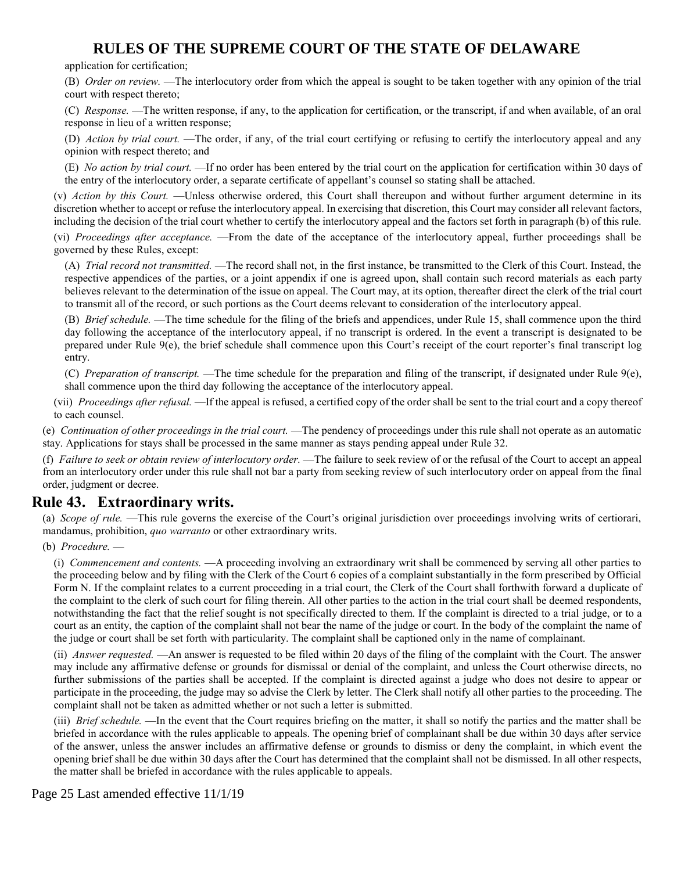application for certification;

(B) *Order on review.* —The interlocutory order from which the appeal is sought to be taken together with any opinion of the trial court with respect thereto;

(C) *Response.* —The written response, if any, to the application for certification, or the transcript, if and when available, of an oral response in lieu of a written response;

(D) *Action by trial court.* —The order, if any, of the trial court certifying or refusing to certify the interlocutory appeal and any opinion with respect thereto; and

(E) *No action by trial court.* —If no order has been entered by the trial court on the application for certification within 30 days of the entry of the interlocutory order, a separate certificate of appellant's counsel so stating shall be attached.

(v) *Action by this Court.* —Unless otherwise ordered, this Court shall thereupon and without further argument determine in its discretion whether to accept or refuse the interlocutory appeal. In exercising that discretion, this Court may consider all relevant factors, including the decision of the trial court whether to certify the interlocutory appeal and the factors set forth in paragraph (b) of this rule.

(vi) *Proceedings after acceptance.* —From the date of the acceptance of the interlocutory appeal, further proceedings shall be governed by these Rules, except:

(A) *Trial record not transmitted.* —The record shall not, in the first instance, be transmitted to the Clerk of this Court. Instead, the respective appendices of the parties, or a joint appendix if one is agreed upon, shall contain such record materials as each party believes relevant to the determination of the issue on appeal. The Court may, at its option, thereafter direct the clerk of the trial court to transmit all of the record, or such portions as the Court deems relevant to consideration of the interlocutory appeal.

(B) *Brief schedule.* —The time schedule for the filing of the briefs and appendices, under Rule 15, shall commence upon the third day following the acceptance of the interlocutory appeal, if no transcript is ordered. In the event a transcript is designated to be prepared under Rule 9(e), the brief schedule shall commence upon this Court's receipt of the court reporter's final transcript log entry.

(C) *Preparation of transcript.* —The time schedule for the preparation and filing of the transcript, if designated under Rule 9(e), shall commence upon the third day following the acceptance of the interlocutory appeal.

(vii) *Proceedings after refusal.* —If the appeal is refused, a certified copy of the order shall be sent to the trial court and a copy thereof to each counsel.

(e) *Continuation of other proceedings in the trial court.* —The pendency of proceedings under this rule shall not operate as an automatic stay. Applications for stays shall be processed in the same manner as stays pending appeal under Rule 32.

(f) *Failure to seek or obtain review of interlocutory order.* —The failure to seek review of or the refusal of the Court to accept an appeal from an interlocutory order under this rule shall not bar a party from seeking review of such interlocutory order on appeal from the final order, judgment or decree.

### **Rule 43. Extraordinary writs.**

(a) *Scope of rule.* —This rule governs the exercise of the Court's original jurisdiction over proceedings involving writs of certiorari, mandamus, prohibition, *quo warranto* or other extraordinary writs.

(b) *Procedure.* —

(i) *Commencement and contents.* —A proceeding involving an extraordinary writ shall be commenced by serving all other parties to the proceeding below and by filing with the Clerk of the Court 6 copies of a complaint substantially in the form prescribed by Official Form N. If the complaint relates to a current proceeding in a trial court, the Clerk of the Court shall forthwith forward a duplicate of the complaint to the clerk of such court for filing therein. All other parties to the action in the trial court shall be deemed respondents, notwithstanding the fact that the relief sought is not specifically directed to them. If the complaint is directed to a trial judge, or to a court as an entity, the caption of the complaint shall not bear the name of the judge or court. In the body of the complaint the name of the judge or court shall be set forth with particularity. The complaint shall be captioned only in the name of complainant.

(ii) *Answer requested.* —An answer is requested to be filed within 20 days of the filing of the complaint with the Court. The answer may include any affirmative defense or grounds for dismissal or denial of the complaint, and unless the Court otherwise directs, no further submissions of the parties shall be accepted. If the complaint is directed against a judge who does not desire to appear or participate in the proceeding, the judge may so advise the Clerk by letter. The Clerk shall notify all other parties to the proceeding. The complaint shall not be taken as admitted whether or not such a letter is submitted.

(iii) *Brief schedule.* —In the event that the Court requires briefing on the matter, it shall so notify the parties and the matter shall be briefed in accordance with the rules applicable to appeals. The opening brief of complainant shall be due within 30 days after service of the answer, unless the answer includes an affirmative defense or grounds to dismiss or deny the complaint, in which event the opening brief shall be due within 30 days after the Court has determined that the complaint shall not be dismissed. In all other respects, the matter shall be briefed in accordance with the rules applicable to appeals.

Page 25 Last amended effective 11/1/19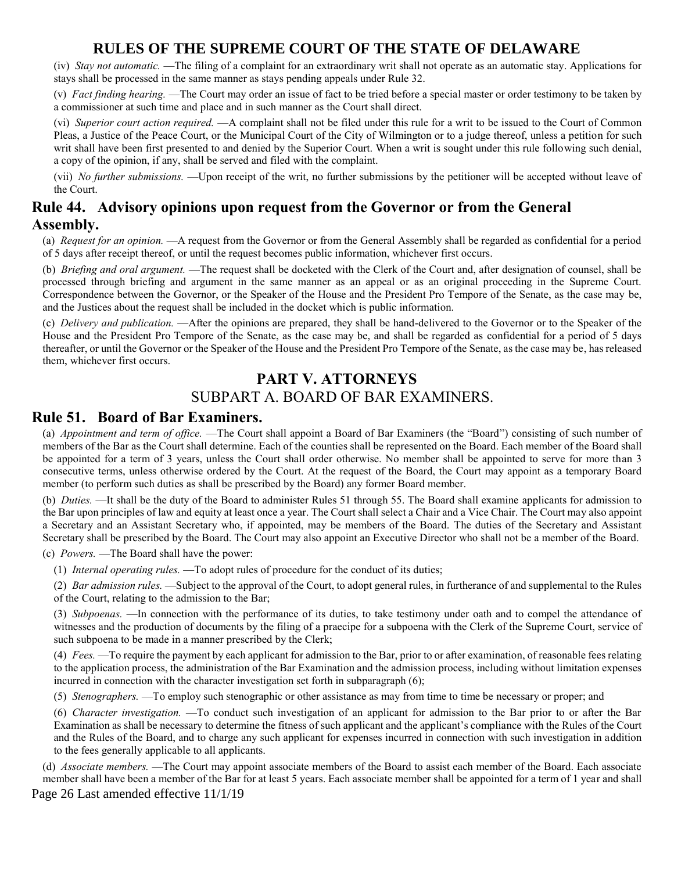(iv) *Stay not automatic.* —The filing of a complaint for an extraordinary writ shall not operate as an automatic stay. Applications for stays shall be processed in the same manner as stays pending appeals under Rule 32.

(v) *Fact finding hearing.* —The Court may order an issue of fact to be tried before a special master or order testimony to be taken by a commissioner at such time and place and in such manner as the Court shall direct.

(vi) *Superior court action required.* —A complaint shall not be filed under this rule for a writ to be issued to the Court of Common Pleas, a Justice of the Peace Court, or the Municipal Court of the City of Wilmington or to a judge thereof, unless a petition for such writ shall have been first presented to and denied by the Superior Court. When a writ is sought under this rule following such denial, a copy of the opinion, if any, shall be served and filed with the complaint.

(vii) *No further submissions.* —Upon receipt of the writ, no further submissions by the petitioner will be accepted without leave of the Court.

## **Rule 44. Advisory opinions upon request from the Governor or from the General Assembly.**

(a) *Request for an opinion.* —A request from the Governor or from the General Assembly shall be regarded as confidential for a period of 5 days after receipt thereof, or until the request becomes public information, whichever first occurs.

(b) *Briefing and oral argument.* —The request shall be docketed with the Clerk of the Court and, after designation of counsel, shall be processed through briefing and argument in the same manner as an appeal or as an original proceeding in the Supreme Court. Correspondence between the Governor, or the Speaker of the House and the President Pro Tempore of the Senate, as the case may be, and the Justices about the request shall be included in the docket which is public information.

(c) *Delivery and publication.* —After the opinions are prepared, they shall be hand-delivered to the Governor or to the Speaker of the House and the President Pro Tempore of the Senate, as the case may be, and shall be regarded as confidential for a period of 5 days thereafter, or until the Governor or the Speaker of the House and the President Pro Tempore of the Senate, as the case may be, has released them, whichever first occurs.

## **PART V. ATTORNEYS**

## SUBPART A. BOARD OF BAR EXAMINERS.

#### **Rule 51. Board of Bar Examiners.**

(a) *Appointment and term of office.* —The Court shall appoint a Board of Bar Examiners (the "Board") consisting of such number of members of the Bar as the Court shall determine. Each of the counties shall be represented on the Board. Each member of the Board shall be appointed for a term of 3 years, unless the Court shall order otherwise. No member shall be appointed to serve for more than 3 consecutive terms, unless otherwise ordered by the Court. At the request of the Board, the Court may appoint as a temporary Board member (to perform such duties as shall be prescribed by the Board) any former Board member.

(b) *Duties.* —It shall be the duty of the Board to administer Rules 51 through 55. The Board shall examine applicants for admission to the Bar upon principles of law and equity at least once a year. The Court shall select a Chair and a Vice Chair. The Court may also appoint a Secretary and an Assistant Secretary who, if appointed, may be members of the Board. The duties of the Secretary and Assistant Secretary shall be prescribed by the Board. The Court may also appoint an Executive Director who shall not be a member of the Board.

(c) *Powers.* —The Board shall have the power:

(1) *Internal operating rules.* —To adopt rules of procedure for the conduct of its duties;

(2) *Bar admission rules.* —Subject to the approval of the Court, to adopt general rules, in furtherance of and supplemental to the Rules of the Court, relating to the admission to the Bar;

(3) *Subpoenas.* —In connection with the performance of its duties, to take testimony under oath and to compel the attendance of witnesses and the production of documents by the filing of a praecipe for a subpoena with the Clerk of the Supreme Court, service of such subpoena to be made in a manner prescribed by the Clerk;

(4) *Fees.* —To require the payment by each applicant for admission to the Bar, prior to or after examination, of reasonable fees relating to the application process, the administration of the Bar Examination and the admission process, including without limitation expenses incurred in connection with the character investigation set forth in subparagraph (6);

(5) *Stenographers.* —To employ such stenographic or other assistance as may from time to time be necessary or proper; and

(6) *Character investigation.* —To conduct such investigation of an applicant for admission to the Bar prior to or after the Bar Examination as shall be necessary to determine the fitness of such applicant and the applicant's compliance with the Rules of the Court and the Rules of the Board, and to charge any such applicant for expenses incurred in connection with such investigation in addition to the fees generally applicable to all applicants.

Page 26 Last amended effective 11/1/19 (d) *Associate members.* —The Court may appoint associate members of the Board to assist each member of the Board. Each associate member shall have been a member of the Bar for at least 5 years. Each associate member shall be appointed for a term of 1 year and shall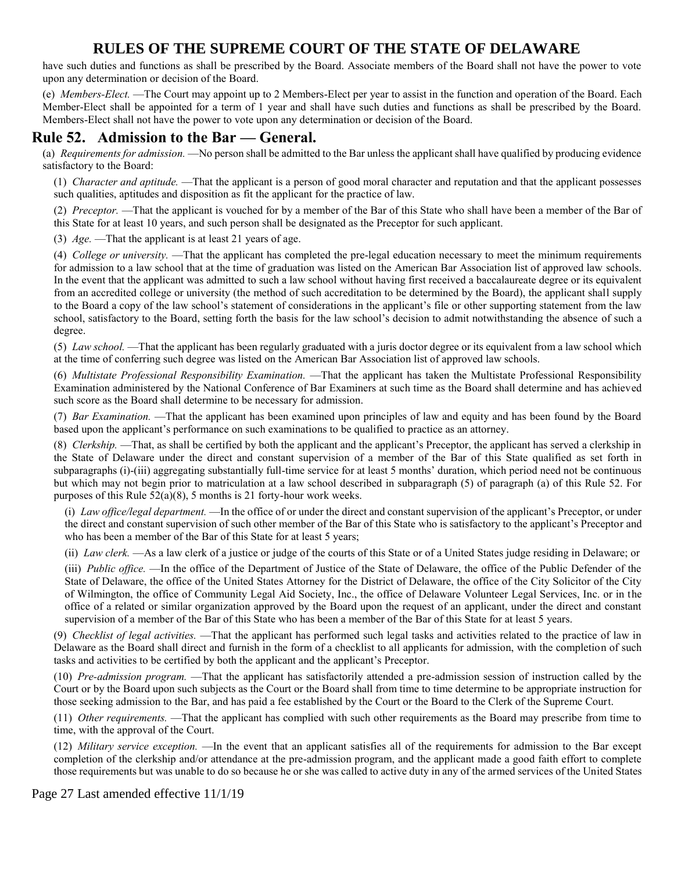have such duties and functions as shall be prescribed by the Board. Associate members of the Board shall not have the power to vote upon any determination or decision of the Board.

(e) *Members-Elect.* —The Court may appoint up to 2 Members-Elect per year to assist in the function and operation of the Board. Each Member-Elect shall be appointed for a term of 1 year and shall have such duties and functions as shall be prescribed by the Board. Members-Elect shall not have the power to vote upon any determination or decision of the Board.

#### **Rule 52. Admission to the Bar — General.**

(a) *Requirements for admission.* —No person shall be admitted to the Bar unless the applicant shall have qualified by producing evidence satisfactory to the Board:

(1) *Character and aptitude.* —That the applicant is a person of good moral character and reputation and that the applicant possesses such qualities, aptitudes and disposition as fit the applicant for the practice of law.

(2) *Preceptor.* —That the applicant is vouched for by a member of the Bar of this State who shall have been a member of the Bar of this State for at least 10 years, and such person shall be designated as the Preceptor for such applicant.

(3) *Age.* —That the applicant is at least 21 years of age.

(4) *College or university.* —That the applicant has completed the pre-legal education necessary to meet the minimum requirements for admission to a law school that at the time of graduation was listed on the American Bar Association list of approved law schools. In the event that the applicant was admitted to such a law school without having first received a baccalaureate degree or its equivalent from an accredited college or university (the method of such accreditation to be determined by the Board), the applicant shall supply to the Board a copy of the law school's statement of considerations in the applicant's file or other supporting statement from the law school, satisfactory to the Board, setting forth the basis for the law school's decision to admit notwithstanding the absence of such a degree.

(5) *Law school.* —That the applicant has been regularly graduated with a juris doctor degree or its equivalent from a law school which at the time of conferring such degree was listed on the American Bar Association list of approved law schools.

(6) *Multistate Professional Responsibility Examination.* —That the applicant has taken the Multistate Professional Responsibility Examination administered by the National Conference of Bar Examiners at such time as the Board shall determine and has achieved such score as the Board shall determine to be necessary for admission.

(7) *Bar Examination.* —That the applicant has been examined upon principles of law and equity and has been found by the Board based upon the applicant's performance on such examinations to be qualified to practice as an attorney.

(8) *Clerkship.* —That, as shall be certified by both the applicant and the applicant's Preceptor, the applicant has served a clerkship in the State of Delaware under the direct and constant supervision of a member of the Bar of this State qualified as set forth in subparagraphs (i)-(iii) aggregating substantially full-time service for at least 5 months' duration, which period need not be continuous but which may not begin prior to matriculation at a law school described in subparagraph (5) of paragraph (a) of this Rule 52. For purposes of this Rule 52(a)(8), 5 months is 21 forty-hour work weeks.

(i) *Law office/legal department.* —In the office of or under the direct and constant supervision of the applicant's Preceptor, or under the direct and constant supervision of such other member of the Bar of this State who is satisfactory to the applicant's Preceptor and who has been a member of the Bar of this State for at least 5 years;

(ii) *Law clerk.* —As a law clerk of a justice or judge of the courts of this State or of a United States judge residing in Delaware; or

(iii) *Public office.* —In the office of the Department of Justice of the State of Delaware, the office of the Public Defender of the State of Delaware, the office of the United States Attorney for the District of Delaware, the office of the City Solicitor of the City of Wilmington, the office of Community Legal Aid Society, Inc., the office of Delaware Volunteer Legal Services, Inc. or in the office of a related or similar organization approved by the Board upon the request of an applicant, under the direct and constant supervision of a member of the Bar of this State who has been a member of the Bar of this State for at least 5 years.

(9) *Checklist of legal activities.* —That the applicant has performed such legal tasks and activities related to the practice of law in Delaware as the Board shall direct and furnish in the form of a checklist to all applicants for admission, with the completion of such tasks and activities to be certified by both the applicant and the applicant's Preceptor.

(10) *Pre-admission program.* —That the applicant has satisfactorily attended a pre-admission session of instruction called by the Court or by the Board upon such subjects as the Court or the Board shall from time to time determine to be appropriate instruction for those seeking admission to the Bar, and has paid a fee established by the Court or the Board to the Clerk of the Supreme Court.

(11) *Other requirements.* —That the applicant has complied with such other requirements as the Board may prescribe from time to time, with the approval of the Court.

(12) *Military service exception.* —In the event that an applicant satisfies all of the requirements for admission to the Bar except completion of the clerkship and/or attendance at the pre-admission program, and the applicant made a good faith effort to complete those requirements but was unable to do so because he or she was called to active duty in any of the armed services of the United States

Page 27 Last amended effective 11/1/19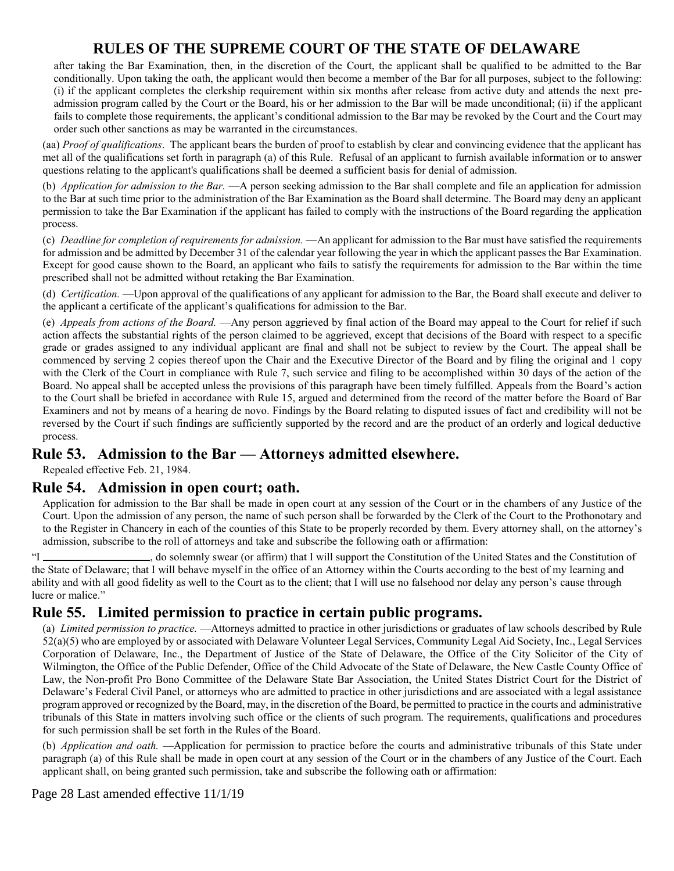after taking the Bar Examination, then, in the discretion of the Court, the applicant shall be qualified to be admitted to the Bar conditionally. Upon taking the oath, the applicant would then become a member of the Bar for all purposes, subject to the following: (i) if the applicant completes the clerkship requirement within six months after release from active duty and attends the next preadmission program called by the Court or the Board, his or her admission to the Bar will be made unconditional; (ii) if the applicant fails to complete those requirements, the applicant's conditional admission to the Bar may be revoked by the Court and the Court may order such other sanctions as may be warranted in the circumstances.

(aa) *Proof of qualifications*. The applicant bears the burden of proof to establish by clear and convincing evidence that the applicant has met all of the qualifications set forth in paragraph (a) of this Rule. Refusal of an applicant to furnish available information or to answer questions relating to the applicant's qualifications shall be deemed a sufficient basis for denial of admission.

(b) *Application for admission to the Bar.* —A person seeking admission to the Bar shall complete and file an application for admission to the Bar at such time prior to the administration of the Bar Examination as the Board shall determine. The Board may deny an applicant permission to take the Bar Examination if the applicant has failed to comply with the instructions of the Board regarding the application process.

(c) *Deadline for completion of requirements for admission.* —An applicant for admission to the Bar must have satisfied the requirements for admission and be admitted by December 31 of the calendar year following the year in which the applicant passes the Bar Examination. Except for good cause shown to the Board, an applicant who fails to satisfy the requirements for admission to the Bar within the time prescribed shall not be admitted without retaking the Bar Examination.

(d) *Certification.* —Upon approval of the qualifications of any applicant for admission to the Bar, the Board shall execute and deliver to the applicant a certificate of the applicant's qualifications for admission to the Bar.

(e) *Appeals from actions of the Board.* —Any person aggrieved by final action of the Board may appeal to the Court for relief if such action affects the substantial rights of the person claimed to be aggrieved, except that decisions of the Board with respect to a specific grade or grades assigned to any individual applicant are final and shall not be subject to review by the Court. The appeal shall be commenced by serving 2 copies thereof upon the Chair and the Executive Director of the Board and by filing the original and 1 copy with the Clerk of the Court in compliance with Rule 7, such service and filing to be accomplished within 30 days of the action of the Board. No appeal shall be accepted unless the provisions of this paragraph have been timely fulfilled. Appeals from the Board's action to the Court shall be briefed in accordance with Rule 15, argued and determined from the record of the matter before the Board of Bar Examiners and not by means of a hearing de novo. Findings by the Board relating to disputed issues of fact and credibility will not be reversed by the Court if such findings are sufficiently supported by the record and are the product of an orderly and logical deductive process.

### **Rule 53. Admission to the Bar — Attorneys admitted elsewhere.**

Repealed effective Feb. 21, 1984.

### **Rule 54. Admission in open court; oath.**

Application for admission to the Bar shall be made in open court at any session of the Court or in the chambers of any Justice of the Court. Upon the admission of any person, the name of such person shall be forwarded by the Clerk of the Court to the Prothonotary and to the Register in Chancery in each of the counties of this State to be properly recorded by them. Every attorney shall, on the attorney's admission, subscribe to the roll of attorneys and take and subscribe the following oath or affirmation:

"I , do solemnly swear (or affirm) that I will support the Constitution of the United States and the Constitution of the State of Delaware; that I will behave myself in the office of an Attorney within the Courts according to the best of my learning and ability and with all good fidelity as well to the Court as to the client; that I will use no falsehood nor delay any person's cause through lucre or malice."

## **Rule 55. Limited permission to practice in certain public programs.**

(a) *Limited permission to practice.* —Attorneys admitted to practice in other jurisdictions or graduates of law schools described by Rule 52(a)(5) who are employed by or associated with Delaware Volunteer Legal Services, Community Legal Aid Society, Inc., Legal Services Corporation of Delaware, Inc., the Department of Justice of the State of Delaware, the Office of the City Solicitor of the City of Wilmington, the Office of the Public Defender, Office of the Child Advocate of the State of Delaware, the New Castle County Office of Law, the Non-profit Pro Bono Committee of the Delaware State Bar Association, the United States District Court for the District of Delaware's Federal Civil Panel, or attorneys who are admitted to practice in other jurisdictions and are associated with a legal assistance program approved or recognized by the Board, may, in the discretion of the Board, be permitted to practice in the courts and administrative tribunals of this State in matters involving such office or the clients of such program. The requirements, qualifications and procedures for such permission shall be set forth in the Rules of the Board.

(b) *Application and oath.* —Application for permission to practice before the courts and administrative tribunals of this State under paragraph (a) of this Rule shall be made in open court at any session of the Court or in the chambers of any Justice of the Court. Each applicant shall, on being granted such permission, take and subscribe the following oath or affirmation:

Page 28 Last amended effective 11/1/19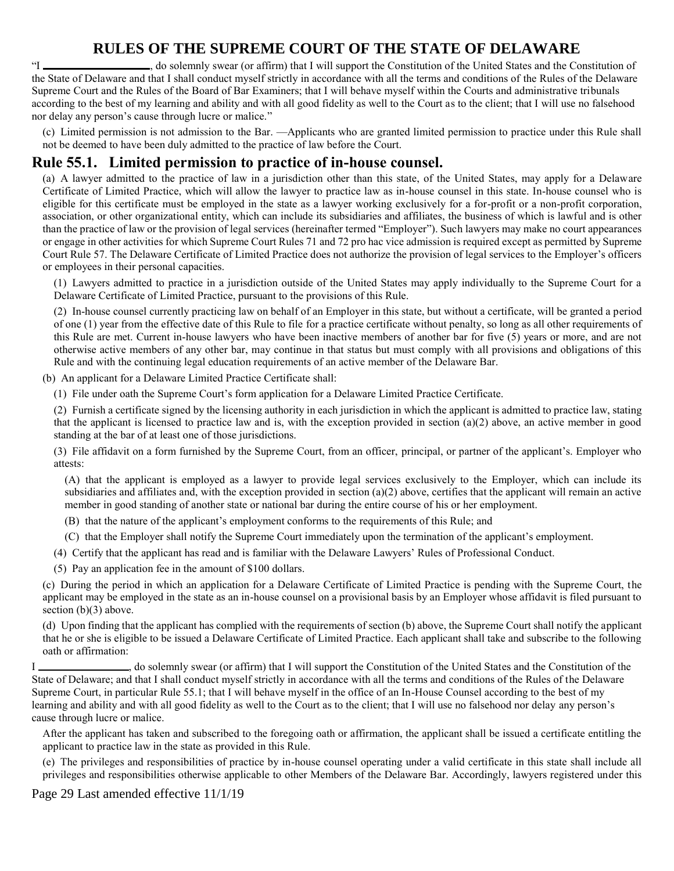"I \_\_\_\_\_\_\_\_\_\_\_\_\_\_\_\_\_\_\_\_\_, do solemnly swear (or affirm) that I will support the Constitution of the United States and the Constitution of the State of Delaware and that I shall conduct myself strictly in accordance with all the terms and conditions of the Rules of the Delaware Supreme Court and the Rules of the Board of Bar Examiners; that I will behave myself within the Courts and administrative tribunals according to the best of my learning and ability and with all good fidelity as well to the Court as to the client; that I will use no falsehood nor delay any person's cause through lucre or malice."

(c) Limited permission is not admission to the Bar. —Applicants who are granted limited permission to practice under this Rule shall not be deemed to have been duly admitted to the practice of law before the Court.

### **Rule 55.1. Limited permission to practice of in-house counsel.**

(a) A lawyer admitted to the practice of law in a jurisdiction other than this state, of the United States, may apply for a Delaware Certificate of Limited Practice, which will allow the lawyer to practice law as in-house counsel in this state. In-house counsel who is eligible for this certificate must be employed in the state as a lawyer working exclusively for a for-profit or a non-profit corporation, association, or other organizational entity, which can include its subsidiaries and affiliates, the business of which is lawful and is other than the practice of law or the provision of legal services (hereinafter termed "Employer"). Such lawyers may make no court appearances or engage in other activities for which Supreme Court Rules 71 and 72 pro hac vice admission is required except as permitted by Supreme Court Rule 57. The Delaware Certificate of Limited Practice does not authorize the provision of legal services to the Employer's officers or employees in their personal capacities.

(1) Lawyers admitted to practice in a jurisdiction outside of the United States may apply individually to the Supreme Court for a Delaware Certificate of Limited Practice, pursuant to the provisions of this Rule.

(2) In-house counsel currently practicing law on behalf of an Employer in this state, but without a certificate, will be granted a period of one (1) year from the effective date of this Rule to file for a practice certificate without penalty, so long as all other requirements of this Rule are met. Current in-house lawyers who have been inactive members of another bar for five (5) years or more, and are not otherwise active members of any other bar, may continue in that status but must comply with all provisions and obligations of this Rule and with the continuing legal education requirements of an active member of the Delaware Bar.

(b) An applicant for a Delaware Limited Practice Certificate shall:

(1) File under oath the Supreme Court's form application for a Delaware Limited Practice Certificate.

(2) Furnish a certificate signed by the licensing authority in each jurisdiction in which the applicant is admitted to practice law, stating that the applicant is licensed to practice law and is, with the exception provided in section  $(a)(2)$  above, an active member in good standing at the bar of at least one of those jurisdictions.

(3) File affidavit on a form furnished by the Supreme Court, from an officer, principal, or partner of the applicant's. Employer who attests:

(A) that the applicant is employed as a lawyer to provide legal services exclusively to the Employer, which can include its subsidiaries and affiliates and, with the exception provided in section (a)(2) above, certifies that the applicant will remain an active member in good standing of another state or national bar during the entire course of his or her employment.

(B) that the nature of the applicant's employment conforms to the requirements of this Rule; and

(C) that the Employer shall notify the Supreme Court immediately upon the termination of the applicant's employment.

(4) Certify that the applicant has read and is familiar with the Delaware Lawyers' Rules of Professional Conduct.

(5) Pay an application fee in the amount of \$100 dollars.

(c) During the period in which an application for a Delaware Certificate of Limited Practice is pending with the Supreme Court, the applicant may be employed in the state as an in-house counsel on a provisional basis by an Employer whose affidavit is filed pursuant to section (b)(3) above.

(d) Upon finding that the applicant has complied with the requirements of section (b) above, the Supreme Court shall notify the applicant that he or she is eligible to be issued a Delaware Certificate of Limited Practice. Each applicant shall take and subscribe to the following oath or affirmation:

I  $\blacksquare$ , do solemnly swear (or affirm) that I will support the Constitution of the United States and the Constitution of the State of Delaware; and that I shall conduct myself strictly in accordance with all the terms and conditions of the Rules of the Delaware Supreme Court, in particular Rule 55.1; that I will behave myself in the office of an In-House Counsel according to the best of my learning and ability and with all good fidelity as well to the Court as to the client; that I will use no falsehood nor delay any person's cause through lucre or malice.

After the applicant has taken and subscribed to the foregoing oath or affirmation, the applicant shall be issued a certificate entitling the applicant to practice law in the state as provided in this Rule.

(e) The privileges and responsibilities of practice by in-house counsel operating under a valid certificate in this state shall include all privileges and responsibilities otherwise applicable to other Members of the Delaware Bar. Accordingly, lawyers registered under this

Page 29 Last amended effective 11/1/19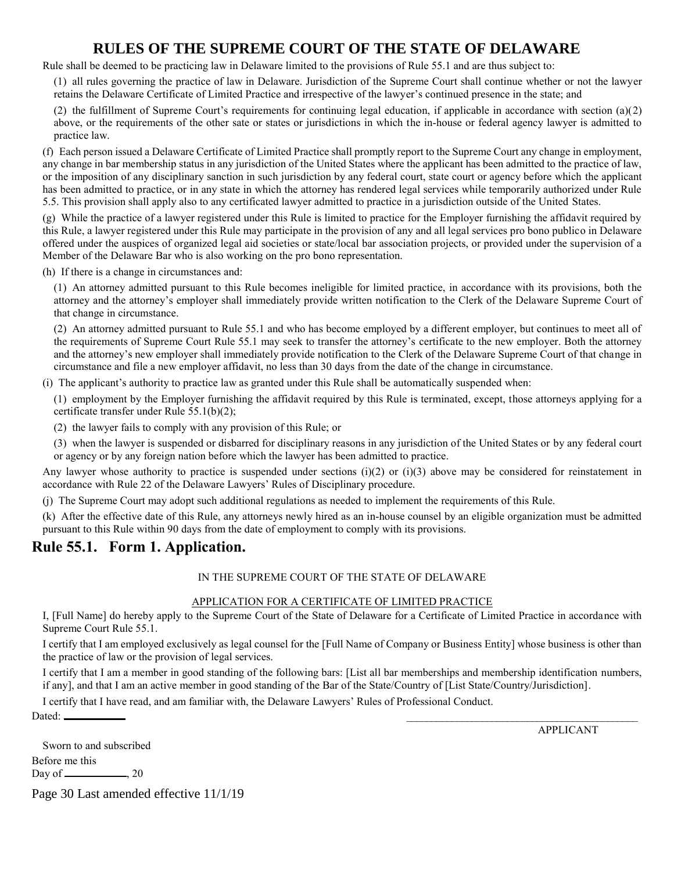Rule shall be deemed to be practicing law in Delaware limited to the provisions of Rule 55.1 and are thus subject to:

(1) all rules governing the practice of law in Delaware. Jurisdiction of the Supreme Court shall continue whether or not the lawyer retains the Delaware Certificate of Limited Practice and irrespective of the lawyer's continued presence in the state; and

(2) the fulfillment of Supreme Court's requirements for continuing legal education, if applicable in accordance with section (a)(2) above, or the requirements of the other sate or states or jurisdictions in which the in-house or federal agency lawyer is admitted to practice law.

(f) Each person issued a Delaware Certificate of Limited Practice shall promptly report to the Supreme Court any change in employment, any change in bar membership status in any jurisdiction of the United States where the applicant has been admitted to the practice of law, or the imposition of any disciplinary sanction in such jurisdiction by any federal court, state court or agency before which the applicant has been admitted to practice, or in any state in which the attorney has rendered legal services while temporarily authorized under Rule 5.5. This provision shall apply also to any certificated lawyer admitted to practice in a jurisdiction outside of the United States.

(g) While the practice of a lawyer registered under this Rule is limited to practice for the Employer furnishing the affidavit required by this Rule, a lawyer registered under this Rule may participate in the provision of any and all legal services pro bono publico in Delaware offered under the auspices of organized legal aid societies or state/local bar association projects, or provided under the supervision of a Member of the Delaware Bar who is also working on the pro bono representation.

(h) If there is a change in circumstances and:

(1) An attorney admitted pursuant to this Rule becomes ineligible for limited practice, in accordance with its provisions, both the attorney and the attorney's employer shall immediately provide written notification to the Clerk of the Delaware Supreme Court of that change in circumstance.

(2) An attorney admitted pursuant to Rule 55.1 and who has become employed by a different employer, but continues to meet all of the requirements of Supreme Court Rule 55.1 may seek to transfer the attorney's certificate to the new employer. Both the attorney and the attorney's new employer shall immediately provide notification to the Clerk of the Delaware Supreme Court of that change in circumstance and file a new employer affidavit, no less than 30 days from the date of the change in circumstance.

(i) The applicant's authority to practice law as granted under this Rule shall be automatically suspended when:

(1) employment by the Employer furnishing the affidavit required by this Rule is terminated, except, those attorneys applying for a certificate transfer under Rule 55.1(b)(2);

(2) the lawyer fails to comply with any provision of this Rule; or

(3) when the lawyer is suspended or disbarred for disciplinary reasons in any jurisdiction of the United States or by any federal court or agency or by any foreign nation before which the lawyer has been admitted to practice.

Any lawyer whose authority to practice is suspended under sections (i)(2) or (i)(3) above may be considered for reinstatement in accordance with Rule 22 of the Delaware Lawyers' Rules of Disciplinary procedure.

(j) The Supreme Court may adopt such additional regulations as needed to implement the requirements of this Rule.

(k) After the effective date of this Rule, any attorneys newly hired as an in-house counsel by an eligible organization must be admitted pursuant to this Rule within 90 days from the date of employment to comply with its provisions.

### **Rule 55.1. Form 1. Application.**

#### IN THE SUPREME COURT OF THE STATE OF DELAWARE

#### APPLICATION FOR A CERTIFICATE OF LIMITED PRACTICE

I, [Full Name] do hereby apply to the Supreme Court of the State of Delaware for a Certificate of Limited Practice in accordance with Supreme Court Rule 55.1.

I certify that I am employed exclusively as legal counsel for the [Full Name of Company or Business Entity] whose business is other than the practice of law or the provision of legal services.

I certify that I am a member in good standing of the following bars: [List all bar memberships and membership identification numbers, if any], and that I am an active member in good standing of the Bar of the State/Country of [List State/Country/Jurisdiction].

I certify that I have read, and am familiar with, the Delaware Lawyers' Rules of Professional Conduct.

Dated: \_\_\_\_\_\_\_\_\_\_\_\_\_\_\_\_\_\_\_\_\_\_\_\_\_\_\_\_\_\_\_\_\_\_\_\_\_\_\_\_\_\_\_\_\_\_

APPLICANT

| Sworn to and subscribed |  |
|-------------------------|--|
| Before me this          |  |
| .20<br>Day of __        |  |

Page 30 Last amended effective 11/1/19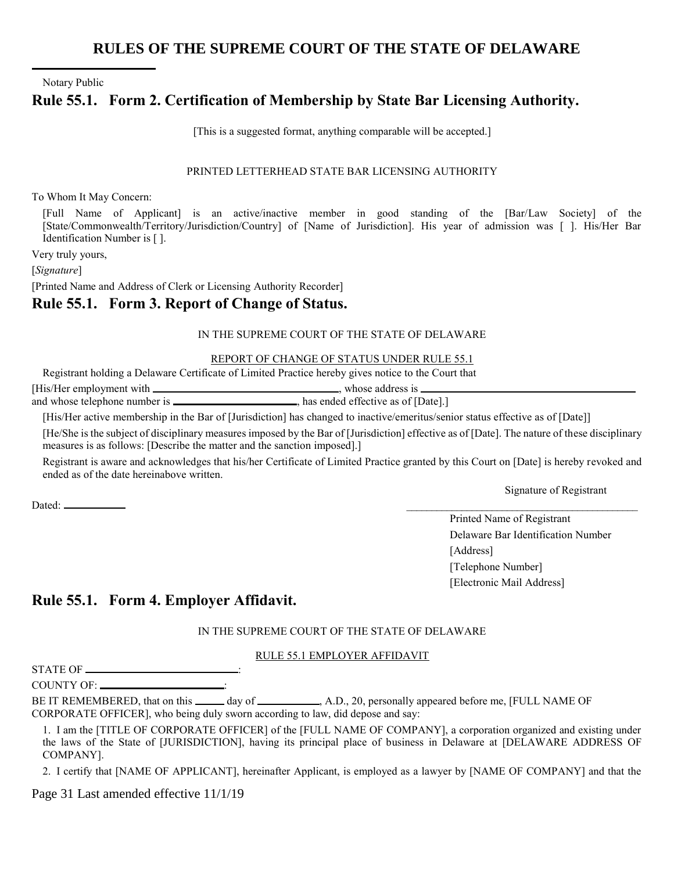Notary Public

l

## **Rule 55.1. Form 2. Certification of Membership by State Bar Licensing Authority.**

[This is a suggested format, anything comparable will be accepted.]

#### PRINTED LETTERHEAD STATE BAR LICENSING AUTHORITY

To Whom It May Concern:

[Full Name of Applicant] is an active/inactive member in good standing of the [Bar/Law Society] of the [State/Commonwealth/Territory/Jurisdiction/Country] of [Name of Jurisdiction]. His year of admission was [ ]. His/Her Bar Identification Number is [ ].

Very truly yours,

[*Signature*]

[Printed Name and Address of Clerk or Licensing Authority Recorder]

### **Rule 55.1. Form 3. Report of Change of Status.**

#### IN THE SUPREME COURT OF THE STATE OF DELAWARE

#### REPORT OF CHANGE OF STATUS UNDER RULE 55.1

Registrant holding a Delaware Certificate of Limited Practice hereby gives notice to the Court that

[His/Her employment with  $\Box$  whose address is  $\Box$ and whose telephone number is \_\_\_\_\_\_\_\_\_\_\_\_\_\_\_\_\_\_\_\_\_\_\_\_, has ended effective as of [Date].]

[His/Her active membership in the Bar of [Jurisdiction] has changed to inactive/emeritus/senior status effective as of [Date]]

[He/She is the subject of disciplinary measures imposed by the Bar of [Jurisdiction] effective as of [Date]. The nature of these disciplinary measures is as follows: [Describe the matter and the sanction imposed].]

Registrant is aware and acknowledges that his/her Certificate of Limited Practice granted by this Court on [Date] is hereby revoked and ended as of the date hereinabove written.

Signature of Registrant

Printed Name of Registrant Delaware Bar Identification Number [Address] [Telephone Number] [Electronic Mail Address]

## **Rule 55.1. Form 4. Employer Affidavit.**

#### IN THE SUPREME COURT OF THE STATE OF DELAWARE

#### RULE 55.1 EMPLOYER AFFIDAVIT

STATE OF \_\_\_\_\_\_\_

COUNTY OF:  $\blacksquare$ 

Dated: \_\_\_\_\_\_\_\_\_\_\_\_\_\_\_\_\_\_\_\_\_\_\_\_\_\_\_\_\_\_\_\_\_\_\_\_\_\_\_\_\_\_\_\_\_\_

BE IT REMEMBERED, that on this \_\_\_\_\_\_ day of \_\_\_\_\_\_\_\_\_, A.D., 20, personally appeared before me, [FULL NAME OF CORPORATE OFFICER], who being duly sworn according to law, did depose and say:

1. I am the [TITLE OF CORPORATE OFFICER] of the [FULL NAME OF COMPANY], a corporation organized and existing under the laws of the State of [JURISDICTION], having its principal place of business in Delaware at [DELAWARE ADDRESS OF COMPANY].

2. I certify that [NAME OF APPLICANT], hereinafter Applicant, is employed as a lawyer by [NAME OF COMPANY] and that the

Page 31 Last amended effective 11/1/19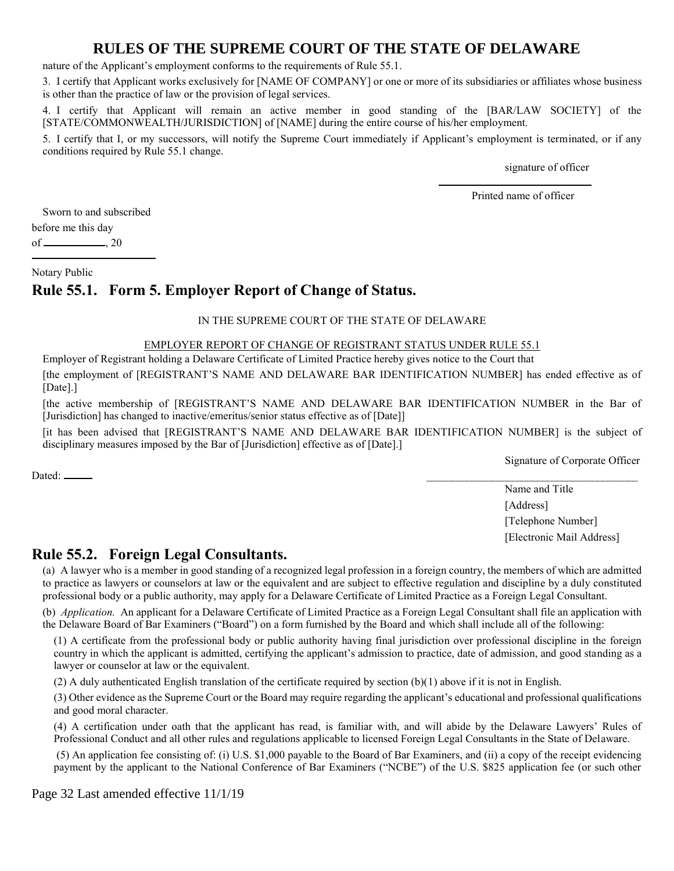nature of the Applicant's employment conforms to the requirements of Rule 55.1.

3. I certify that Applicant works exclusively for [NAME OF COMPANY] or one or more of its subsidiaries or affiliates whose business is other than the practice of law or the provision of legal services.

4. I certify that Applicant will remain an active member in good standing of the [BAR/LAW SOCIETY] of the [STATE/COMMONWEALTH/JURISDICTION] of [NAME] during the entire course of his/her employment.

5. I certify that I, or my successors, will notify the Supreme Court immediately if Applicant's employment is terminated, or if any conditions required by Rule 55.1 change.

signature of officer

Printed name of officer

l

Sworn to and subscribed

before me this day

of  $\_\_\_\_$ , 20

Notary Public

## **Rule 55.1. Form 5. Employer Report of Change of Status.**

#### IN THE SUPREME COURT OF THE STATE OF DELAWARE

#### EMPLOYER REPORT OF CHANGE OF REGISTRANT STATUS UNDER RULE 55.1

Employer of Registrant holding a Delaware Certificate of Limited Practice hereby gives notice to the Court that [the employment of [REGISTRANT'S NAME AND DELAWARE BAR IDENTIFICATION NUMBER] has ended effective as of [Date].]

[the active membership of [REGISTRANT'S NAME AND DELAWARE BAR IDENTIFICATION NUMBER in the Bar of [Jurisdiction] has changed to inactive/emeritus/senior status effective as of [Date]]

[it has been advised that [REGISTRANT'S NAME AND DELAWARE BAR IDENTIFICATION NUMBER] is the subject of disciplinary measures imposed by the Bar of [Jurisdiction] effective as of [Date].]

Signature of Corporate Officer

 $\Delta$ Dated:  $\Box$ 

Name and Title [Address] [Telephone Number] [Electronic Mail Address]

### **Rule 55.2. Foreign Legal Consultants.**

(a) A lawyer who is a member in good standing of a recognized legal profession in a foreign country, the members of which are admitted to practice as lawyers or counselors at law or the equivalent and are subject to effective regulation and discipline by a duly constituted professional body or a public authority, may apply for a Delaware Certificate of Limited Practice as a Foreign Legal Consultant.

(b) *Application.* An applicant for a Delaware Certificate of Limited Practice as a Foreign Legal Consultant shall file an application with the Delaware Board of Bar Examiners ("Board") on a form furnished by the Board and which shall include all of the following:

(1) A certificate from the professional body or public authority having final jurisdiction over professional discipline in the foreign country in which the applicant is admitted, certifying the applicant's admission to practice, date of admission, and good standing as a lawyer or counselor at law or the equivalent.

(2) A duly authenticated English translation of the certificate required by section  $(b)(1)$  above if it is not in English.

(3) Other evidence as the Supreme Court or the Board may require regarding the applicant's educational and professional qualifications and good moral character.

(4) A certification under oath that the applicant has read, is familiar with, and will abide by the Delaware Lawyers' Rules of Professional Conduct and all other rules and regulations applicable to licensed Foreign Legal Consultants in the State of Delaware.

(5) An application fee consisting of: (i) U.S. \$1,000 payable to the Board of Bar Examiners, and (ii) a copy of the receipt evidencing payment by the applicant to the National Conference of Bar Examiners ("NCBE") of the U.S. \$825 application fee (or such other

Page 32 Last amended effective 11/1/19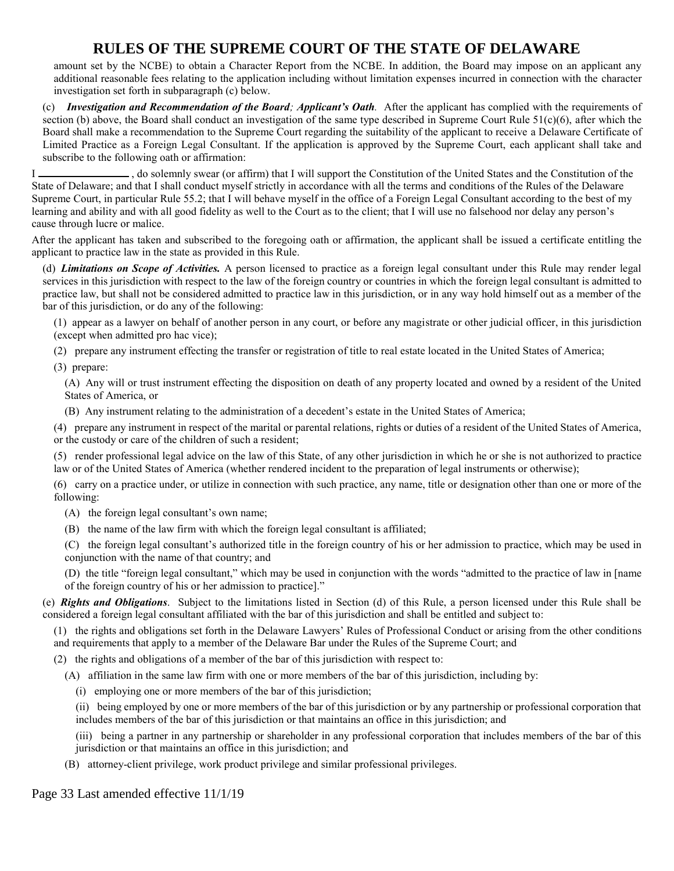amount set by the NCBE) to obtain a Character Report from the NCBE. In addition, the Board may impose on an applicant any additional reasonable fees relating to the application including without limitation expenses incurred in connection with the character investigation set forth in subparagraph (c) below.

(c) *Investigation and Recommendation of the Board; Applicant's Oath.* After the applicant has complied with the requirements of section (b) above, the Board shall conduct an investigation of the same type described in Supreme Court Rule  $51(c)(6)$ , after which the Board shall make a recommendation to the Supreme Court regarding the suitability of the applicant to receive a Delaware Certificate of Limited Practice as a Foreign Legal Consultant. If the application is approved by the Supreme Court, each applicant shall take and subscribe to the following oath or affirmation:

I  $\Box$ , do solemnly swear (or affirm) that I will support the Constitution of the United States and the Constitution of the State of Delaware; and that I shall conduct myself strictly in accordance with all the terms and conditions of the Rules of the Delaware Supreme Court, in particular Rule 55.2; that I will behave myself in the office of a Foreign Legal Consultant according to the best of my learning and ability and with all good fidelity as well to the Court as to the client; that I will use no falsehood nor delay any person's cause through lucre or malice.

After the applicant has taken and subscribed to the foregoing oath or affirmation, the applicant shall be issued a certificate entitling the applicant to practice law in the state as provided in this Rule.

(d) *Limitations on Scope of Activities.* A person licensed to practice as a foreign legal consultant under this Rule may render legal services in this jurisdiction with respect to the law of the foreign country or countries in which the foreign legal consultant is admitted to practice law, but shall not be considered admitted to practice law in this jurisdiction, or in any way hold himself out as a member of the bar of this jurisdiction, or do any of the following:

(1) appear as a lawyer on behalf of another person in any court, or before any magistrate or other judicial officer, in this jurisdiction (except when admitted pro hac vice);

(2) prepare any instrument effecting the transfer or registration of title to real estate located in the United States of America;

(3) prepare:

(A) Any will or trust instrument effecting the disposition on death of any property located and owned by a resident of the United States of America, or

(B) Any instrument relating to the administration of a decedent's estate in the United States of America;

(4) prepare any instrument in respect of the marital or parental relations, rights or duties of a resident of the United States of America, or the custody or care of the children of such a resident;

(5) render professional legal advice on the law of this State, of any other jurisdiction in which he or she is not authorized to practice law or of the United States of America (whether rendered incident to the preparation of legal instruments or otherwise);

(6) carry on a practice under, or utilize in connection with such practice, any name, title or designation other than one or more of the following:

(A) the foreign legal consultant's own name;

(B) the name of the law firm with which the foreign legal consultant is affiliated;

(C) the foreign legal consultant's authorized title in the foreign country of his or her admission to practice, which may be used in conjunction with the name of that country; and

(D) the title "foreign legal consultant," which may be used in conjunction with the words "admitted to the practice of law in [name of the foreign country of his or her admission to practice]."

(e) *Rights and Obligations*. Subject to the limitations listed in Section (d) of this Rule, a person licensed under this Rule shall be considered a foreign legal consultant affiliated with the bar of this jurisdiction and shall be entitled and subject to:

(1) the rights and obligations set forth in the Delaware Lawyers' Rules of Professional Conduct or arising from the other conditions and requirements that apply to a member of the Delaware Bar under the Rules of the Supreme Court; and

(2) the rights and obligations of a member of the bar of this jurisdiction with respect to:

(A) affiliation in the same law firm with one or more members of the bar of this jurisdiction, including by:

- (i) employing one or more members of the bar of this jurisdiction;
- (ii) being employed by one or more members of the bar of this jurisdiction or by any partnership or professional corporation that includes members of the bar of this jurisdiction or that maintains an office in this jurisdiction; and
- (iii) being a partner in any partnership or shareholder in any professional corporation that includes members of the bar of this jurisdiction or that maintains an office in this jurisdiction; and
- (B) attorney-client privilege, work product privilege and similar professional privileges.

Page 33 Last amended effective 11/1/19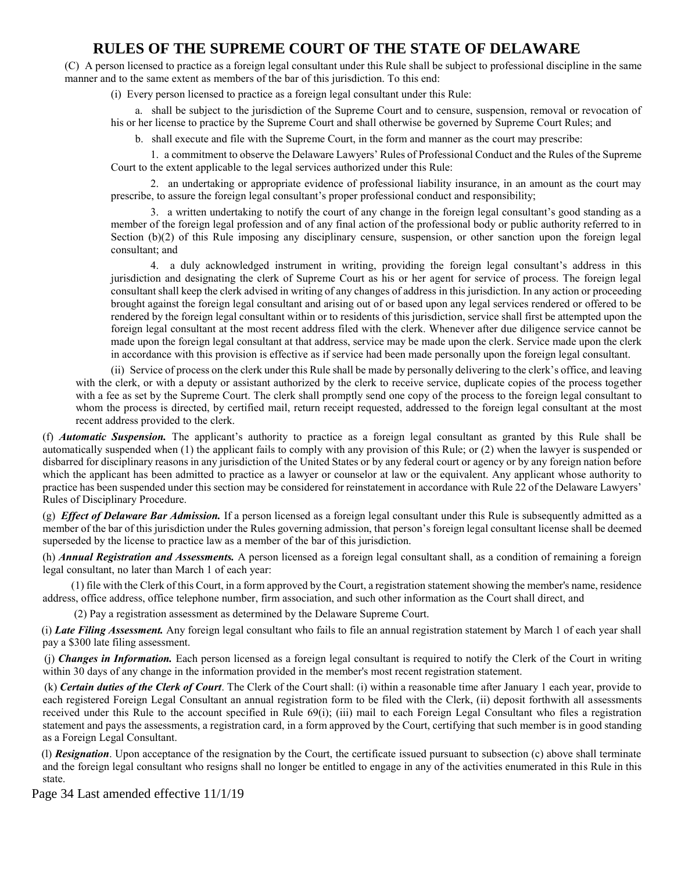(C) A person licensed to practice as a foreign legal consultant under this Rule shall be subject to professional discipline in the same manner and to the same extent as members of the bar of this jurisdiction. To this end:

(i) Every person licensed to practice as a foreign legal consultant under this Rule:

a. shall be subject to the jurisdiction of the Supreme Court and to censure, suspension, removal or revocation of his or her license to practice by the Supreme Court and shall otherwise be governed by Supreme Court Rules; and

b. shall execute and file with the Supreme Court, in the form and manner as the court may prescribe:

1. a commitment to observe the Delaware Lawyers' Rules of Professional Conduct and the Rules of the Supreme Court to the extent applicable to the legal services authorized under this Rule:

2. an undertaking or appropriate evidence of professional liability insurance, in an amount as the court may prescribe, to assure the foreign legal consultant's proper professional conduct and responsibility;

3. a written undertaking to notify the court of any change in the foreign legal consultant's good standing as a member of the foreign legal profession and of any final action of the professional body or public authority referred to in Section (b)(2) of this Rule imposing any disciplinary censure, suspension, or other sanction upon the foreign legal consultant; and

4. a duly acknowledged instrument in writing, providing the foreign legal consultant's address in this jurisdiction and designating the clerk of Supreme Court as his or her agent for service of process. The foreign legal consultant shall keep the clerk advised in writing of any changes of address in this jurisdiction. In any action or proceeding brought against the foreign legal consultant and arising out of or based upon any legal services rendered or offered to be rendered by the foreign legal consultant within or to residents of this jurisdiction, service shall first be attempted upon the foreign legal consultant at the most recent address filed with the clerk. Whenever after due diligence service cannot be made upon the foreign legal consultant at that address, service may be made upon the clerk. Service made upon the clerk in accordance with this provision is effective as if service had been made personally upon the foreign legal consultant.

(ii) Service of process on the clerk under this Rule shall be made by personally delivering to the clerk's office, and leaving with the clerk, or with a deputy or assistant authorized by the clerk to receive service, duplicate copies of the process together with a fee as set by the Supreme Court. The clerk shall promptly send one copy of the process to the foreign legal consultant to whom the process is directed, by certified mail, return receipt requested, addressed to the foreign legal consultant at the most recent address provided to the clerk.

(f) *Automatic Suspension.* The applicant's authority to practice as a foreign legal consultant as granted by this Rule shall be automatically suspended when (1) the applicant fails to comply with any provision of this Rule; or (2) when the lawyer is suspended or disbarred for disciplinary reasons in any jurisdiction of the United States or by any federal court or agency or by any foreign nation before which the applicant has been admitted to practice as a lawyer or counselor at law or the equivalent. Any applicant whose authority to practice has been suspended under this section may be considered for reinstatement in accordance with Rule 22 of the Delaware Lawyers' Rules of Disciplinary Procedure.

(g) *Effect of Delaware Bar Admission.* If a person licensed as a foreign legal consultant under this Rule is subsequently admitted as a member of the bar of this jurisdiction under the Rules governing admission, that person's foreign legal consultant license shall be deemed superseded by the license to practice law as a member of the bar of this jurisdiction.

(h) *Annual Registration and Assessments.* A person licensed as a foreign legal consultant shall, as a condition of remaining a foreign legal consultant, no later than March 1 of each year:

(1) file with the Clerk of this Court, in a form approved by the Court, a registration statement showing the member's name, residence address, office address, office telephone number, firm association, and such other information as the Court shall direct, and

(2) Pay a registration assessment as determined by the Delaware Supreme Court.

(i) *Late Filing Assessment.* Any foreign legal consultant who fails to file an annual registration statement by March 1 of each year shall pay a \$300 late filing assessment.

(j) *Changes in Information.* Each person licensed as a foreign legal consultant is required to notify the Clerk of the Court in writing within 30 days of any change in the information provided in the member's most recent registration statement.

(k) *Certain duties of the Clerk of Court*. The Clerk of the Court shall: (i) within a reasonable time after January 1 each year, provide to each registered Foreign Legal Consultant an annual registration form to be filed with the Clerk, (ii) deposit forthwith all assessments received under this Rule to the account specified in Rule 69(i); (iii) mail to each Foreign Legal Consultant who files a registration statement and pays the assessments, a registration card, in a form approved by the Court, certifying that such member is in good standing as a Foreign Legal Consultant.

(l) *Resignation*. Upon acceptance of the resignation by the Court, the certificate issued pursuant to subsection (c) above shall terminate and the foreign legal consultant who resigns shall no longer be entitled to engage in any of the activities enumerated in this Rule in this state.

Page 34 Last amended effective 11/1/19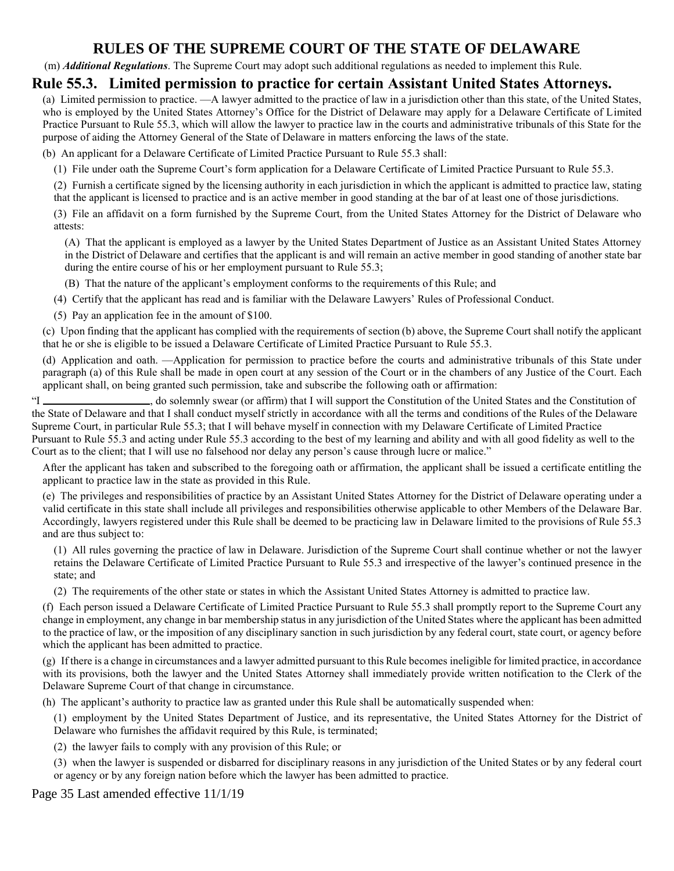(m) *Additional Regulations*. The Supreme Court may adopt such additional regulations as needed to implement this Rule.

### **Rule 55.3. Limited permission to practice for certain Assistant United States Attorneys.**

(a) Limited permission to practice. —A lawyer admitted to the practice of law in a jurisdiction other than this state, of the United States, who is employed by the United States Attorney's Office for the District of Delaware may apply for a Delaware Certificate of Limited Practice Pursuant to Rule 55.3, which will allow the lawyer to practice law in the courts and administrative tribunals of this State for the purpose of aiding the Attorney General of the State of Delaware in matters enforcing the laws of the state.

(b) An applicant for a Delaware Certificate of Limited Practice Pursuant to Rule 55.3 shall:

(1) File under oath the Supreme Court's form application for a Delaware Certificate of Limited Practice Pursuant to Rule 55.3.

(2) Furnish a certificate signed by the licensing authority in each jurisdiction in which the applicant is admitted to practice law, stating that the applicant is licensed to practice and is an active member in good standing at the bar of at least one of those jurisdictions.

(3) File an affidavit on a form furnished by the Supreme Court, from the United States Attorney for the District of Delaware who attests:

(A) That the applicant is employed as a lawyer by the United States Department of Justice as an Assistant United States Attorney in the District of Delaware and certifies that the applicant is and will remain an active member in good standing of another state bar during the entire course of his or her employment pursuant to Rule 55.3;

(B) That the nature of the applicant's employment conforms to the requirements of this Rule; and

(4) Certify that the applicant has read and is familiar with the Delaware Lawyers' Rules of Professional Conduct.

(5) Pay an application fee in the amount of \$100.

(c) Upon finding that the applicant has complied with the requirements of section (b) above, the Supreme Court shall notify the applicant that he or she is eligible to be issued a Delaware Certificate of Limited Practice Pursuant to Rule 55.3.

(d) Application and oath. —Application for permission to practice before the courts and administrative tribunals of this State under paragraph (a) of this Rule shall be made in open court at any session of the Court or in the chambers of any Justice of the Court. Each applicant shall, on being granted such permission, take and subscribe the following oath or affirmation:

"I \_\_\_\_\_\_\_\_\_\_\_\_\_\_\_\_\_\_\_\_, do solemnly swear (or affirm) that I will support the Constitution of the United States and the Constitution of the State of Delaware and that I shall conduct myself strictly in accordance with all the terms and conditions of the Rules of the Delaware Supreme Court, in particular Rule 55.3; that I will behave myself in connection with my Delaware Certificate of Limited Practice

Pursuant to Rule 55.3 and acting under Rule 55.3 according to the best of my learning and ability and with all good fidelity as well to the Court as to the client; that I will use no falsehood nor delay any person's cause through lucre or malice."

After the applicant has taken and subscribed to the foregoing oath or affirmation, the applicant shall be issued a certificate entitling the applicant to practice law in the state as provided in this Rule.

(e) The privileges and responsibilities of practice by an Assistant United States Attorney for the District of Delaware operating under a valid certificate in this state shall include all privileges and responsibilities otherwise applicable to other Members of the Delaware Bar. Accordingly, lawyers registered under this Rule shall be deemed to be practicing law in Delaware limited to the provisions of Rule 55.3 and are thus subject to:

(1) All rules governing the practice of law in Delaware. Jurisdiction of the Supreme Court shall continue whether or not the lawyer retains the Delaware Certificate of Limited Practice Pursuant to Rule 55.3 and irrespective of the lawyer's continued presence in the state; and

(2) The requirements of the other state or states in which the Assistant United States Attorney is admitted to practice law.

(f) Each person issued a Delaware Certificate of Limited Practice Pursuant to Rule 55.3 shall promptly report to the Supreme Court any change in employment, any change in bar membership status in any jurisdiction of the United States where the applicant has been admitted to the practice of law, or the imposition of any disciplinary sanction in such jurisdiction by any federal court, state court, or agency before which the applicant has been admitted to practice.

(g) If there is a change in circumstances and a lawyer admitted pursuant to this Rule becomes ineligible for limited practice, in accordance with its provisions, both the lawyer and the United States Attorney shall immediately provide written notification to the Clerk of the Delaware Supreme Court of that change in circumstance.

(h) The applicant's authority to practice law as granted under this Rule shall be automatically suspended when:

(1) employment by the United States Department of Justice, and its representative, the United States Attorney for the District of Delaware who furnishes the affidavit required by this Rule, is terminated;

(2) the lawyer fails to comply with any provision of this Rule; or

(3) when the lawyer is suspended or disbarred for disciplinary reasons in any jurisdiction of the United States or by any federal court or agency or by any foreign nation before which the lawyer has been admitted to practice.

Page 35 Last amended effective 11/1/19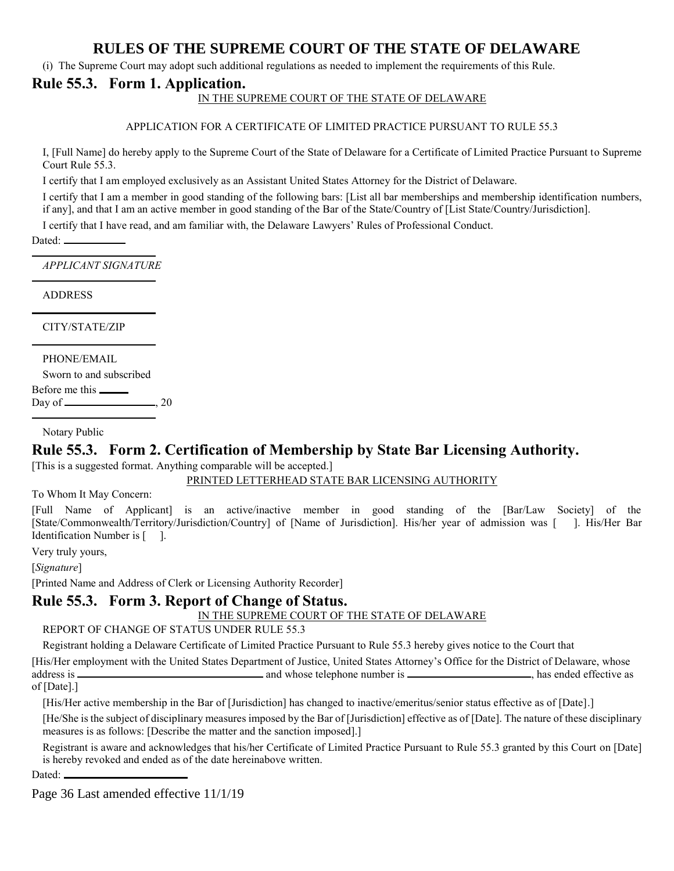(i) The Supreme Court may adopt such additional regulations as needed to implement the requirements of this Rule.

### **Rule 55.3. Form 1. Application.**

IN THE SUPREME COURT OF THE STATE OF DELAWARE

APPLICATION FOR A CERTIFICATE OF LIMITED PRACTICE PURSUANT TO RULE 55.3

I, [Full Name] do hereby apply to the Supreme Court of the State of Delaware for a Certificate of Limited Practice Pursuant to Supreme Court Rule 55.3.

I certify that I am employed exclusively as an Assistant United States Attorney for the District of Delaware.

I certify that I am a member in good standing of the following bars: [List all bar memberships and membership identification numbers, if any], and that I am an active member in good standing of the Bar of the State/Country of [List State/Country/Jurisdiction].

I certify that I have read, and am familiar with, the Delaware Lawyers' Rules of Professional Conduct.

Dated:

l

l

l

*APPLICANT SIGNATURE*

ADDRESS

CITY/STATE/ZIP

PHONE/EMAIL Sworn to and subscribed

Before me this

Day of  $\qquad \qquad \qquad .20$ 

Notary Public

## **Rule 55.3. Form 2. Certification of Membership by State Bar Licensing Authority.**

[This is a suggested format. Anything comparable will be accepted.]

PRINTED LETTERHEAD STATE BAR LICENSING AUTHORITY

To Whom It May Concern:

[Full Name of Applicant] is an active/inactive member in good standing of the [Bar/Law Society] of the [State/Commonwealth/Territory/Jurisdiction/Country] of [Name of Jurisdiction]. His/her year of admission was [ ]. His/Her Bar Identification Number is [ ].

Very truly yours,

[*Signature*]

[Printed Name and Address of Clerk or Licensing Authority Recorder]

## **Rule 55.3. Form 3. Report of Change of Status.**

#### IN THE SUPREME COURT OF THE STATE OF DELAWARE

REPORT OF CHANGE OF STATUS UNDER RULE 55.3

Registrant holding a Delaware Certificate of Limited Practice Pursuant to Rule 55.3 hereby gives notice to the Court that

[His/Her employment with the United States Department of Justice, United States Attorney's Office for the District of Delaware, whose address is and whose telephone number is , has ended effective as of [Date].]

[His/Her active membership in the Bar of [Jurisdiction] has changed to inactive/emeritus/senior status effective as of [Date].]

[He/She is the subject of disciplinary measures imposed by the Bar of [Jurisdiction] effective as of [Date]. The nature of these disciplinary measures is as follows: [Describe the matter and the sanction imposed].]

Registrant is aware and acknowledges that his/her Certificate of Limited Practice Pursuant to Rule 55.3 granted by this Court on [Date] is hereby revoked and ended as of the date hereinabove written.

Dated:

Page 36 Last amended effective 11/1/19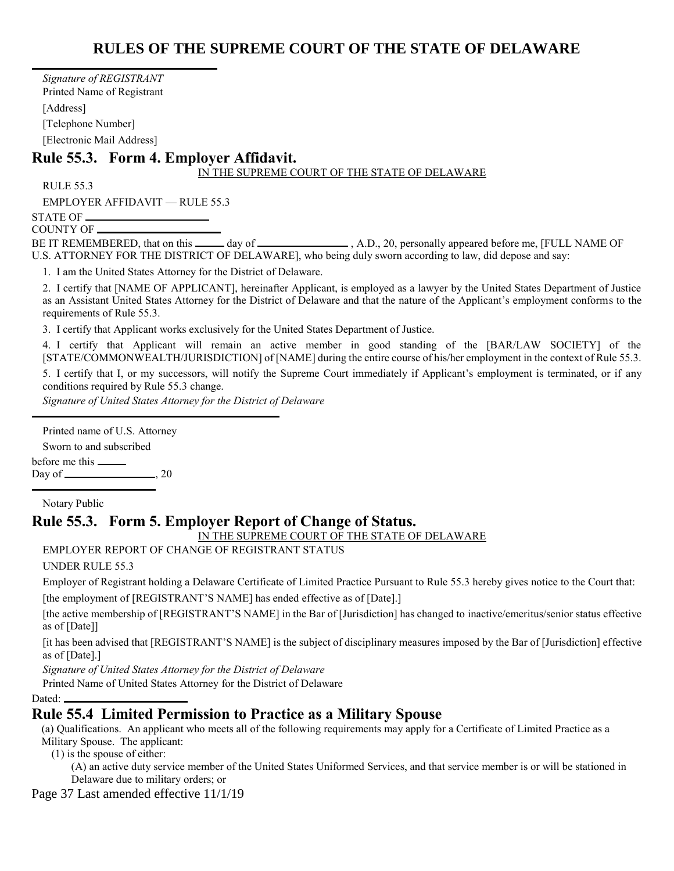*Signature of REGISTRANT* Printed Name of Registrant [Address] [Telephone Number] [Electronic Mail Address]

## **Rule 55.3. Form 4. Employer Affidavit.**

#### IN THE SUPREME COURT OF THE STATE OF DELAWARE

RULE 55.3

 $\overline{a}$ 

EMPLOYER AFFIDAVIT — RULE 55.3

STATE OF COUNTY OF

BE IT REMEMBERED, that on this \_\_\_\_\_\_ day of \_\_\_\_\_\_\_\_\_\_\_\_\_\_\_\_\_\_, A.D., 20, personally appeared before me, [FULL NAME OF U.S. ATTORNEY FOR THE DISTRICT OF DELAWARE], who being duly sworn according to law, did depose and say:

1. I am the United States Attorney for the District of Delaware.

2. I certify that [NAME OF APPLICANT], hereinafter Applicant, is employed as a lawyer by the United States Department of Justice as an Assistant United States Attorney for the District of Delaware and that the nature of the Applicant's employment conforms to the requirements of Rule 55.3.

3. I certify that Applicant works exclusively for the United States Department of Justice.

4. I certify that Applicant will remain an active member in good standing of the [BAR/LAW SOCIETY] of the [STATE/COMMONWEALTH/JURISDICTION] of [NAME] during the entire course of his/her employment in the context of Rule 55.3. 5. I certify that I, or my successors, will notify the Supreme Court immediately if Applicant's employment is terminated, or if any conditions required by Rule 55.3 change.

*Signature of United States Attorney for the District of Delaware*

Printed name of U.S. Attorney

Sworn to and subscribed

before me this

Day of  $\qquad \qquad \qquad 20$ 

Notary Public

l

#### **Rule 55.3. Form 5. Employer Report of Change of Status.**

#### IN THE SUPREME COURT OF THE STATE OF DELAWARE

EMPLOYER REPORT OF CHANGE OF REGISTRANT STATUS

#### UNDER RULE 55.3

Employer of Registrant holding a Delaware Certificate of Limited Practice Pursuant to Rule 55.3 hereby gives notice to the Court that:

[the employment of [REGISTRANT'S NAME] has ended effective as of [Date].]

[the active membership of [REGISTRANT'S NAME] in the Bar of [Jurisdiction] has changed to inactive/emeritus/senior status effective as of [Date]]

[it has been advised that [REGISTRANT'S NAME] is the subject of disciplinary measures imposed by the Bar of [Jurisdiction] effective as of [Date].]

*Signature of United States Attorney for the District of Delaware*

Printed Name of United States Attorney for the District of Delaware

Dated:

### **Rule 55.4 Limited Permission to Practice as a Military Spouse**

(a) Qualifications. An applicant who meets all of the following requirements may apply for a Certificate of Limited Practice as a Military Spouse. The applicant:

(1) is the spouse of either:

(A) an active duty service member of the United States Uniformed Services, and that service member is or will be stationed in Delaware due to military orders; or

Page 37 Last amended effective 11/1/19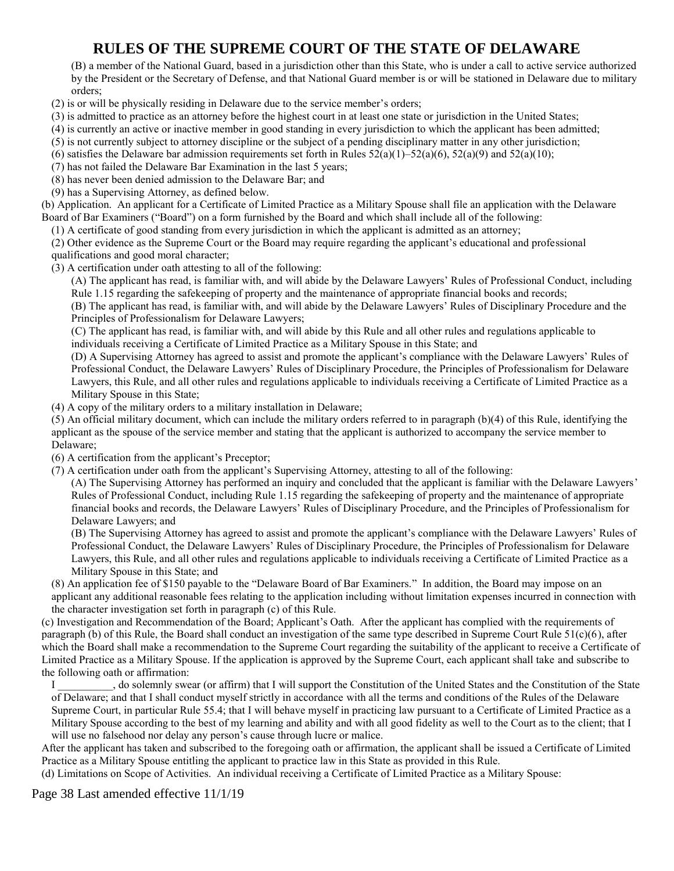(B) a member of the National Guard, based in a jurisdiction other than this State, who is under a call to active service authorized by the President or the Secretary of Defense, and that National Guard member is or will be stationed in Delaware due to military orders;

- (2) is or will be physically residing in Delaware due to the service member's orders;
- (3) is admitted to practice as an attorney before the highest court in at least one state or jurisdiction in the United States;
- (4) is currently an active or inactive member in good standing in every jurisdiction to which the applicant has been admitted;
- (5) is not currently subject to attorney discipline or the subject of a pending disciplinary matter in any other jurisdiction;
- (6) satisfies the Delaware bar admission requirements set forth in Rules  $52(a)(1)$ – $52(a)(6)$ ,  $52(a)(9)$  and  $52(a)(10)$ ;
- (7) has not failed the Delaware Bar Examination in the last 5 years;
- (8) has never been denied admission to the Delaware Bar; and
- (9) has a Supervising Attorney, as defined below.

(b) Application. An applicant for a Certificate of Limited Practice as a Military Spouse shall file an application with the Delaware Board of Bar Examiners ("Board") on a form furnished by the Board and which shall include all of the following:

(1) A certificate of good standing from every jurisdiction in which the applicant is admitted as an attorney;

(2) Other evidence as the Supreme Court or the Board may require regarding the applicant's educational and professional

- qualifications and good moral character;
- (3) A certification under oath attesting to all of the following:

(A) The applicant has read, is familiar with, and will abide by the Delaware Lawyers' Rules of Professional Conduct, including Rule 1.15 regarding the safekeeping of property and the maintenance of appropriate financial books and records;

(B) The applicant has read, is familiar with, and will abide by the Delaware Lawyers' Rules of Disciplinary Procedure and the Principles of Professionalism for Delaware Lawyers;

(C) The applicant has read, is familiar with, and will abide by this Rule and all other rules and regulations applicable to individuals receiving a Certificate of Limited Practice as a Military Spouse in this State; and

(D) A Supervising Attorney has agreed to assist and promote the applicant's compliance with the Delaware Lawyers' Rules of Professional Conduct, the Delaware Lawyers' Rules of Disciplinary Procedure, the Principles of Professionalism for Delaware Lawyers, this Rule, and all other rules and regulations applicable to individuals receiving a Certificate of Limited Practice as a Military Spouse in this State;

(4) A copy of the military orders to a military installation in Delaware;

(5) An official military document, which can include the military orders referred to in paragraph (b)(4) of this Rule, identifying the applicant as the spouse of the service member and stating that the applicant is authorized to accompany the service member to Delaware;

- (6) A certification from the applicant's Preceptor;
- (7) A certification under oath from the applicant's Supervising Attorney, attesting to all of the following:

(A) The Supervising Attorney has performed an inquiry and concluded that the applicant is familiar with the Delaware Lawyers' Rules of Professional Conduct, including Rule 1.15 regarding the safekeeping of property and the maintenance of appropriate financial books and records, the Delaware Lawyers' Rules of Disciplinary Procedure, and the Principles of Professionalism for Delaware Lawyers; and

(B) The Supervising Attorney has agreed to assist and promote the applicant's compliance with the Delaware Lawyers' Rules of Professional Conduct, the Delaware Lawyers' Rules of Disciplinary Procedure, the Principles of Professionalism for Delaware Lawyers, this Rule, and all other rules and regulations applicable to individuals receiving a Certificate of Limited Practice as a Military Spouse in this State; and

(8) An application fee of \$150 payable to the "Delaware Board of Bar Examiners." In addition, the Board may impose on an applicant any additional reasonable fees relating to the application including without limitation expenses incurred in connection with the character investigation set forth in paragraph (c) of this Rule.

(c) Investigation and Recommendation of the Board; Applicant's Oath. After the applicant has complied with the requirements of paragraph (b) of this Rule, the Board shall conduct an investigation of the same type described in Supreme Court Rule 51(c)(6), after which the Board shall make a recommendation to the Supreme Court regarding the suitability of the applicant to receive a Certificate of Limited Practice as a Military Spouse. If the application is approved by the Supreme Court, each applicant shall take and subscribe to the following oath or affirmation:

I \_\_\_\_\_\_\_\_\_\_, do solemnly swear (or affirm) that I will support the Constitution of the United States and the Constitution of the State of Delaware; and that I shall conduct myself strictly in accordance with all the terms and conditions of the Rules of the Delaware Supreme Court, in particular Rule 55.4; that I will behave myself in practicing law pursuant to a Certificate of Limited Practice as a Military Spouse according to the best of my learning and ability and with all good fidelity as well to the Court as to the client; that I will use no falsehood nor delay any person's cause through lucre or malice.

After the applicant has taken and subscribed to the foregoing oath or affirmation, the applicant shall be issued a Certificate of Limited Practice as a Military Spouse entitling the applicant to practice law in this State as provided in this Rule.

(d) Limitations on Scope of Activities. An individual receiving a Certificate of Limited Practice as a Military Spouse:

Page 38 Last amended effective 11/1/19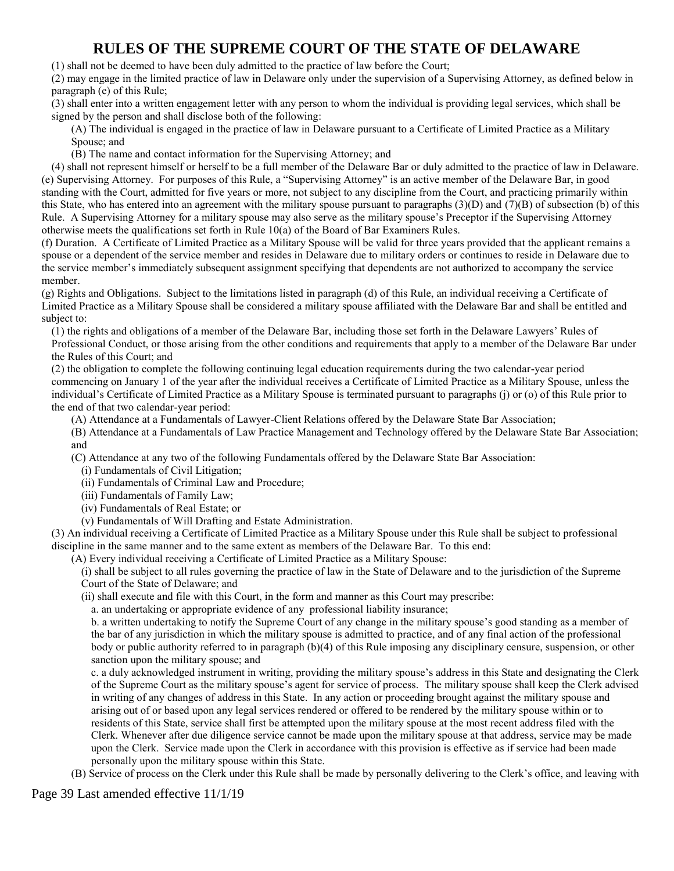(1) shall not be deemed to have been duly admitted to the practice of law before the Court;

(2) may engage in the limited practice of law in Delaware only under the supervision of a Supervising Attorney, as defined below in paragraph (e) of this Rule;

(3) shall enter into a written engagement letter with any person to whom the individual is providing legal services, which shall be signed by the person and shall disclose both of the following:

(A) The individual is engaged in the practice of law in Delaware pursuant to a Certificate of Limited Practice as a Military Spouse; and

(B) The name and contact information for the Supervising Attorney; and

(4) shall not represent himself or herself to be a full member of the Delaware Bar or duly admitted to the practice of law in Delaware. (e) Supervising Attorney. For purposes of this Rule, a "Supervising Attorney" is an active member of the Delaware Bar, in good standing with the Court, admitted for five years or more, not subject to any discipline from the Court, and practicing primarily within this State, who has entered into an agreement with the military spouse pursuant to paragraphs (3)(D) and (7)(B) of subsection (b) of this Rule. A Supervising Attorney for a military spouse may also serve as the military spouse's Preceptor if the Supervising Attorney otherwise meets the qualifications set forth in Rule 10(a) of the Board of Bar Examiners Rules.

(f) Duration. A Certificate of Limited Practice as a Military Spouse will be valid for three years provided that the applicant remains a spouse or a dependent of the service member and resides in Delaware due to military orders or continues to reside in Delaware due to the service member's immediately subsequent assignment specifying that dependents are not authorized to accompany the service member.

(g) Rights and Obligations. Subject to the limitations listed in paragraph (d) of this Rule, an individual receiving a Certificate of Limited Practice as a Military Spouse shall be considered a military spouse affiliated with the Delaware Bar and shall be entitled and subject to:

(1) the rights and obligations of a member of the Delaware Bar, including those set forth in the Delaware Lawyers' Rules of Professional Conduct, or those arising from the other conditions and requirements that apply to a member of the Delaware Bar under the Rules of this Court; and

(2) the obligation to complete the following continuing legal education requirements during the two calendar-year period commencing on January 1 of the year after the individual receives a Certificate of Limited Practice as a Military Spouse, unless the individual's Certificate of Limited Practice as a Military Spouse is terminated pursuant to paragraphs (j) or (o) of this Rule prior to the end of that two calendar-year period:

(A) Attendance at a Fundamentals of Lawyer-Client Relations offered by the Delaware State Bar Association;

(B) Attendance at a Fundamentals of Law Practice Management and Technology offered by the Delaware State Bar Association; and

(C) Attendance at any two of the following Fundamentals offered by the Delaware State Bar Association:

(i) Fundamentals of Civil Litigation;

(ii) Fundamentals of Criminal Law and Procedure;

- (iii) Fundamentals of Family Law;
- (iv) Fundamentals of Real Estate; or

(v) Fundamentals of Will Drafting and Estate Administration.

(3) An individual receiving a Certificate of Limited Practice as a Military Spouse under this Rule shall be subject to professional discipline in the same manner and to the same extent as members of the Delaware Bar. To this end:

(A) Every individual receiving a Certificate of Limited Practice as a Military Spouse:

(i) shall be subject to all rules governing the practice of law in the State of Delaware and to the jurisdiction of the Supreme Court of the State of Delaware; and

(ii) shall execute and file with this Court, in the form and manner as this Court may prescribe:

a. an undertaking or appropriate evidence of any professional liability insurance;

b. a written undertaking to notify the Supreme Court of any change in the military spouse's good standing as a member of the bar of any jurisdiction in which the military spouse is admitted to practice, and of any final action of the professional body or public authority referred to in paragraph (b)(4) of this Rule imposing any disciplinary censure, suspension, or other sanction upon the military spouse; and

c. a duly acknowledged instrument in writing, providing the military spouse's address in this State and designating the Clerk of the Supreme Court as the military spouse's agent for service of process. The military spouse shall keep the Clerk advised in writing of any changes of address in this State. In any action or proceeding brought against the military spouse and arising out of or based upon any legal services rendered or offered to be rendered by the military spouse within or to residents of this State, service shall first be attempted upon the military spouse at the most recent address filed with the Clerk. Whenever after due diligence service cannot be made upon the military spouse at that address, service may be made upon the Clerk. Service made upon the Clerk in accordance with this provision is effective as if service had been made personally upon the military spouse within this State.

(B) Service of process on the Clerk under this Rule shall be made by personally delivering to the Clerk's office, and leaving with

Page 39 Last amended effective 11/1/19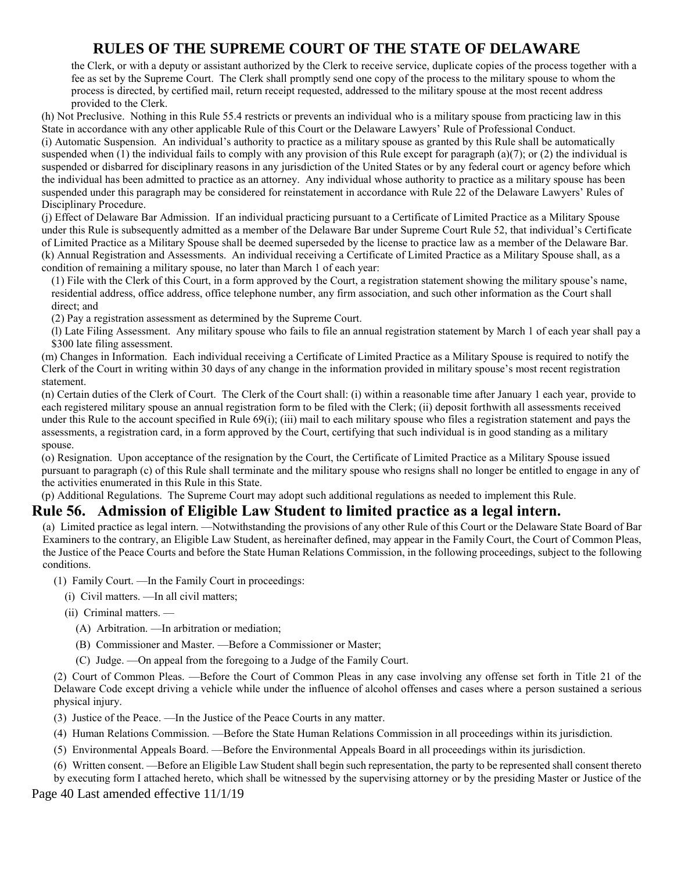the Clerk, or with a deputy or assistant authorized by the Clerk to receive service, duplicate copies of the process together with a fee as set by the Supreme Court. The Clerk shall promptly send one copy of the process to the military spouse to whom the process is directed, by certified mail, return receipt requested, addressed to the military spouse at the most recent address provided to the Clerk.

(h) Not Preclusive. Nothing in this Rule 55.4 restricts or prevents an individual who is a military spouse from practicing law in this State in accordance with any other applicable Rule of this Court or the Delaware Lawyers' Rule of Professional Conduct. (i) Automatic Suspension. An individual's authority to practice as a military spouse as granted by this Rule shall be automatically suspended when (1) the individual fails to comply with any provision of this Rule except for paragraph (a)(7); or (2) the individual is suspended or disbarred for disciplinary reasons in any jurisdiction of the United States or by any federal court or agency before which the individual has been admitted to practice as an attorney. Any individual whose authority to practice as a military spouse has been suspended under this paragraph may be considered for reinstatement in accordance with Rule 22 of the Delaware Lawyers' Rules of Disciplinary Procedure.

(j) Effect of Delaware Bar Admission. If an individual practicing pursuant to a Certificate of Limited Practice as a Military Spouse under this Rule is subsequently admitted as a member of the Delaware Bar under Supreme Court Rule 52, that individual's Certificate of Limited Practice as a Military Spouse shall be deemed superseded by the license to practice law as a member of the Delaware Bar. (k) Annual Registration and Assessments. An individual receiving a Certificate of Limited Practice as a Military Spouse shall, as a condition of remaining a military spouse, no later than March 1 of each year:

(1) File with the Clerk of this Court, in a form approved by the Court, a registration statement showing the military spouse's name, residential address, office address, office telephone number, any firm association, and such other information as the Court shall direct; and

(2) Pay a registration assessment as determined by the Supreme Court.

(l) Late Filing Assessment. Any military spouse who fails to file an annual registration statement by March 1 of each year shall pay a \$300 late filing assessment.

(m) Changes in Information. Each individual receiving a Certificate of Limited Practice as a Military Spouse is required to notify the Clerk of the Court in writing within 30 days of any change in the information provided in military spouse's most recent registration statement.

(n) Certain duties of the Clerk of Court. The Clerk of the Court shall: (i) within a reasonable time after January 1 each year, provide to each registered military spouse an annual registration form to be filed with the Clerk; (ii) deposit forthwith all assessments received under this Rule to the account specified in Rule 69(i); (iii) mail to each military spouse who files a registration statement and pays the assessments, a registration card, in a form approved by the Court, certifying that such individual is in good standing as a military spouse.

(o) Resignation. Upon acceptance of the resignation by the Court, the Certificate of Limited Practice as a Military Spouse issued pursuant to paragraph (c) of this Rule shall terminate and the military spouse who resigns shall no longer be entitled to engage in any of the activities enumerated in this Rule in this State.

(p) Additional Regulations. The Supreme Court may adopt such additional regulations as needed to implement this Rule.

### **Rule 56. Admission of Eligible Law Student to limited practice as a legal intern.**

(a) Limited practice as legal intern. —Notwithstanding the provisions of any other Rule of this Court or the Delaware State Board of Bar Examiners to the contrary, an Eligible Law Student, as hereinafter defined, may appear in the Family Court, the Court of Common Pleas, the Justice of the Peace Courts and before the State Human Relations Commission, in the following proceedings, subject to the following conditions.

(1) Family Court. —In the Family Court in proceedings:

- (i) Civil matters. —In all civil matters;
- (ii) Criminal matters.
	- (A) Arbitration. —In arbitration or mediation;
	- (B) Commissioner and Master. —Before a Commissioner or Master;
	- (C) Judge. —On appeal from the foregoing to a Judge of the Family Court.

(2) Court of Common Pleas. —Before the Court of Common Pleas in any case involving any offense set forth in Title 21 of the Delaware Code except driving a vehicle while under the influence of alcohol offenses and cases where a person sustained a serious physical injury.

(3) Justice of the Peace. —In the Justice of the Peace Courts in any matter.

(4) Human Relations Commission. —Before the State Human Relations Commission in all proceedings within its jurisdiction.

- (5) Environmental Appeals Board. —Before the Environmental Appeals Board in all proceedings within its jurisdiction.
- (6) Written consent. —Before an Eligible Law Student shall begin such representation, the party to be represented shall consent thereto

by executing form I attached hereto, which shall be witnessed by the supervising attorney or by the presiding Master or Justice of the

Page 40 Last amended effective 11/1/19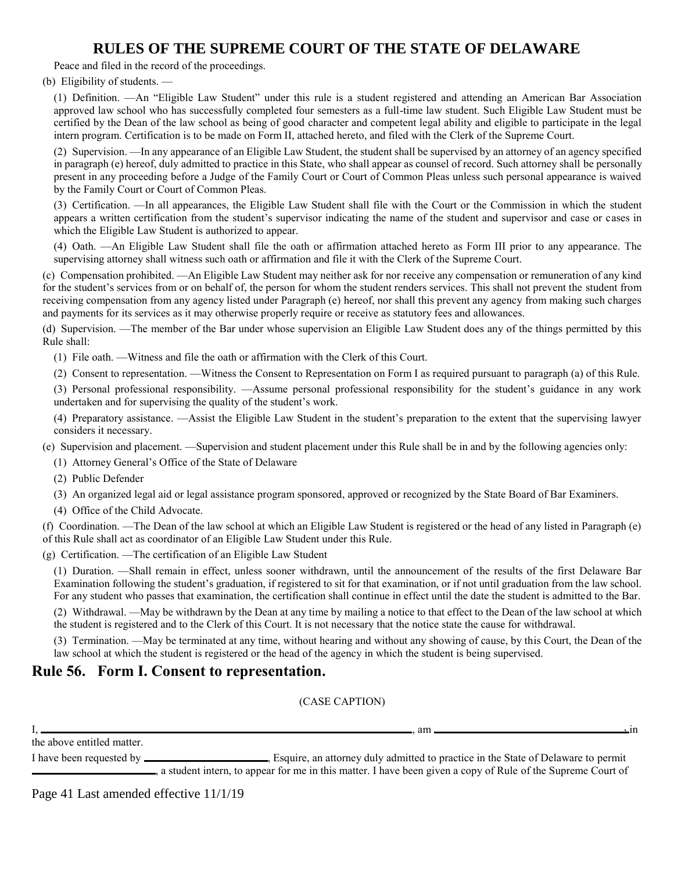Peace and filed in the record of the proceedings.

(b) Eligibility of students. —

(1) Definition. —An "Eligible Law Student" under this rule is a student registered and attending an American Bar Association approved law school who has successfully completed four semesters as a full-time law student. Such Eligible Law Student must be certified by the Dean of the law school as being of good character and competent legal ability and eligible to participate in the legal intern program. Certification is to be made on Form II, attached hereto, and filed with the Clerk of the Supreme Court.

(2) Supervision. —In any appearance of an Eligible Law Student, the student shall be supervised by an attorney of an agency specified in paragraph (e) hereof, duly admitted to practice in this State, who shall appear as counsel of record. Such attorney shall be personally present in any proceeding before a Judge of the Family Court or Court of Common Pleas unless such personal appearance is waived by the Family Court or Court of Common Pleas.

(3) Certification. —In all appearances, the Eligible Law Student shall file with the Court or the Commission in which the student appears a written certification from the student's supervisor indicating the name of the student and supervisor and case or cases in which the Eligible Law Student is authorized to appear.

(4) Oath. —An Eligible Law Student shall file the oath or affirmation attached hereto as Form III prior to any appearance. The supervising attorney shall witness such oath or affirmation and file it with the Clerk of the Supreme Court.

(c) Compensation prohibited. —An Eligible Law Student may neither ask for nor receive any compensation or remuneration of any kind for the student's services from or on behalf of, the person for whom the student renders services. This shall not prevent the student from receiving compensation from any agency listed under Paragraph (e) hereof, nor shall this prevent any agency from making such charges and payments for its services as it may otherwise properly require or receive as statutory fees and allowances.

(d) Supervision. —The member of the Bar under whose supervision an Eligible Law Student does any of the things permitted by this Rule shall:

(1) File oath. —Witness and file the oath or affirmation with the Clerk of this Court.

(2) Consent to representation. —Witness the Consent to Representation on Form I as required pursuant to paragraph (a) of this Rule.

(3) Personal professional responsibility. —Assume personal professional responsibility for the student's guidance in any work undertaken and for supervising the quality of the student's work.

(4) Preparatory assistance. —Assist the Eligible Law Student in the student's preparation to the extent that the supervising lawyer considers it necessary.

(e) Supervision and placement. —Supervision and student placement under this Rule shall be in and by the following agencies only:

(1) Attorney General's Office of the State of Delaware

(2) Public Defender

(3) An organized legal aid or legal assistance program sponsored, approved or recognized by the State Board of Bar Examiners.

(4) Office of the Child Advocate.

(f) Coordination. —The Dean of the law school at which an Eligible Law Student is registered or the head of any listed in Paragraph (e) of this Rule shall act as coordinator of an Eligible Law Student under this Rule.

(g) Certification. —The certification of an Eligible Law Student

(1) Duration. —Shall remain in effect, unless sooner withdrawn, until the announcement of the results of the first Delaware Bar Examination following the student's graduation, if registered to sit for that examination, or if not until graduation from the law school. For any student who passes that examination, the certification shall continue in effect until the date the student is admitted to the Bar.

(2) Withdrawal. —May be withdrawn by the Dean at any time by mailing a notice to that effect to the Dean of the law school at which the student is registered and to the Clerk of this Court. It is not necessary that the notice state the cause for withdrawal.

(3) Termination. —May be terminated at any time, without hearing and without any showing of cause, by this Court, the Dean of the law school at which the student is registered or the head of the agency in which the student is being supervised.

### **Rule 56. Form I. Consent to representation.**

(CASE CAPTION)

|                            | am                                                                                                          |  |
|----------------------------|-------------------------------------------------------------------------------------------------------------|--|
| the above entitled matter. |                                                                                                             |  |
| I have been requested by _ | Esquire, an attorney duly admitted to practice in the State of Delaware to permit                           |  |
|                            | a student intern, to appear for me in this matter. I have been given a copy of Rule of the Supreme Court of |  |

Page 41 Last amended effective 11/1/19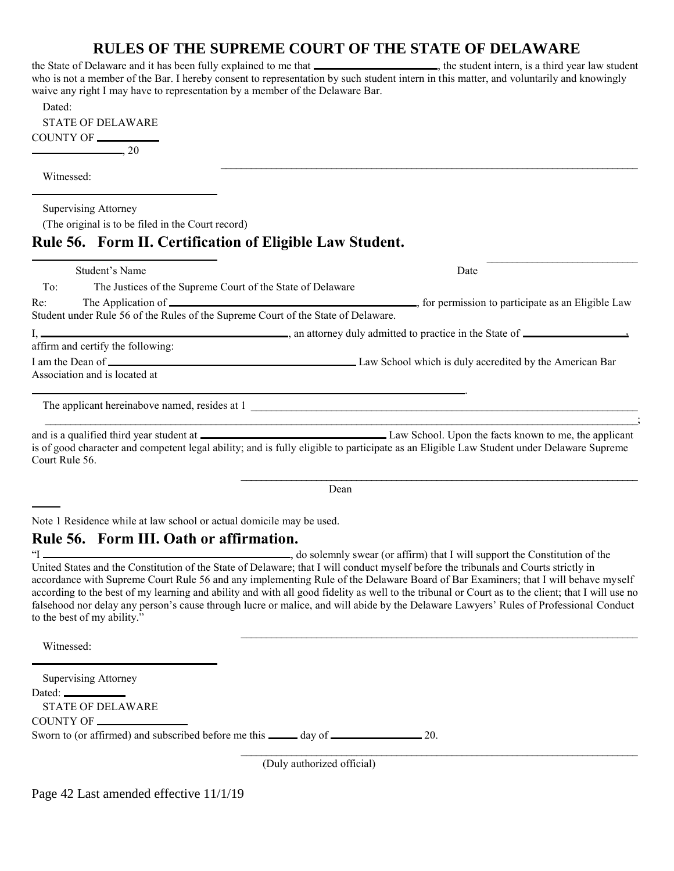the State of Delaware and it has been fully explained to me that , the student intern, is a third year law student who is not a member of the Bar. I hereby consent to representation by such student intern in this matter, and voluntarily and knowingly waive any right I may have to representation by a member of the Delaware Bar.

 $\mathcal{L}_\mathcal{L} = \{ \mathcal{L}_\mathcal{L} = \{ \mathcal{L}_\mathcal{L} = \{ \mathcal{L}_\mathcal{L} = \{ \mathcal{L}_\mathcal{L} = \{ \mathcal{L}_\mathcal{L} = \{ \mathcal{L}_\mathcal{L} = \{ \mathcal{L}_\mathcal{L} = \{ \mathcal{L}_\mathcal{L} = \{ \mathcal{L}_\mathcal{L} = \{ \mathcal{L}_\mathcal{L} = \{ \mathcal{L}_\mathcal{L} = \{ \mathcal{L}_\mathcal{L} = \{ \mathcal{L}_\mathcal{L} = \{ \mathcal{L}_\mathcal{$ 

 $\mathcal{L}_\text{max}$ 

| Dated:                   |  |
|--------------------------|--|
| <b>STATE OF DELAWARE</b> |  |
| COUNTY OF <b>_____</b>   |  |
| . 20                     |  |

Witnessed:

 $\overline{a}$ 

l

 $\overline{a}$ 

Supervising Attorney

(The original is to be filed in the Court record)

### **Rule 56. Form II. Certification of Eligible Law Student.**

| Kur 50. Turni ni certintation of Englist Eaw Student.                                    |                                                                                                                                          |
|------------------------------------------------------------------------------------------|------------------------------------------------------------------------------------------------------------------------------------------|
| Student's Name                                                                           | Date                                                                                                                                     |
| To:<br>The Justices of the Supreme Court of the State of Delaware                        |                                                                                                                                          |
| Re:<br>Student under Rule 56 of the Rules of the Supreme Court of the State of Delaware. |                                                                                                                                          |
|                                                                                          |                                                                                                                                          |
| affirm and certify the following:                                                        |                                                                                                                                          |
|                                                                                          |                                                                                                                                          |
| Association and is located at                                                            |                                                                                                                                          |
| The applicant hereinabove named, resides at 1                                            |                                                                                                                                          |
| Court Rule 56.                                                                           | is of good character and competent legal ability; and is fully eligible to participate as an Eligible Law Student under Delaware Supreme |

Dean

Note 1 Residence while at law school or actual domicile may be used.

#### **Rule 56. Form III. Oath or affirmation.**

"I , do solemnly swear (or affirm) that I will support the Constitution of the United States and the Constitution of the State of Delaware; that I will conduct myself before the tribunals and Courts strictly in accordance with Supreme Court Rule 56 and any implementing Rule of the Delaware Board of Bar Examiners; that I will behave myself according to the best of my learning and ability and with all good fidelity as well to the tribunal or Court as to the client; that I will use no falsehood nor delay any person's cause through lucre or malice, and will abide by the Delaware Lawyers' Rules of Professional Conduct to the best of my ability."

Witnessed:

Supervising Attorney Dated: STATE OF DELAWARE COUNTY OF Sworn to (or affirmed) and subscribed before me this  $\_\_\_\_\_\_\$  day of  $\_\_\_\_\_\_\_\_\_\_\_\_2$ 

(Duly authorized official)

Page 42 Last amended effective 11/1/19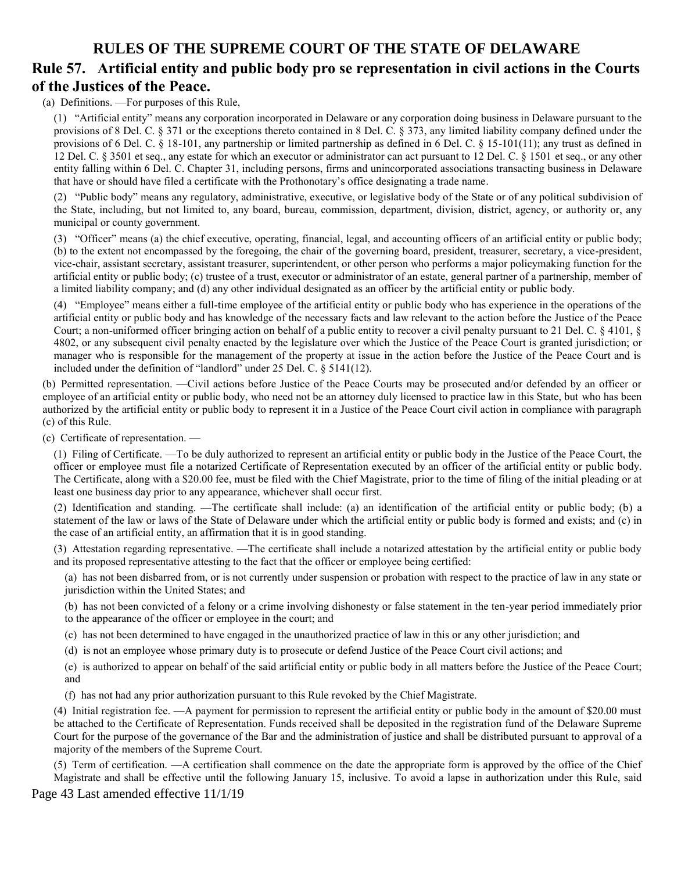### **Rule 57. Artificial entity and public body pro se representation in civil actions in the Courts of the Justices of the Peace.**

(a) Definitions. —For purposes of this Rule,

(1) "Artificial entity" means any corporation incorporated in Delaware or any corporation doing business in Delaware pursuant to the provisions of 8 Del. C. § 371 or the exceptions thereto contained in 8 Del. C. § 373, any limited liability company defined under the provisions of 6 Del. C. § 18-101, any partnership or limited partnership as defined in 6 Del. C. § 15-101(11); any trust as defined in 12 Del. C. § 3501 et seq., any estate for which an executor or administrator can act pursuant to 12 Del. C. § 1501 et seq., or any other entity falling within 6 Del. C. Chapter 31, including persons, firms and unincorporated associations transacting business in Delaware that have or should have filed a certificate with the Prothonotary's office designating a trade name.

(2) "Public body" means any regulatory, administrative, executive, or legislative body of the State or of any political subdivision of the State, including, but not limited to, any board, bureau, commission, department, division, district, agency, or authority or, any municipal or county government.

(3) "Officer" means (a) the chief executive, operating, financial, legal, and accounting officers of an artificial entity or public body; (b) to the extent not encompassed by the foregoing, the chair of the governing board, president, treasurer, secretary, a vice-president, vice-chair, assistant secretary, assistant treasurer, superintendent, or other person who performs a major policymaking function for the artificial entity or public body; (c) trustee of a trust, executor or administrator of an estate, general partner of a partnership, member of a limited liability company; and (d) any other individual designated as an officer by the artificial entity or public body.

(4) "Employee" means either a full-time employee of the artificial entity or public body who has experience in the operations of the artificial entity or public body and has knowledge of the necessary facts and law relevant to the action before the Justice of the Peace Court; a non-uniformed officer bringing action on behalf of a public entity to recover a civil penalty pursuant to 21 Del. C. § 4101, § 4802, or any subsequent civil penalty enacted by the legislature over which the Justice of the Peace Court is granted jurisdiction; or manager who is responsible for the management of the property at issue in the action before the Justice of the Peace Court and is included under the definition of "landlord" under 25 Del. C. § 5141(12).

(b) Permitted representation. —Civil actions before Justice of the Peace Courts may be prosecuted and/or defended by an officer or employee of an artificial entity or public body, who need not be an attorney duly licensed to practice law in this State, but who has been authorized by the artificial entity or public body to represent it in a Justice of the Peace Court civil action in compliance with paragraph (c) of this Rule.

(c) Certificate of representation. —

(1) Filing of Certificate. —To be duly authorized to represent an artificial entity or public body in the Justice of the Peace Court, the officer or employee must file a notarized Certificate of Representation executed by an officer of the artificial entity or public body. The Certificate, along with a \$20.00 fee, must be filed with the Chief Magistrate, prior to the time of filing of the initial pleading or at least one business day prior to any appearance, whichever shall occur first.

(2) Identification and standing. —The certificate shall include: (a) an identification of the artificial entity or public body; (b) a statement of the law or laws of the State of Delaware under which the artificial entity or public body is formed and exists; and (c) in the case of an artificial entity, an affirmation that it is in good standing.

(3) Attestation regarding representative. —The certificate shall include a notarized attestation by the artificial entity or public body and its proposed representative attesting to the fact that the officer or employee being certified:

(a) has not been disbarred from, or is not currently under suspension or probation with respect to the practice of law in any state or jurisdiction within the United States; and

(b) has not been convicted of a felony or a crime involving dishonesty or false statement in the ten-year period immediately prior to the appearance of the officer or employee in the court; and

- (c) has not been determined to have engaged in the unauthorized practice of law in this or any other jurisdiction; and
- (d) is not an employee whose primary duty is to prosecute or defend Justice of the Peace Court civil actions; and

(e) is authorized to appear on behalf of the said artificial entity or public body in all matters before the Justice of the Peace Court; and

(f) has not had any prior authorization pursuant to this Rule revoked by the Chief Magistrate.

(4) Initial registration fee. —A payment for permission to represent the artificial entity or public body in the amount of \$20.00 must be attached to the Certificate of Representation. Funds received shall be deposited in the registration fund of the Delaware Supreme Court for the purpose of the governance of the Bar and the administration of justice and shall be distributed pursuant to approval of a majority of the members of the Supreme Court.

(5) Term of certification. —A certification shall commence on the date the appropriate form is approved by the office of the Chief Magistrate and shall be effective until the following January 15, inclusive. To avoid a lapse in authorization under this Rule, said

Page 43 Last amended effective 11/1/19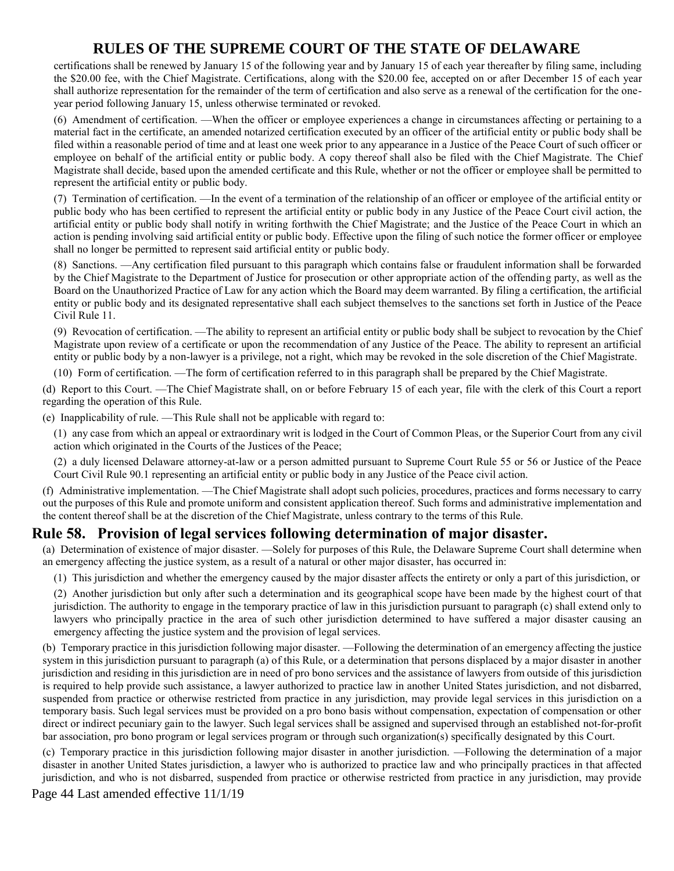certifications shall be renewed by January 15 of the following year and by January 15 of each year thereafter by filing same, including the \$20.00 fee, with the Chief Magistrate. Certifications, along with the \$20.00 fee, accepted on or after December 15 of each year shall authorize representation for the remainder of the term of certification and also serve as a renewal of the certification for the oneyear period following January 15, unless otherwise terminated or revoked.

(6) Amendment of certification. —When the officer or employee experiences a change in circumstances affecting or pertaining to a material fact in the certificate, an amended notarized certification executed by an officer of the artificial entity or public body shall be filed within a reasonable period of time and at least one week prior to any appearance in a Justice of the Peace Court of such officer or employee on behalf of the artificial entity or public body. A copy thereof shall also be filed with the Chief Magistrate. The Chief Magistrate shall decide, based upon the amended certificate and this Rule, whether or not the officer or employee shall be permitted to represent the artificial entity or public body.

(7) Termination of certification. —In the event of a termination of the relationship of an officer or employee of the artificial entity or public body who has been certified to represent the artificial entity or public body in any Justice of the Peace Court civil action, the artificial entity or public body shall notify in writing forthwith the Chief Magistrate; and the Justice of the Peace Court in which an action is pending involving said artificial entity or public body. Effective upon the filing of such notice the former officer or employee shall no longer be permitted to represent said artificial entity or public body.

(8) Sanctions. —Any certification filed pursuant to this paragraph which contains false or fraudulent information shall be forwarded by the Chief Magistrate to the Department of Justice for prosecution or other appropriate action of the offending party, as well as the Board on the Unauthorized Practice of Law for any action which the Board may deem warranted. By filing a certification, the artificial entity or public body and its designated representative shall each subject themselves to the sanctions set forth in Justice of the Peace Civil Rule 11.

(9) Revocation of certification. —The ability to represent an artificial entity or public body shall be subject to revocation by the Chief Magistrate upon review of a certificate or upon the recommendation of any Justice of the Peace. The ability to represent an artificial entity or public body by a non-lawyer is a privilege, not a right, which may be revoked in the sole discretion of the Chief Magistrate.

(10) Form of certification. —The form of certification referred to in this paragraph shall be prepared by the Chief Magistrate.

(d) Report to this Court. —The Chief Magistrate shall, on or before February 15 of each year, file with the clerk of this Court a report regarding the operation of this Rule.

(e) Inapplicability of rule. —This Rule shall not be applicable with regard to:

(1) any case from which an appeal or extraordinary writ is lodged in the Court of Common Pleas, or the Superior Court from any civil action which originated in the Courts of the Justices of the Peace;

(2) a duly licensed Delaware attorney-at-law or a person admitted pursuant to Supreme Court Rule 55 or 56 or Justice of the Peace Court Civil Rule 90.1 representing an artificial entity or public body in any Justice of the Peace civil action.

(f) Administrative implementation. —The Chief Magistrate shall adopt such policies, procedures, practices and forms necessary to carry out the purposes of this Rule and promote uniform and consistent application thereof. Such forms and administrative implementation and the content thereof shall be at the discretion of the Chief Magistrate, unless contrary to the terms of this Rule.

## **Rule 58. Provision of legal services following determination of major disaster.**

(a) Determination of existence of major disaster. —Solely for purposes of this Rule, the Delaware Supreme Court shall determine when an emergency affecting the justice system, as a result of a natural or other major disaster, has occurred in:

(1) This jurisdiction and whether the emergency caused by the major disaster affects the entirety or only a part of this jurisdiction, or

(2) Another jurisdiction but only after such a determination and its geographical scope have been made by the highest court of that jurisdiction. The authority to engage in the temporary practice of law in this jurisdiction pursuant to paragraph (c) shall extend only to lawyers who principally practice in the area of such other jurisdiction determined to have suffered a major disaster causing an emergency affecting the justice system and the provision of legal services.

(b) Temporary practice in this jurisdiction following major disaster. —Following the determination of an emergency affecting the justice system in this jurisdiction pursuant to paragraph (a) of this Rule, or a determination that persons displaced by a major disaster in another jurisdiction and residing in this jurisdiction are in need of pro bono services and the assistance of lawyers from outside of this jurisdiction is required to help provide such assistance, a lawyer authorized to practice law in another United States jurisdiction, and not disbarred, suspended from practice or otherwise restricted from practice in any jurisdiction, may provide legal services in this jurisdiction on a temporary basis. Such legal services must be provided on a pro bono basis without compensation, expectation of compensation or other direct or indirect pecuniary gain to the lawyer. Such legal services shall be assigned and supervised through an established not-for-profit bar association, pro bono program or legal services program or through such organization(s) specifically designated by this Court.

(c) Temporary practice in this jurisdiction following major disaster in another jurisdiction. —Following the determination of a major disaster in another United States jurisdiction, a lawyer who is authorized to practice law and who principally practices in that affected jurisdiction, and who is not disbarred, suspended from practice or otherwise restricted from practice in any jurisdiction, may provide

Page 44 Last amended effective 11/1/19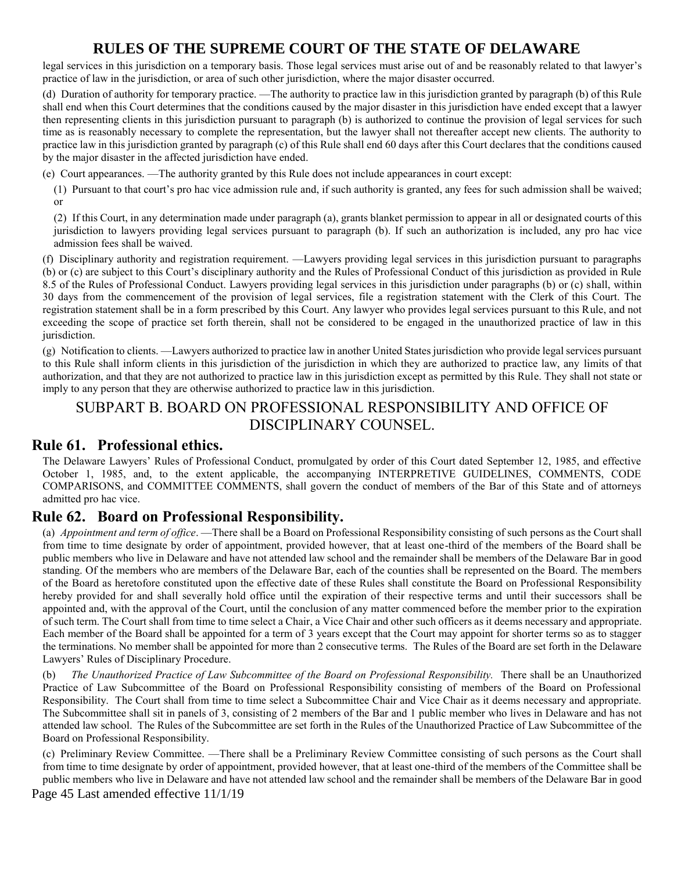legal services in this jurisdiction on a temporary basis. Those legal services must arise out of and be reasonably related to that lawyer's practice of law in the jurisdiction, or area of such other jurisdiction, where the major disaster occurred.

(d) Duration of authority for temporary practice. —The authority to practice law in this jurisdiction granted by paragraph (b) of this Rule shall end when this Court determines that the conditions caused by the major disaster in this jurisdiction have ended except that a lawyer then representing clients in this jurisdiction pursuant to paragraph (b) is authorized to continue the provision of legal services for such time as is reasonably necessary to complete the representation, but the lawyer shall not thereafter accept new clients. The authority to practice law in this jurisdiction granted by paragraph (c) of this Rule shall end 60 days after this Court declares that the conditions caused by the major disaster in the affected jurisdiction have ended.

(e) Court appearances. —The authority granted by this Rule does not include appearances in court except:

(1) Pursuant to that court's pro hac vice admission rule and, if such authority is granted, any fees for such admission shall be waived; or

(2) If this Court, in any determination made under paragraph (a), grants blanket permission to appear in all or designated courts of this jurisdiction to lawyers providing legal services pursuant to paragraph (b). If such an authorization is included, any pro hac vice admission fees shall be waived.

(f) Disciplinary authority and registration requirement. —Lawyers providing legal services in this jurisdiction pursuant to paragraphs (b) or (c) are subject to this Court's disciplinary authority and the Rules of Professional Conduct of this jurisdiction as provided in Rule 8.5 of the Rules of Professional Conduct. Lawyers providing legal services in this jurisdiction under paragraphs (b) or (c) shall, within 30 days from the commencement of the provision of legal services, file a registration statement with the Clerk of this Court. The registration statement shall be in a form prescribed by this Court. Any lawyer who provides legal services pursuant to this Rule, and not exceeding the scope of practice set forth therein, shall not be considered to be engaged in the unauthorized practice of law in this jurisdiction.

(g) Notification to clients. —Lawyers authorized to practice law in another United States jurisdiction who provide legal services pursuant to this Rule shall inform clients in this jurisdiction of the jurisdiction in which they are authorized to practice law, any limits of that authorization, and that they are not authorized to practice law in this jurisdiction except as permitted by this Rule. They shall not state or imply to any person that they are otherwise authorized to practice law in this jurisdiction.

# SUBPART B. BOARD ON PROFESSIONAL RESPONSIBILITY AND OFFICE OF DISCIPLINARY COUNSEL.

### **Rule 61. Professional ethics.**

The Delaware Lawyers' Rules of Professional Conduct, promulgated by order of this Court dated September 12, 1985, and effective October 1, 1985, and, to the extent applicable, the accompanying INTERPRETIVE GUIDELINES, COMMENTS, CODE COMPARISONS, and COMMITTEE COMMENTS, shall govern the conduct of members of the Bar of this State and of attorneys admitted pro hac vice.

### **Rule 62. Board on Professional Responsibility.**

(a) *Appointment and term of office*. —There shall be a Board on Professional Responsibility consisting of such persons as the Court shall from time to time designate by order of appointment, provided however, that at least one-third of the members of the Board shall be public members who live in Delaware and have not attended law school and the remainder shall be members of the Delaware Bar in good standing. Of the members who are members of the Delaware Bar, each of the counties shall be represented on the Board. The members of the Board as heretofore constituted upon the effective date of these Rules shall constitute the Board on Professional Responsibility hereby provided for and shall severally hold office until the expiration of their respective terms and until their successors shall be appointed and, with the approval of the Court, until the conclusion of any matter commenced before the member prior to the expiration of such term. The Court shall from time to time select a Chair, a Vice Chair and other such officers as it deems necessary and appropriate. Each member of the Board shall be appointed for a term of 3 years except that the Court may appoint for shorter terms so as to stagger the terminations. No member shall be appointed for more than 2 consecutive terms. The Rules of the Board are set forth in the Delaware Lawyers' Rules of Disciplinary Procedure.

(b) *The Unauthorized Practice of Law Subcommittee of the Board on Professional Responsibility.* There shall be an Unauthorized Practice of Law Subcommittee of the Board on Professional Responsibility consisting of members of the Board on Professional Responsibility. The Court shall from time to time select a Subcommittee Chair and Vice Chair as it deems necessary and appropriate. The Subcommittee shall sit in panels of 3, consisting of 2 members of the Bar and 1 public member who lives in Delaware and has not attended law school. The Rules of the Subcommittee are set forth in the Rules of the Unauthorized Practice of Law Subcommittee of the Board on Professional Responsibility.

(c) Preliminary Review Committee. —There shall be a Preliminary Review Committee consisting of such persons as the Court shall from time to time designate by order of appointment, provided however, that at least one-third of the members of the Committee shall be public members who live in Delaware and have not attended law school and the remainder shall be members of the Delaware Bar in good

Page 45 Last amended effective 11/1/19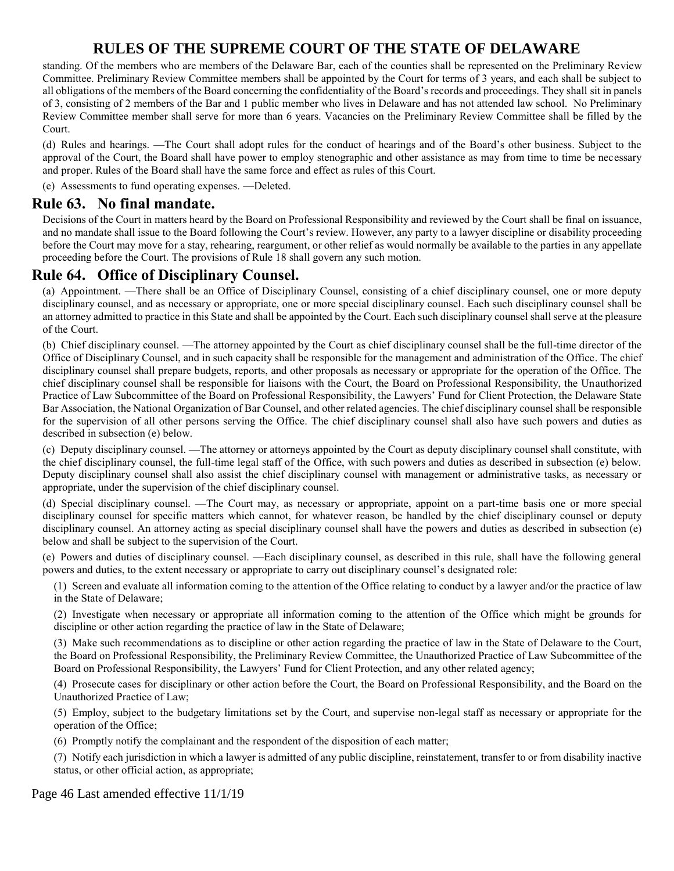standing. Of the members who are members of the Delaware Bar, each of the counties shall be represented on the Preliminary Review Committee. Preliminary Review Committee members shall be appointed by the Court for terms of 3 years, and each shall be subject to all obligations of the members of the Board concerning the confidentiality of the Board's records and proceedings. They shall sit in panels of 3, consisting of 2 members of the Bar and 1 public member who lives in Delaware and has not attended law school. No Preliminary Review Committee member shall serve for more than 6 years. Vacancies on the Preliminary Review Committee shall be filled by the Court.

(d) Rules and hearings. —The Court shall adopt rules for the conduct of hearings and of the Board's other business. Subject to the approval of the Court, the Board shall have power to employ stenographic and other assistance as may from time to time be necessary and proper. Rules of the Board shall have the same force and effect as rules of this Court.

(e) Assessments to fund operating expenses. —Deleted.

#### **Rule 63. No final mandate.**

Decisions of the Court in matters heard by the Board on Professional Responsibility and reviewed by the Court shall be final on issuance, and no mandate shall issue to the Board following the Court's review. However, any party to a lawyer discipline or disability proceeding before the Court may move for a stay, rehearing, reargument, or other relief as would normally be available to the parties in any appellate proceeding before the Court. The provisions of Rule 18 shall govern any such motion.

### **Rule 64. Office of Disciplinary Counsel.**

(a) Appointment. —There shall be an Office of Disciplinary Counsel, consisting of a chief disciplinary counsel, one or more deputy disciplinary counsel, and as necessary or appropriate, one or more special disciplinary counsel. Each such disciplinary counsel shall be an attorney admitted to practice in this State and shall be appointed by the Court. Each such disciplinary counsel shall serve at the pleasure of the Court.

(b) Chief disciplinary counsel. —The attorney appointed by the Court as chief disciplinary counsel shall be the full-time director of the Office of Disciplinary Counsel, and in such capacity shall be responsible for the management and administration of the Office. The chief disciplinary counsel shall prepare budgets, reports, and other proposals as necessary or appropriate for the operation of the Office. The chief disciplinary counsel shall be responsible for liaisons with the Court, the Board on Professional Responsibility, the Unauthorized Practice of Law Subcommittee of the Board on Professional Responsibility, the Lawyers' Fund for Client Protection, the Delaware State Bar Association, the National Organization of Bar Counsel, and other related agencies. The chief disciplinary counsel shall be responsible for the supervision of all other persons serving the Office. The chief disciplinary counsel shall also have such powers and duties as described in subsection (e) below.

(c) Deputy disciplinary counsel. —The attorney or attorneys appointed by the Court as deputy disciplinary counsel shall constitute, with the chief disciplinary counsel, the full-time legal staff of the Office, with such powers and duties as described in subsection (e) below. Deputy disciplinary counsel shall also assist the chief disciplinary counsel with management or administrative tasks, as necessary or appropriate, under the supervision of the chief disciplinary counsel.

(d) Special disciplinary counsel. —The Court may, as necessary or appropriate, appoint on a part-time basis one or more special disciplinary counsel for specific matters which cannot, for whatever reason, be handled by the chief disciplinary counsel or deputy disciplinary counsel. An attorney acting as special disciplinary counsel shall have the powers and duties as described in subsection (e) below and shall be subject to the supervision of the Court.

(e) Powers and duties of disciplinary counsel. —Each disciplinary counsel, as described in this rule, shall have the following general powers and duties, to the extent necessary or appropriate to carry out disciplinary counsel's designated role:

(1) Screen and evaluate all information coming to the attention of the Office relating to conduct by a lawyer and/or the practice of law in the State of Delaware;

(2) Investigate when necessary or appropriate all information coming to the attention of the Office which might be grounds for discipline or other action regarding the practice of law in the State of Delaware;

(3) Make such recommendations as to discipline or other action regarding the practice of law in the State of Delaware to the Court, the Board on Professional Responsibility, the Preliminary Review Committee, the Unauthorized Practice of Law Subcommittee of the Board on Professional Responsibility, the Lawyers' Fund for Client Protection, and any other related agency;

(4) Prosecute cases for disciplinary or other action before the Court, the Board on Professional Responsibility, and the Board on the Unauthorized Practice of Law;

(5) Employ, subject to the budgetary limitations set by the Court, and supervise non-legal staff as necessary or appropriate for the operation of the Office;

(6) Promptly notify the complainant and the respondent of the disposition of each matter;

(7) Notify each jurisdiction in which a lawyer is admitted of any public discipline, reinstatement, transfer to or from disability inactive status, or other official action, as appropriate;

Page 46 Last amended effective 11/1/19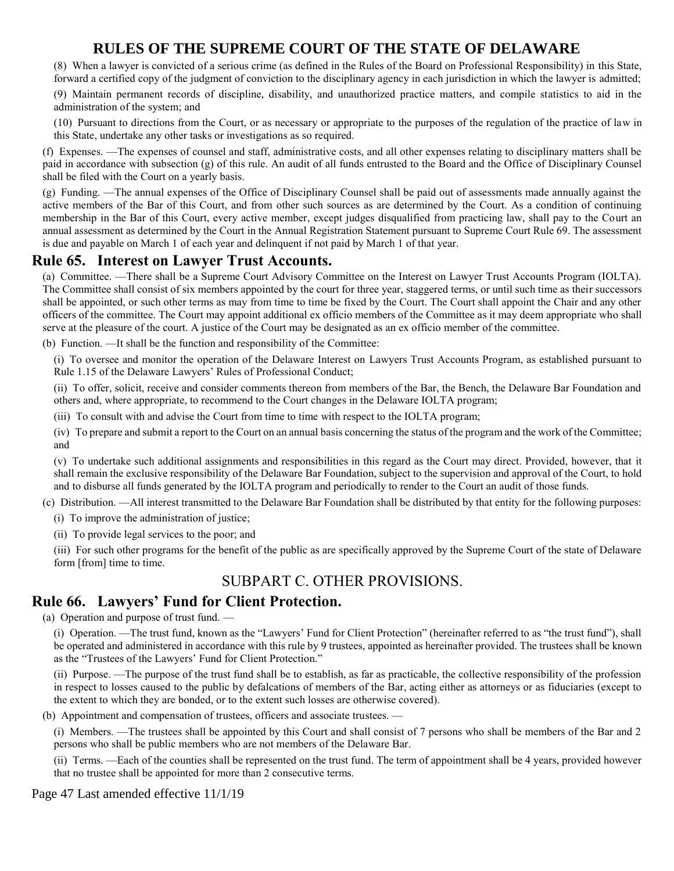(8) When a lawyer is convicted of a serious crime (as defined in the Rules of the Board on Professional Responsibility) in this State, forward a certified copy of the judgment of conviction to the disciplinary agency in each jurisdiction in which the lawyer is admitted;

(9) Maintain permanent records of discipline, disability, and unauthorized practice matters, and compile statistics to aid in the administration of the system; and

(10) Pursuant to directions from the Court, or as necessary or appropriate to the purposes of the regulation of the practice of law in this State, undertake any other tasks or investigations as so required.

(f) Expenses. —The expenses of counsel and staff, administrative costs, and all other expenses relating to disciplinary matters shall be paid in accordance with subsection (g) of this rule. An audit of all funds entrusted to the Board and the Office of Disciplinary Counsel shall be filed with the Court on a yearly basis.

(g) Funding. —The annual expenses of the Office of Disciplinary Counsel shall be paid out of assessments made annually against the active members of the Bar of this Court, and from other such sources as are determined by the Court. As a condition of continuing membership in the Bar of this Court, every active member, except judges disqualified from practicing law, shall pay to the Court an annual assessment as determined by the Court in the Annual Registration Statement pursuant to Supreme Court Rule 69. The assessment is due and payable on March 1 of each year and delinquent if not paid by March 1 of that year.

## **Rule 65. Interest on Lawyer Trust Accounts.**

(a) Committee. —There shall be a Supreme Court Advisory Committee on the Interest on Lawyer Trust Accounts Program (IOLTA). The Committee shall consist of six members appointed by the court for three year, staggered terms, or until such time as their successors shall be appointed, or such other terms as may from time to time be fixed by the Court. The Court shall appoint the Chair and any other officers of the committee. The Court may appoint additional ex officio members of the Committee as it may deem appropriate who shall serve at the pleasure of the court. A justice of the Court may be designated as an ex officio member of the committee.

(b) Function. —It shall be the function and responsibility of the Committee:

(i) To oversee and monitor the operation of the Delaware Interest on Lawyers Trust Accounts Program, as established pursuant to Rule 1.15 of the Delaware Lawyers' Rules of Professional Conduct;

(ii) To offer, solicit, receive and consider comments thereon from members of the Bar, the Bench, the Delaware Bar Foundation and others and, where appropriate, to recommend to the Court changes in the Delaware IOLTA program;

(iii) To consult with and advise the Court from time to time with respect to the IOLTA program;

(iv) To prepare and submit a report to the Court on an annual basis concerning the status of the program and the work of the Committee; and

(v) To undertake such additional assignments and responsibilities in this regard as the Court may direct. Provided, however, that it shall remain the exclusive responsibility of the Delaware Bar Foundation, subject to the supervision and approval of the Court, to hold and to disburse all funds generated by the IOLTA program and periodically to render to the Court an audit of those funds.

(c) Distribution. —All interest transmitted to the Delaware Bar Foundation shall be distributed by that entity for the following purposes:

(i) To improve the administration of justice;

(ii) To provide legal services to the poor; and

(iii) For such other programs for the benefit of the public as are specifically approved by the Supreme Court of the state of Delaware form [from] time to time.

## SUBPART C. OTHER PROVISIONS.

## **Rule 66. Lawyers' Fund for Client Protection.**

(a) Operation and purpose of trust fund. —

(i) Operation. —The trust fund, known as the "Lawyers' Fund for Client Protection" (hereinafter referred to as "the trust fund"), shall be operated and administered in accordance with this rule by 9 trustees, appointed as hereinafter provided. The trustees shall be known as the "Trustees of the Lawyers' Fund for Client Protection."

(ii) Purpose. —The purpose of the trust fund shall be to establish, as far as practicable, the collective responsibility of the profession in respect to losses caused to the public by defalcations of members of the Bar, acting either as attorneys or as fiduciaries (except to the extent to which they are bonded, or to the extent such losses are otherwise covered).

(b) Appointment and compensation of trustees, officers and associate trustees. —

(i) Members. —The trustees shall be appointed by this Court and shall consist of 7 persons who shall be members of the Bar and 2 persons who shall be public members who are not members of the Delaware Bar.

(ii) Terms. —Each of the counties shall be represented on the trust fund. The term of appointment shall be 4 years, provided however that no trustee shall be appointed for more than 2 consecutive terms.

Page 47 Last amended effective 11/1/19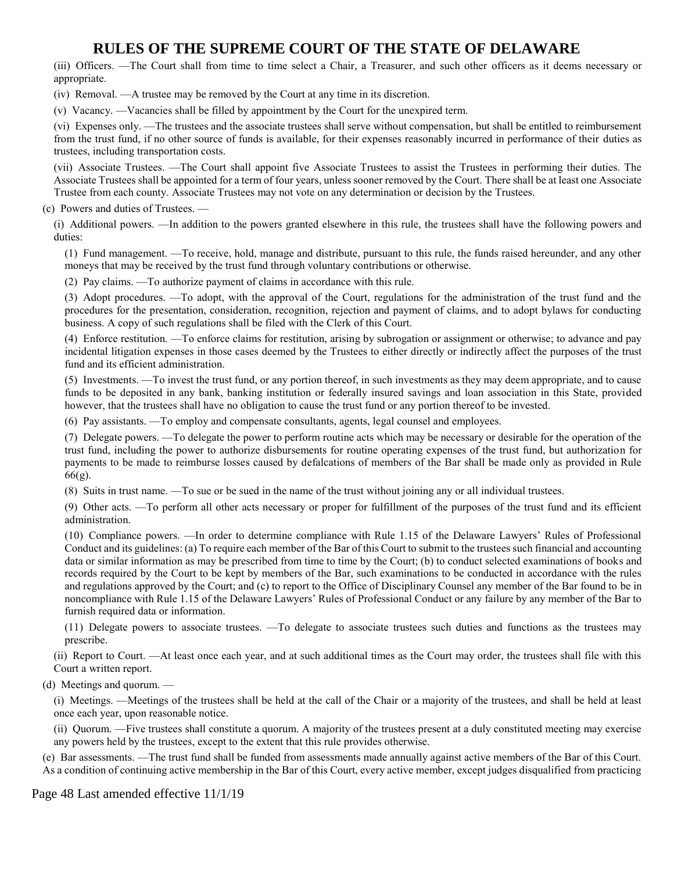(iii) Officers. —The Court shall from time to time select a Chair, a Treasurer, and such other officers as it deems necessary or appropriate.

(iv) Removal. —A trustee may be removed by the Court at any time in its discretion.

(v) Vacancy. —Vacancies shall be filled by appointment by the Court for the unexpired term.

(vi) Expenses only. —The trustees and the associate trustees shall serve without compensation, but shall be entitled to reimbursement from the trust fund, if no other source of funds is available, for their expenses reasonably incurred in performance of their duties as trustees, including transportation costs.

(vii) Associate Trustees. —The Court shall appoint five Associate Trustees to assist the Trustees in performing their duties. The Associate Trustees shall be appointed for a term of four years, unless sooner removed by the Court. There shall be at least one Associate Trustee from each county. Associate Trustees may not vote on any determination or decision by the Trustees.

(c) Powers and duties of Trustees. —

(i) Additional powers. —In addition to the powers granted elsewhere in this rule, the trustees shall have the following powers and duties:

(1) Fund management. —To receive, hold, manage and distribute, pursuant to this rule, the funds raised hereunder, and any other moneys that may be received by the trust fund through voluntary contributions or otherwise.

(2) Pay claims. —To authorize payment of claims in accordance with this rule.

(3) Adopt procedures. —To adopt, with the approval of the Court, regulations for the administration of the trust fund and the procedures for the presentation, consideration, recognition, rejection and payment of claims, and to adopt bylaws for conducting business. A copy of such regulations shall be filed with the Clerk of this Court.

(4) Enforce restitution. —To enforce claims for restitution, arising by subrogation or assignment or otherwise; to advance and pay incidental litigation expenses in those cases deemed by the Trustees to either directly or indirectly affect the purposes of the trust fund and its efficient administration.

(5) Investments. —To invest the trust fund, or any portion thereof, in such investments as they may deem appropriate, and to cause funds to be deposited in any bank, banking institution or federally insured savings and loan association in this State, provided however, that the trustees shall have no obligation to cause the trust fund or any portion thereof to be invested.

(6) Pay assistants. —To employ and compensate consultants, agents, legal counsel and employees.

(7) Delegate powers. —To delegate the power to perform routine acts which may be necessary or desirable for the operation of the trust fund, including the power to authorize disbursements for routine operating expenses of the trust fund, but authorization for payments to be made to reimburse losses caused by defalcations of members of the Bar shall be made only as provided in Rule 66(g).

(8) Suits in trust name. —To sue or be sued in the name of the trust without joining any or all individual trustees.

(9) Other acts. —To perform all other acts necessary or proper for fulfillment of the purposes of the trust fund and its efficient administration.

(10) Compliance powers. —In order to determine compliance with Rule 1.15 of the Delaware Lawyers' Rules of Professional Conduct and its guidelines: (a) To require each member of the Bar of this Court to submit to the trustees such financial and accounting data or similar information as may be prescribed from time to time by the Court; (b) to conduct selected examinations of books and records required by the Court to be kept by members of the Bar, such examinations to be conducted in accordance with the rules and regulations approved by the Court; and (c) to report to the Office of Disciplinary Counsel any member of the Bar found to be in noncompliance with Rule 1.15 of the Delaware Lawyers' Rules of Professional Conduct or any failure by any member of the Bar to furnish required data or information.

(11) Delegate powers to associate trustees. —To delegate to associate trustees such duties and functions as the trustees may prescribe.

(ii) Report to Court. —At least once each year, and at such additional times as the Court may order, the trustees shall file with this Court a written report.

(d) Meetings and quorum. —

(i) Meetings. —Meetings of the trustees shall be held at the call of the Chair or a majority of the trustees, and shall be held at least once each year, upon reasonable notice.

(ii) Quorum. —Five trustees shall constitute a quorum. A majority of the trustees present at a duly constituted meeting may exercise any powers held by the trustees, except to the extent that this rule provides otherwise.

(e) Bar assessments. —The trust fund shall be funded from assessments made annually against active members of the Bar of this Court. As a condition of continuing active membership in the Bar of this Court, every active member, except judges disqualified from practicing

Page 48 Last amended effective 11/1/19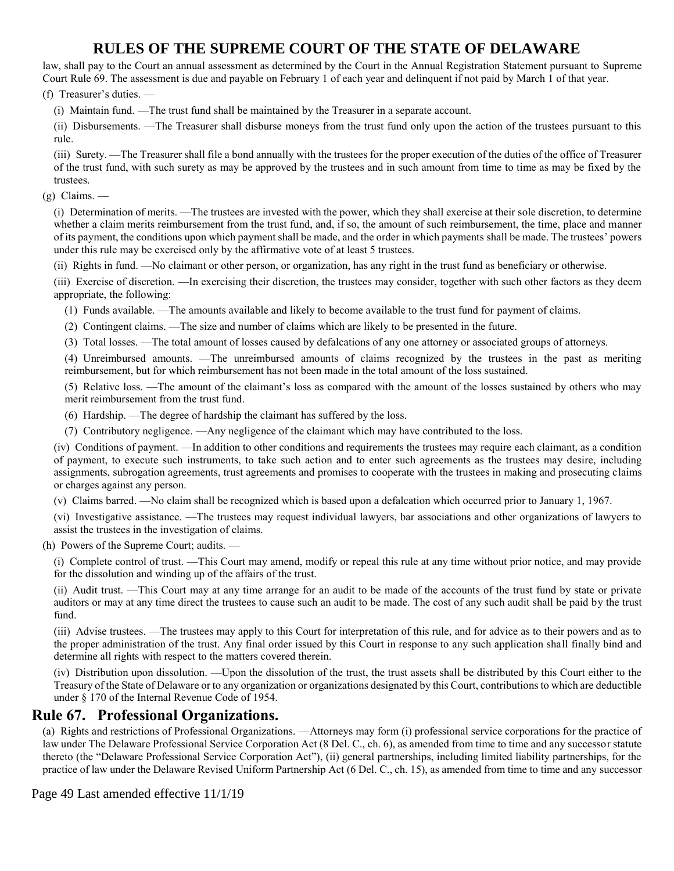law, shall pay to the Court an annual assessment as determined by the Court in the Annual Registration Statement pursuant to Supreme Court Rule 69. The assessment is due and payable on February 1 of each year and delinquent if not paid by March 1 of that year.

(f) Treasurer's duties. —

(i) Maintain fund. —The trust fund shall be maintained by the Treasurer in a separate account.

(ii) Disbursements. —The Treasurer shall disburse moneys from the trust fund only upon the action of the trustees pursuant to this rule.

(iii) Surety. —The Treasurer shall file a bond annually with the trustees for the proper execution of the duties of the office of Treasurer of the trust fund, with such surety as may be approved by the trustees and in such amount from time to time as may be fixed by the trustees.

(g) Claims. —

(i) Determination of merits. —The trustees are invested with the power, which they shall exercise at their sole discretion, to determine whether a claim merits reimbursement from the trust fund, and, if so, the amount of such reimbursement, the time, place and manner of its payment, the conditions upon which payment shall be made, and the order in which payments shall be made. The trustees' powers under this rule may be exercised only by the affirmative vote of at least 5 trustees.

(ii) Rights in fund. —No claimant or other person, or organization, has any right in the trust fund as beneficiary or otherwise.

(iii) Exercise of discretion. —In exercising their discretion, the trustees may consider, together with such other factors as they deem appropriate, the following:

(1) Funds available. —The amounts available and likely to become available to the trust fund for payment of claims.

(2) Contingent claims. —The size and number of claims which are likely to be presented in the future.

(3) Total losses. —The total amount of losses caused by defalcations of any one attorney or associated groups of attorneys.

(4) Unreimbursed amounts. —The unreimbursed amounts of claims recognized by the trustees in the past as meriting reimbursement, but for which reimbursement has not been made in the total amount of the loss sustained.

(5) Relative loss. —The amount of the claimant's loss as compared with the amount of the losses sustained by others who may merit reimbursement from the trust fund.

(6) Hardship. —The degree of hardship the claimant has suffered by the loss.

(7) Contributory negligence. —Any negligence of the claimant which may have contributed to the loss.

(iv) Conditions of payment. —In addition to other conditions and requirements the trustees may require each claimant, as a condition of payment, to execute such instruments, to take such action and to enter such agreements as the trustees may desire, including assignments, subrogation agreements, trust agreements and promises to cooperate with the trustees in making and prosecuting claims or charges against any person.

(v) Claims barred. —No claim shall be recognized which is based upon a defalcation which occurred prior to January 1, 1967.

(vi) Investigative assistance. —The trustees may request individual lawyers, bar associations and other organizations of lawyers to assist the trustees in the investigation of claims.

(h) Powers of the Supreme Court; audits. —

(i) Complete control of trust. —This Court may amend, modify or repeal this rule at any time without prior notice, and may provide for the dissolution and winding up of the affairs of the trust.

(ii) Audit trust. —This Court may at any time arrange for an audit to be made of the accounts of the trust fund by state or private auditors or may at any time direct the trustees to cause such an audit to be made. The cost of any such audit shall be paid by the trust fund.

(iii) Advise trustees. —The trustees may apply to this Court for interpretation of this rule, and for advice as to their powers and as to the proper administration of the trust. Any final order issued by this Court in response to any such application shall finally bind and determine all rights with respect to the matters covered therein.

(iv) Distribution upon dissolution. —Upon the dissolution of the trust, the trust assets shall be distributed by this Court either to the Treasury of the State of Delaware or to any organization or organizations designated by this Court, contributions to which are deductible under § 170 of the Internal Revenue Code of 1954.

### **Rule 67. Professional Organizations.**

(a) Rights and restrictions of Professional Organizations. —Attorneys may form (i) professional service corporations for the practice of law under The Delaware Professional Service Corporation Act (8 Del. C., ch. 6), as amended from time to time and any successor statute thereto (the "Delaware Professional Service Corporation Act"), (ii) general partnerships, including limited liability partnerships, for the practice of law under the Delaware Revised Uniform Partnership Act (6 Del. C., ch. 15), as amended from time to time and any successor

Page 49 Last amended effective 11/1/19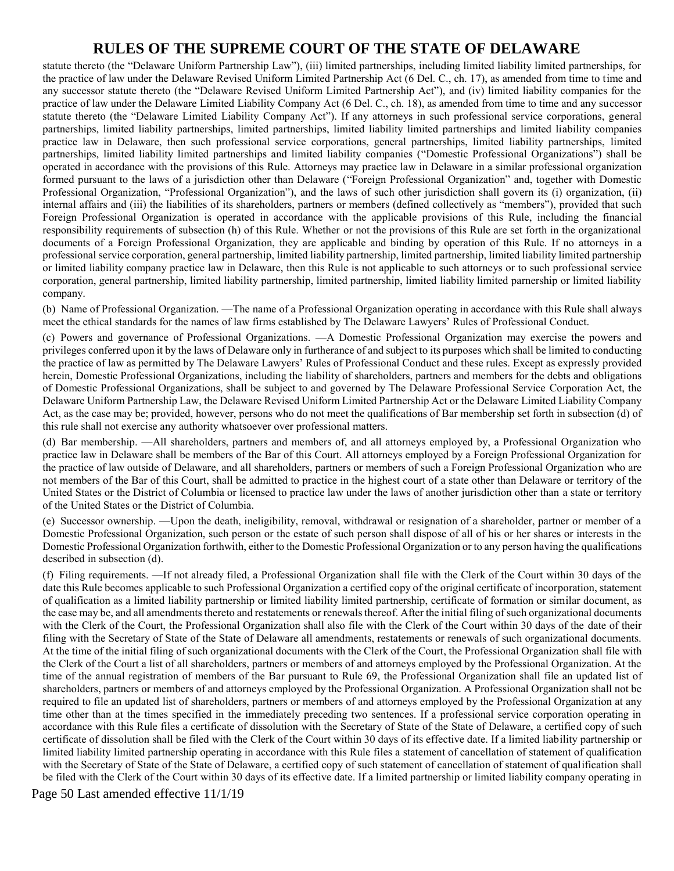statute thereto (the "Delaware Uniform Partnership Law"), (iii) limited partnerships, including limited liability limited partnerships, for the practice of law under the Delaware Revised Uniform Limited Partnership Act (6 Del. C., ch. 17), as amended from time to time and any successor statute thereto (the "Delaware Revised Uniform Limited Partnership Act"), and (iv) limited liability companies for the practice of law under the Delaware Limited Liability Company Act (6 Del. C., ch. 18), as amended from time to time and any successor statute thereto (the "Delaware Limited Liability Company Act"). If any attorneys in such professional service corporations, general partnerships, limited liability partnerships, limited partnerships, limited liability limited partnerships and limited liability companies practice law in Delaware, then such professional service corporations, general partnerships, limited liability partnerships, limited partnerships, limited liability limited partnerships and limited liability companies ("Domestic Professional Organizations") shall be operated in accordance with the provisions of this Rule. Attorneys may practice law in Delaware in a similar professional organization formed pursuant to the laws of a jurisdiction other than Delaware ("Foreign Professional Organization" and, together with Domestic Professional Organization, "Professional Organization"), and the laws of such other jurisdiction shall govern its (i) organization, (ii) internal affairs and (iii) the liabilities of its shareholders, partners or members (defined collectively as "members"), provided that such Foreign Professional Organization is operated in accordance with the applicable provisions of this Rule, including the financial responsibility requirements of subsection (h) of this Rule. Whether or not the provisions of this Rule are set forth in the organizational documents of a Foreign Professional Organization, they are applicable and binding by operation of this Rule. If no attorneys in a professional service corporation, general partnership, limited liability partnership, limited partnership, limited liability limited partnership or limited liability company practice law in Delaware, then this Rule is not applicable to such attorneys or to such professional service corporation, general partnership, limited liability partnership, limited partnership, limited liability limited parnership or limited liability company.

(b) Name of Professional Organization. —The name of a Professional Organization operating in accordance with this Rule shall always meet the ethical standards for the names of law firms established by The Delaware Lawyers' Rules of Professional Conduct.

(c) Powers and governance of Professional Organizations. —A Domestic Professional Organization may exercise the powers and privileges conferred upon it by the laws of Delaware only in furtherance of and subject to its purposes which shall be limited to conducting the practice of law as permitted by The Delaware Lawyers' Rules of Professional Conduct and these rules. Except as expressly provided herein, Domestic Professional Organizations, including the liability of shareholders, partners and members for the debts and obligations of Domestic Professional Organizations, shall be subject to and governed by The Delaware Professional Service Corporation Act, the Delaware Uniform Partnership Law, the Delaware Revised Uniform Limited Partnership Act or the Delaware Limited Liability Company Act, as the case may be; provided, however, persons who do not meet the qualifications of Bar membership set forth in subsection (d) of this rule shall not exercise any authority whatsoever over professional matters.

(d) Bar membership. —All shareholders, partners and members of, and all attorneys employed by, a Professional Organization who practice law in Delaware shall be members of the Bar of this Court. All attorneys employed by a Foreign Professional Organization for the practice of law outside of Delaware, and all shareholders, partners or members of such a Foreign Professional Organization who are not members of the Bar of this Court, shall be admitted to practice in the highest court of a state other than Delaware or territory of the United States or the District of Columbia or licensed to practice law under the laws of another jurisdiction other than a state or territory of the United States or the District of Columbia.

(e) Successor ownership. —Upon the death, ineligibility, removal, withdrawal or resignation of a shareholder, partner or member of a Domestic Professional Organization, such person or the estate of such person shall dispose of all of his or her shares or interests in the Domestic Professional Organization forthwith, either to the Domestic Professional Organization or to any person having the qualifications described in subsection (d).

(f) Filing requirements. —If not already filed, a Professional Organization shall file with the Clerk of the Court within 30 days of the date this Rule becomes applicable to such Professional Organization a certified copy of the original certificate of incorporation, statement of qualification as a limited liability partnership or limited liability limited partnership, certificate of formation or similar document, as the case may be, and all amendments thereto and restatements or renewals thereof. After the initial filing of such organizational documents with the Clerk of the Court, the Professional Organization shall also file with the Clerk of the Court within 30 days of the date of their filing with the Secretary of State of the State of Delaware all amendments, restatements or renewals of such organizational documents. At the time of the initial filing of such organizational documents with the Clerk of the Court, the Professional Organization shall file with the Clerk of the Court a list of all shareholders, partners or members of and attorneys employed by the Professional Organization. At the time of the annual registration of members of the Bar pursuant to Rule 69, the Professional Organization shall file an updated list of shareholders, partners or members of and attorneys employed by the Professional Organization. A Professional Organization shall not be required to file an updated list of shareholders, partners or members of and attorneys employed by the Professional Organization at any time other than at the times specified in the immediately preceding two sentences. If a professional service corporation operating in accordance with this Rule files a certificate of dissolution with the Secretary of State of the State of Delaware, a certified copy of such certificate of dissolution shall be filed with the Clerk of the Court within 30 days of its effective date. If a limited liability partnership or limited liability limited partnership operating in accordance with this Rule files a statement of cancellation of statement of qualification with the Secretary of State of the State of Delaware, a certified copy of such statement of cancellation of statement of qualification shall be filed with the Clerk of the Court within 30 days of its effective date. If a limited partnership or limited liability company operating in

Page 50 Last amended effective 11/1/19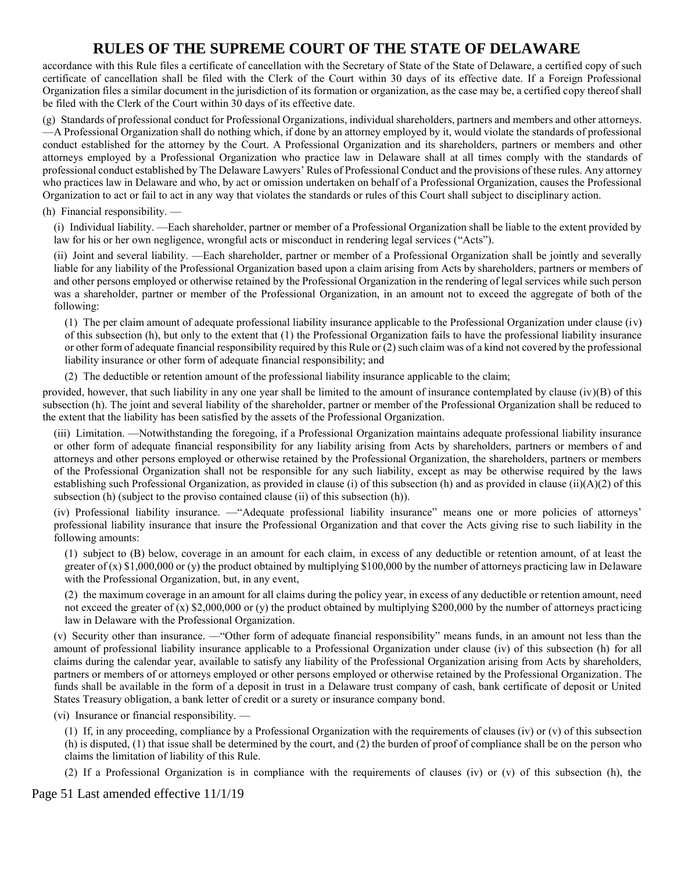accordance with this Rule files a certificate of cancellation with the Secretary of State of the State of Delaware, a certified copy of such certificate of cancellation shall be filed with the Clerk of the Court within 30 days of its effective date. If a Foreign Professional Organization files a similar document in the jurisdiction of its formation or organization, as the case may be, a certified copy thereof shall be filed with the Clerk of the Court within 30 days of its effective date.

(g) Standards of professional conduct for Professional Organizations, individual shareholders, partners and members and other attorneys. —A Professional Organization shall do nothing which, if done by an attorney employed by it, would violate the standards of professional conduct established for the attorney by the Court. A Professional Organization and its shareholders, partners or members and other attorneys employed by a Professional Organization who practice law in Delaware shall at all times comply with the standards of professional conduct established by The Delaware Lawyers' Rules of Professional Conduct and the provisions of these rules. Any attorney who practices law in Delaware and who, by act or omission undertaken on behalf of a Professional Organization, causes the Professional Organization to act or fail to act in any way that violates the standards or rules of this Court shall subject to disciplinary action.

#### (h) Financial responsibility. —

(i) Individual liability. —Each shareholder, partner or member of a Professional Organization shall be liable to the extent provided by law for his or her own negligence, wrongful acts or misconduct in rendering legal services ("Acts").

(ii) Joint and several liability. —Each shareholder, partner or member of a Professional Organization shall be jointly and severally liable for any liability of the Professional Organization based upon a claim arising from Acts by shareholders, partners or members of and other persons employed or otherwise retained by the Professional Organization in the rendering of legal services while such person was a shareholder, partner or member of the Professional Organization, in an amount not to exceed the aggregate of both of the following:

(1) The per claim amount of adequate professional liability insurance applicable to the Professional Organization under clause (iv) of this subsection (h), but only to the extent that (1) the Professional Organization fails to have the professional liability insurance or other form of adequate financial responsibility required by this Rule or (2) such claim was of a kind not covered by the professional liability insurance or other form of adequate financial responsibility; and

(2) The deductible or retention amount of the professional liability insurance applicable to the claim;

provided, however, that such liability in any one year shall be limited to the amount of insurance contemplated by clause  $(iv)(B)$  of this subsection (h). The joint and several liability of the shareholder, partner or member of the Professional Organization shall be reduced to the extent that the liability has been satisfied by the assets of the Professional Organization.

(iii) Limitation. —Notwithstanding the foregoing, if a Professional Organization maintains adequate professional liability insurance or other form of adequate financial responsibility for any liability arising from Acts by shareholders, partners or members of and attorneys and other persons employed or otherwise retained by the Professional Organization, the shareholders, partners or members of the Professional Organization shall not be responsible for any such liability, except as may be otherwise required by the laws establishing such Professional Organization, as provided in clause (i) of this subsection (h) and as provided in clause (ii)(A)(2) of this subsection (h) (subject to the proviso contained clause (ii) of this subsection (h)).

(iv) Professional liability insurance. —"Adequate professional liability insurance" means one or more policies of attorneys' professional liability insurance that insure the Professional Organization and that cover the Acts giving rise to such liability in the following amounts:

(1) subject to (B) below, coverage in an amount for each claim, in excess of any deductible or retention amount, of at least the greater of (x)  $$1,000,000$  or (y) the product obtained by multiplying  $$100,000$  by the number of attorneys practicing law in Delaware with the Professional Organization, but, in any event,

(2) the maximum coverage in an amount for all claims during the policy year, in excess of any deductible or retention amount, need not exceed the greater of (x) \$2,000,000 or (y) the product obtained by multiplying \$200,000 by the number of attorneys practicing law in Delaware with the Professional Organization.

(v) Security other than insurance. —"Other form of adequate financial responsibility" means funds, in an amount not less than the amount of professional liability insurance applicable to a Professional Organization under clause (iv) of this subsection (h) for all claims during the calendar year, available to satisfy any liability of the Professional Organization arising from Acts by shareholders, partners or members of or attorneys employed or other persons employed or otherwise retained by the Professional Organization. The funds shall be available in the form of a deposit in trust in a Delaware trust company of cash, bank certificate of deposit or United States Treasury obligation, a bank letter of credit or a surety or insurance company bond.

(vi) Insurance or financial responsibility. —

(1) If, in any proceeding, compliance by a Professional Organization with the requirements of clauses (iv) or (v) of this subsection (h) is disputed, (1) that issue shall be determined by the court, and (2) the burden of proof of compliance shall be on the person who claims the limitation of liability of this Rule.

(2) If a Professional Organization is in compliance with the requirements of clauses (iv) or (v) of this subsection (h), the

Page 51 Last amended effective 11/1/19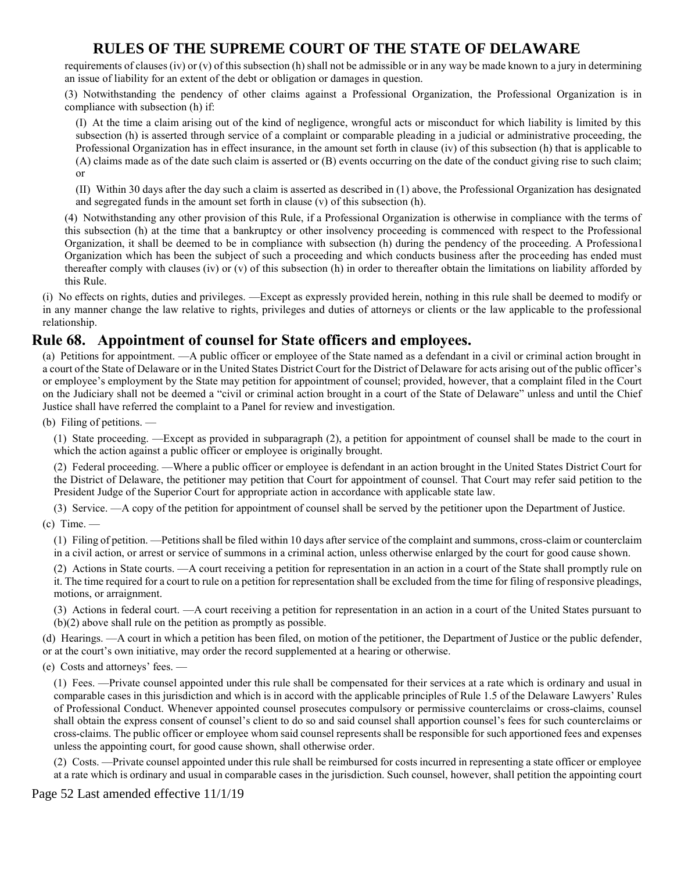requirements of clauses (iv) or (v) of this subsection (h) shall not be admissible or in any way be made known to a jury in determining an issue of liability for an extent of the debt or obligation or damages in question.

(3) Notwithstanding the pendency of other claims against a Professional Organization, the Professional Organization is in compliance with subsection (h) if:

(I) At the time a claim arising out of the kind of negligence, wrongful acts or misconduct for which liability is limited by this subsection (h) is asserted through service of a complaint or comparable pleading in a judicial or administrative proceeding, the Professional Organization has in effect insurance, in the amount set forth in clause (iv) of this subsection (h) that is applicable to (A) claims made as of the date such claim is asserted or (B) events occurring on the date of the conduct giving rise to such claim; or

(II) Within 30 days after the day such a claim is asserted as described in (1) above, the Professional Organization has designated and segregated funds in the amount set forth in clause (v) of this subsection (h).

(4) Notwithstanding any other provision of this Rule, if a Professional Organization is otherwise in compliance with the terms of this subsection (h) at the time that a bankruptcy or other insolvency proceeding is commenced with respect to the Professional Organization, it shall be deemed to be in compliance with subsection (h) during the pendency of the proceeding. A Professional Organization which has been the subject of such a proceeding and which conducts business after the proceeding has ended must thereafter comply with clauses (iv) or (v) of this subsection (h) in order to thereafter obtain the limitations on liability afforded by this Rule.

(i) No effects on rights, duties and privileges. —Except as expressly provided herein, nothing in this rule shall be deemed to modify or in any manner change the law relative to rights, privileges and duties of attorneys or clients or the law applicable to the professional relationship.

#### **Rule 68. Appointment of counsel for State officers and employees.**

(a) Petitions for appointment. —A public officer or employee of the State named as a defendant in a civil or criminal action brought in a court of the State of Delaware or in the United States District Court for the District of Delaware for acts arising out of the public officer's or employee's employment by the State may petition for appointment of counsel; provided, however, that a complaint filed in the Court on the Judiciary shall not be deemed a "civil or criminal action brought in a court of the State of Delaware" unless and until the Chief Justice shall have referred the complaint to a Panel for review and investigation.

(b) Filing of petitions. —

(1) State proceeding. —Except as provided in subparagraph (2), a petition for appointment of counsel shall be made to the court in which the action against a public officer or employee is originally brought.

(2) Federal proceeding. —Where a public officer or employee is defendant in an action brought in the United States District Court for the District of Delaware, the petitioner may petition that Court for appointment of counsel. That Court may refer said petition to the President Judge of the Superior Court for appropriate action in accordance with applicable state law.

(3) Service. —A copy of the petition for appointment of counsel shall be served by the petitioner upon the Department of Justice.  $(c)$  Time. —

(1) Filing of petition. —Petitions shall be filed within 10 days after service of the complaint and summons, cross-claim or counterclaim in a civil action, or arrest or service of summons in a criminal action, unless otherwise enlarged by the court for good cause shown.

(2) Actions in State courts. —A court receiving a petition for representation in an action in a court of the State shall promptly rule on it. The time required for a court to rule on a petition for representation shall be excluded from the time for filing of responsive pleadings, motions, or arraignment.

(3) Actions in federal court. —A court receiving a petition for representation in an action in a court of the United States pursuant to (b)(2) above shall rule on the petition as promptly as possible.

(d) Hearings. —A court in which a petition has been filed, on motion of the petitioner, the Department of Justice or the public defender, or at the court's own initiative, may order the record supplemented at a hearing or otherwise.

(e) Costs and attorneys' fees. —

(1) Fees. —Private counsel appointed under this rule shall be compensated for their services at a rate which is ordinary and usual in comparable cases in this jurisdiction and which is in accord with the applicable principles of Rule 1.5 of the Delaware Lawyers' Rules of Professional Conduct. Whenever appointed counsel prosecutes compulsory or permissive counterclaims or cross-claims, counsel shall obtain the express consent of counsel's client to do so and said counsel shall apportion counsel's fees for such counterclaims or cross-claims. The public officer or employee whom said counsel represents shall be responsible for such apportioned fees and expenses unless the appointing court, for good cause shown, shall otherwise order.

(2) Costs. —Private counsel appointed under this rule shall be reimbursed for costs incurred in representing a state officer or employee at a rate which is ordinary and usual in comparable cases in the jurisdiction. Such counsel, however, shall petition the appointing court

Page 52 Last amended effective 11/1/19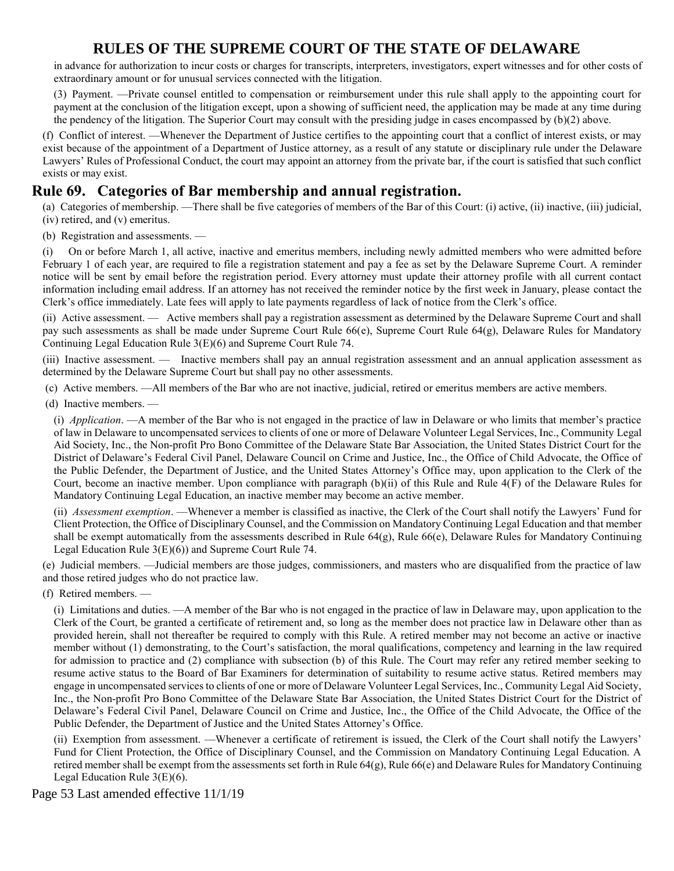in advance for authorization to incur costs or charges for transcripts, interpreters, investigators, expert witnesses and for other costs of extraordinary amount or for unusual services connected with the litigation.

(3) Payment. —Private counsel entitled to compensation or reimbursement under this rule shall apply to the appointing court for payment at the conclusion of the litigation except, upon a showing of sufficient need, the application may be made at any time during the pendency of the litigation. The Superior Court may consult with the presiding judge in cases encompassed by  $(b)(2)$  above.

(f) Conflict of interest. —Whenever the Department of Justice certifies to the appointing court that a conflict of interest exists, or may exist because of the appointment of a Department of Justice attorney, as a result of any statute or disciplinary rule under the Delaware Lawyers' Rules of Professional Conduct, the court may appoint an attorney from the private bar, if the court is satisfied that such conflict exists or may exist.

# **Rule 69. Categories of Bar membership and annual registration.**

(a) Categories of membership. —There shall be five categories of members of the Bar of this Court: (i) active, (ii) inactive, (iii) judicial, (iv) retired, and (v) emeritus.

(b) Registration and assessments. —

(i) On or before March 1, all active, inactive and emeritus members, including newly admitted members who were admitted before February 1 of each year, are required to file a registration statement and pay a fee as set by the Delaware Supreme Court. A reminder notice will be sent by email before the registration period. Every attorney must update their attorney profile with all current contact information including email address. If an attorney has not received the reminder notice by the first week in January, please contact the Clerk's office immediately. Late fees will apply to late payments regardless of lack of notice from the Clerk's office.

(ii) Active assessment. — Active members shall pay a registration assessment as determined by the Delaware Supreme Court and shall pay such assessments as shall be made under Supreme Court Rule 66(e), Supreme Court Rule 64(g), Delaware Rules for Mandatory Continuing Legal Education Rule 3(E)(6) and Supreme Court Rule 74.

(iii) Inactive assessment. — Inactive members shall pay an annual registration assessment and an annual application assessment as determined by the Delaware Supreme Court but shall pay no other assessments.

(c) Active members. —All members of the Bar who are not inactive, judicial, retired or emeritus members are active members.

(d) Inactive members. —

(i) *Application*. —A member of the Bar who is not engaged in the practice of law in Delaware or who limits that member's practice of law in Delaware to uncompensated services to clients of one or more of Delaware Volunteer Legal Services, Inc., Community Legal Aid Society, Inc., the Non-profit Pro Bono Committee of the Delaware State Bar Association, the United States District Court for the District of Delaware's Federal Civil Panel, Delaware Council on Crime and Justice, Inc., the Office of Child Advocate, the Office of the Public Defender, the Department of Justice, and the United States Attorney's Office may, upon application to the Clerk of the Court, become an inactive member. Upon compliance with paragraph (b)(ii) of this Rule and Rule 4(F) of the Delaware Rules for Mandatory Continuing Legal Education, an inactive member may become an active member.

(ii) *Assessment exemption*. —Whenever a member is classified as inactive, the Clerk of the Court shall notify the Lawyers' Fund for Client Protection, the Office of Disciplinary Counsel, and the Commission on Mandatory Continuing Legal Education and that member shall be exempt automatically from the assessments described in Rule 64(g), Rule 66(e), Delaware Rules for Mandatory Continuing Legal Education Rule 3(E)(6)) and Supreme Court Rule 74.

(e) Judicial members. —Judicial members are those judges, commissioners, and masters who are disqualified from the practice of law and those retired judges who do not practice law.

(f) Retired members. —

(i) Limitations and duties. —A member of the Bar who is not engaged in the practice of law in Delaware may, upon application to the Clerk of the Court, be granted a certificate of retirement and, so long as the member does not practice law in Delaware other than as provided herein, shall not thereafter be required to comply with this Rule. A retired member may not become an active or inactive member without (1) demonstrating, to the Court's satisfaction, the moral qualifications, competency and learning in the law required for admission to practice and (2) compliance with subsection (b) of this Rule. The Court may refer any retired member seeking to resume active status to the Board of Bar Examiners for determination of suitability to resume active status. Retired members may engage in uncompensated services to clients of one or more of Delaware Volunteer Legal Services, Inc., Community Legal Aid Society, Inc., the Non-profit Pro Bono Committee of the Delaware State Bar Association, the United States District Court for the District of Delaware's Federal Civil Panel, Delaware Council on Crime and Justice, Inc., the Office of the Child Advocate, the Office of the Public Defender, the Department of Justice and the United States Attorney's Office.

(ii) Exemption from assessment. —Whenever a certificate of retirement is issued, the Clerk of the Court shall notify the Lawyers' Fund for Client Protection, the Office of Disciplinary Counsel, and the Commission on Mandatory Continuing Legal Education. A retired member shall be exempt from the assessments set forth in Rule 64(g), Rule 66(e) and Delaware Rules for Mandatory Continuing Legal Education Rule 3(E)(6).

Page 53 Last amended effective 11/1/19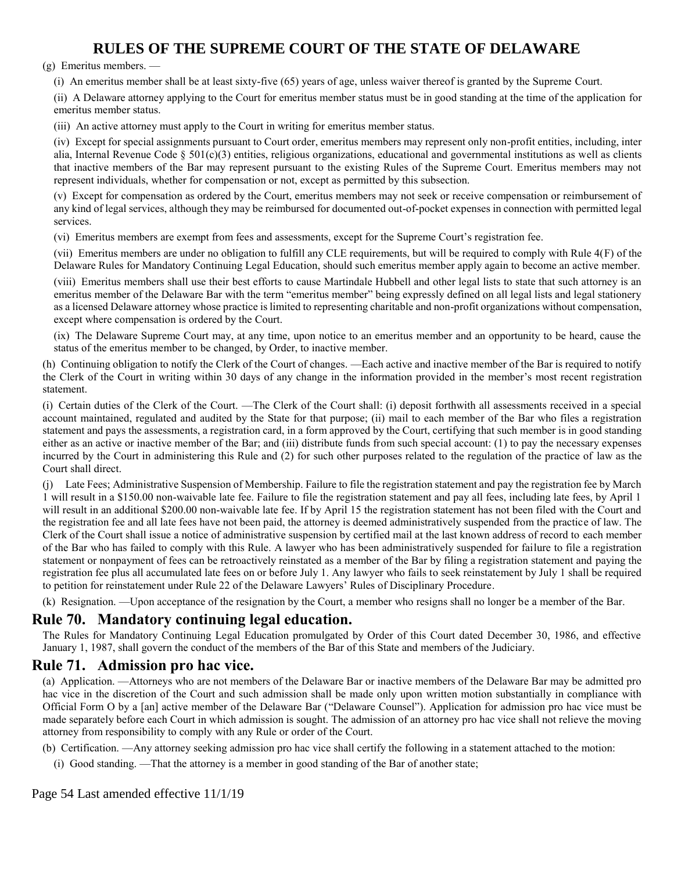#### (g) Emeritus members. —

(i) An emeritus member shall be at least sixty-five (65) years of age, unless waiver thereof is granted by the Supreme Court.

(ii) A Delaware attorney applying to the Court for emeritus member status must be in good standing at the time of the application for emeritus member status.

(iii) An active attorney must apply to the Court in writing for emeritus member status.

(iv) Except for special assignments pursuant to Court order, emeritus members may represent only non-profit entities, including, inter alia, Internal Revenue Code §  $501(c)(3)$  entities, religious organizations, educational and governmental institutions as well as clients that inactive members of the Bar may represent pursuant to the existing Rules of the Supreme Court. Emeritus members may not represent individuals, whether for compensation or not, except as permitted by this subsection.

(v) Except for compensation as ordered by the Court, emeritus members may not seek or receive compensation or reimbursement of any kind of legal services, although they may be reimbursed for documented out-of-pocket expenses in connection with permitted legal services.

(vi) Emeritus members are exempt from fees and assessments, except for the Supreme Court's registration fee.

(vii) Emeritus members are under no obligation to fulfill any CLE requirements, but will be required to comply with Rule 4(F) of the Delaware Rules for Mandatory Continuing Legal Education, should such emeritus member apply again to become an active member.

(viii) Emeritus members shall use their best efforts to cause Martindale Hubbell and other legal lists to state that such attorney is an emeritus member of the Delaware Bar with the term "emeritus member" being expressly defined on all legal lists and legal stationery as a licensed Delaware attorney whose practice is limited to representing charitable and non-profit organizations without compensation, except where compensation is ordered by the Court.

(ix) The Delaware Supreme Court may, at any time, upon notice to an emeritus member and an opportunity to be heard, cause the status of the emeritus member to be changed, by Order, to inactive member.

(h) Continuing obligation to notify the Clerk of the Court of changes. —Each active and inactive member of the Bar is required to notify the Clerk of the Court in writing within 30 days of any change in the information provided in the member's most recent registration statement.

(i) Certain duties of the Clerk of the Court. —The Clerk of the Court shall: (i) deposit forthwith all assessments received in a special account maintained, regulated and audited by the State for that purpose; (ii) mail to each member of the Bar who files a registration statement and pays the assessments, a registration card, in a form approved by the Court, certifying that such member is in good standing either as an active or inactive member of the Bar; and (iii) distribute funds from such special account: (1) to pay the necessary expenses incurred by the Court in administering this Rule and (2) for such other purposes related to the regulation of the practice of law as the Court shall direct.

(j) Late Fees; Administrative Suspension of Membership. Failure to file the registration statement and pay the registration fee by March 1 will result in a \$150.00 non-waivable late fee. Failure to file the registration statement and pay all fees, including late fees, by April 1 will result in an additional \$200.00 non-waivable late fee. If by April 15 the registration statement has not been filed with the Court and the registration fee and all late fees have not been paid, the attorney is deemed administratively suspended from the practice of law. The Clerk of the Court shall issue a notice of administrative suspension by certified mail at the last known address of record to each member of the Bar who has failed to comply with this Rule. A lawyer who has been administratively suspended for failure to file a registration statement or nonpayment of fees can be retroactively reinstated as a member of the Bar by filing a registration statement and paying the registration fee plus all accumulated late fees on or before July 1. Any lawyer who fails to seek reinstatement by July 1 shall be required to petition for reinstatement under Rule 22 of the Delaware Lawyers' Rules of Disciplinary Procedure.

(k) Resignation. —Upon acceptance of the resignation by the Court, a member who resigns shall no longer be a member of the Bar.

## **Rule 70. Mandatory continuing legal education.**

The Rules for Mandatory Continuing Legal Education promulgated by Order of this Court dated December 30, 1986, and effective January 1, 1987, shall govern the conduct of the members of the Bar of this State and members of the Judiciary.

#### **Rule 71. Admission pro hac vice.**

(a) Application. —Attorneys who are not members of the Delaware Bar or inactive members of the Delaware Bar may be admitted pro hac vice in the discretion of the Court and such admission shall be made only upon written motion substantially in compliance with Official Form O by a [an] active member of the Delaware Bar ("Delaware Counsel"). Application for admission pro hac vice must be made separately before each Court in which admission is sought. The admission of an attorney pro hac vice shall not relieve the moving attorney from responsibility to comply with any Rule or order of the Court.

- (b) Certification. —Any attorney seeking admission pro hac vice shall certify the following in a statement attached to the motion:
	- (i) Good standing. —That the attorney is a member in good standing of the Bar of another state;

Page 54 Last amended effective 11/1/19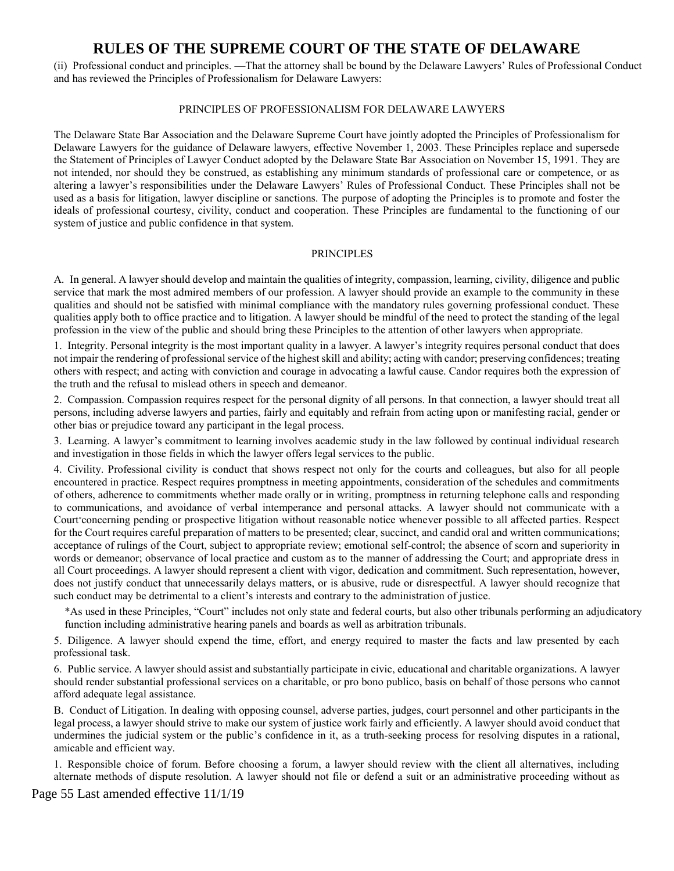(ii) Professional conduct and principles. —That the attorney shall be bound by the Delaware Lawyers' Rules of Professional Conduct and has reviewed the Principles of Professionalism for Delaware Lawyers:

#### PRINCIPLES OF PROFESSIONALISM FOR DELAWARE LAWYERS

The Delaware State Bar Association and the Delaware Supreme Court have jointly adopted the Principles of Professionalism for Delaware Lawyers for the guidance of Delaware lawyers, effective November 1, 2003. These Principles replace and supersede the Statement of Principles of Lawyer Conduct adopted by the Delaware State Bar Association on November 15, 1991. They are not intended, nor should they be construed, as establishing any minimum standards of professional care or competence, or as altering a lawyer's responsibilities under the Delaware Lawyers' Rules of Professional Conduct. These Principles shall not be used as a basis for litigation, lawyer discipline or sanctions. The purpose of adopting the Principles is to promote and foster the ideals of professional courtesy, civility, conduct and cooperation. These Principles are fundamental to the functioning of our system of justice and public confidence in that system.

#### PRINCIPLES

A. In general. A lawyer should develop and maintain the qualities of integrity, compassion, learning, civility, diligence and public service that mark the most admired members of our profession. A lawyer should provide an example to the community in these qualities and should not be satisfied with minimal compliance with the mandatory rules governing professional conduct. These qualities apply both to office practice and to litigation. A lawyer should be mindful of the need to protect the standing of the legal profession in the view of the public and should bring these Principles to the attention of other lawyers when appropriate.

1. Integrity. Personal integrity is the most important quality in a lawyer. A lawyer's integrity requires personal conduct that does not impair the rendering of professional service of the highest skill and ability; acting with candor; preserving confidences; treating others with respect; and acting with conviction and courage in advocating a lawful cause. Candor requires both the expression of the truth and the refusal to mislead others in speech and demeanor.

2. Compassion. Compassion requires respect for the personal dignity of all persons. In that connection, a lawyer should treat all persons, including adverse lawyers and parties, fairly and equitably and refrain from acting upon or manifesting racial, gender or other bias or prejudice toward any participant in the legal process.

3. Learning. A lawyer's commitment to learning involves academic study in the law followed by continual individual research and investigation in those fields in which the lawyer offers legal services to the public.

4. Civility. Professional civility is conduct that shows respect not only for the courts and colleagues, but also for all people encountered in practice. Respect requires promptness in meeting appointments, consideration of the schedules and commitments of others, adherence to commitments whether made orally or in writing, promptness in returning telephone calls and responding to communications, and avoidance of verbal intemperance and personal attacks. A lawyer should not communicate with a Court\*concerning pending or prospective litigation without reasonable notice whenever possible to all affected parties. Respect for the Court requires careful preparation of matters to be presented; clear, succinct, and candid oral and written communications; acceptance of rulings of the Court, subject to appropriate review; emotional self-control; the absence of scorn and superiority in words or demeanor; observance of local practice and custom as to the manner of addressing the Court; and appropriate dress in all Court proceedings. A lawyer should represent a client with vigor, dedication and commitment. Such representation, however, does not justify conduct that unnecessarily delays matters, or is abusive, rude or disrespectful. A lawyer should recognize that such conduct may be detrimental to a client's interests and contrary to the administration of justice.

\*As used in these Principles, "Court" includes not only state and federal courts, but also other tribunals performing an adjudicatory function including administrative hearing panels and boards as well as arbitration tribunals.

5. Diligence. A lawyer should expend the time, effort, and energy required to master the facts and law presented by each professional task.

6. Public service. A lawyer should assist and substantially participate in civic, educational and charitable organizations. A lawyer should render substantial professional services on a charitable, or pro bono publico, basis on behalf of those persons who cannot afford adequate legal assistance.

B. Conduct of Litigation. In dealing with opposing counsel, adverse parties, judges, court personnel and other participants in the legal process, a lawyer should strive to make our system of justice work fairly and efficiently. A lawyer should avoid conduct that undermines the judicial system or the public's confidence in it, as a truth-seeking process for resolving disputes in a rational, amicable and efficient way.

1. Responsible choice of forum. Before choosing a forum, a lawyer should review with the client all alternatives, including alternate methods of dispute resolution. A lawyer should not file or defend a suit or an administrative proceeding without as

Page 55 Last amended effective 11/1/19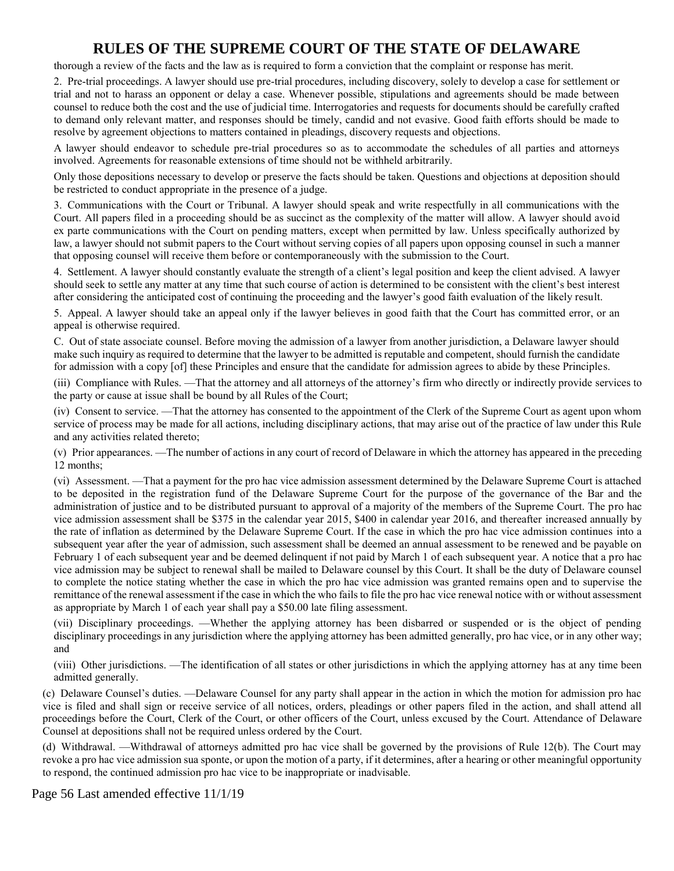thorough a review of the facts and the law as is required to form a conviction that the complaint or response has merit.

2. Pre-trial proceedings. A lawyer should use pre-trial procedures, including discovery, solely to develop a case for settlement or trial and not to harass an opponent or delay a case. Whenever possible, stipulations and agreements should be made between counsel to reduce both the cost and the use of judicial time. Interrogatories and requests for documents should be carefully crafted to demand only relevant matter, and responses should be timely, candid and not evasive. Good faith efforts should be made to resolve by agreement objections to matters contained in pleadings, discovery requests and objections.

A lawyer should endeavor to schedule pre-trial procedures so as to accommodate the schedules of all parties and attorneys involved. Agreements for reasonable extensions of time should not be withheld arbitrarily.

Only those depositions necessary to develop or preserve the facts should be taken. Questions and objections at deposition should be restricted to conduct appropriate in the presence of a judge.

3. Communications with the Court or Tribunal. A lawyer should speak and write respectfully in all communications with the Court. All papers filed in a proceeding should be as succinct as the complexity of the matter will allow. A lawyer should avoid ex parte communications with the Court on pending matters, except when permitted by law. Unless specifically authorized by law, a lawyer should not submit papers to the Court without serving copies of all papers upon opposing counsel in such a manner that opposing counsel will receive them before or contemporaneously with the submission to the Court.

4. Settlement. A lawyer should constantly evaluate the strength of a client's legal position and keep the client advised. A lawyer should seek to settle any matter at any time that such course of action is determined to be consistent with the client's best interest after considering the anticipated cost of continuing the proceeding and the lawyer's good faith evaluation of the likely result.

5. Appeal. A lawyer should take an appeal only if the lawyer believes in good faith that the Court has committed error, or an appeal is otherwise required.

C. Out of state associate counsel. Before moving the admission of a lawyer from another jurisdiction, a Delaware lawyer should make such inquiry as required to determine that the lawyer to be admitted is reputable and competent, should furnish the candidate for admission with a copy [of] these Principles and ensure that the candidate for admission agrees to abide by these Principles.

(iii) Compliance with Rules. —That the attorney and all attorneys of the attorney's firm who directly or indirectly provide services to the party or cause at issue shall be bound by all Rules of the Court;

(iv) Consent to service. —That the attorney has consented to the appointment of the Clerk of the Supreme Court as agent upon whom service of process may be made for all actions, including disciplinary actions, that may arise out of the practice of law under this Rule and any activities related thereto;

(v) Prior appearances. —The number of actions in any court of record of Delaware in which the attorney has appeared in the preceding 12 months;

(vi) Assessment. —That a payment for the pro hac vice admission assessment determined by the Delaware Supreme Court is attached to be deposited in the registration fund of the Delaware Supreme Court for the purpose of the governance of the Bar and the administration of justice and to be distributed pursuant to approval of a majority of the members of the Supreme Court. The pro hac vice admission assessment shall be \$375 in the calendar year 2015, \$400 in calendar year 2016, and thereafter increased annually by the rate of inflation as determined by the Delaware Supreme Court. If the case in which the pro hac vice admission continues into a subsequent year after the year of admission, such assessment shall be deemed an annual assessment to be renewed and be payable on February 1 of each subsequent year and be deemed delinquent if not paid by March 1 of each subsequent year. A notice that a pro hac vice admission may be subject to renewal shall be mailed to Delaware counsel by this Court. It shall be the duty of Delaware counsel to complete the notice stating whether the case in which the pro hac vice admission was granted remains open and to supervise the remittance of the renewal assessment if the case in which the who fails to file the pro hac vice renewal notice with or without assessment as appropriate by March 1 of each year shall pay a \$50.00 late filing assessment.

(vii) Disciplinary proceedings. —Whether the applying attorney has been disbarred or suspended or is the object of pending disciplinary proceedings in any jurisdiction where the applying attorney has been admitted generally, pro hac vice, or in any other way; and

(viii) Other jurisdictions. —The identification of all states or other jurisdictions in which the applying attorney has at any time been admitted generally.

(c) Delaware Counsel's duties. —Delaware Counsel for any party shall appear in the action in which the motion for admission pro hac vice is filed and shall sign or receive service of all notices, orders, pleadings or other papers filed in the action, and shall attend all proceedings before the Court, Clerk of the Court, or other officers of the Court, unless excused by the Court. Attendance of Delaware Counsel at depositions shall not be required unless ordered by the Court.

(d) Withdrawal. —Withdrawal of attorneys admitted pro hac vice shall be governed by the provisions of Rule 12(b). The Court may revoke a pro hac vice admission sua sponte, or upon the motion of a party, if it determines, after a hearing or other meaningful opportunity to respond, the continued admission pro hac vice to be inappropriate or inadvisable.

Page 56 Last amended effective 11/1/19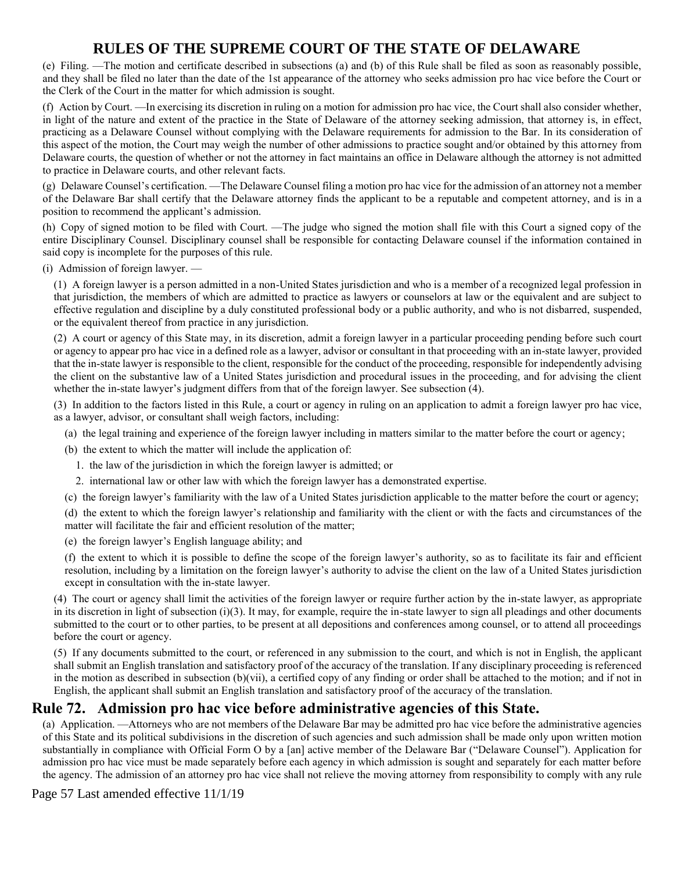(e) Filing. —The motion and certificate described in subsections (a) and (b) of this Rule shall be filed as soon as reasonably possible, and they shall be filed no later than the date of the 1st appearance of the attorney who seeks admission pro hac vice before the Court or the Clerk of the Court in the matter for which admission is sought.

(f) Action by Court. —In exercising its discretion in ruling on a motion for admission pro hac vice, the Court shall also consider whether, in light of the nature and extent of the practice in the State of Delaware of the attorney seeking admission, that attorney is, in effect, practicing as a Delaware Counsel without complying with the Delaware requirements for admission to the Bar. In its consideration of this aspect of the motion, the Court may weigh the number of other admissions to practice sought and/or obtained by this attorney from Delaware courts, the question of whether or not the attorney in fact maintains an office in Delaware although the attorney is not admitted to practice in Delaware courts, and other relevant facts.

(g) Delaware Counsel's certification. —The Delaware Counsel filing a motion pro hac vice for the admission of an attorney not a member of the Delaware Bar shall certify that the Delaware attorney finds the applicant to be a reputable and competent attorney, and is in a position to recommend the applicant's admission.

(h) Copy of signed motion to be filed with Court. —The judge who signed the motion shall file with this Court a signed copy of the entire Disciplinary Counsel. Disciplinary counsel shall be responsible for contacting Delaware counsel if the information contained in said copy is incomplete for the purposes of this rule.

(i) Admission of foreign lawyer. —

(1) A foreign lawyer is a person admitted in a non-United States jurisdiction and who is a member of a recognized legal profession in that jurisdiction, the members of which are admitted to practice as lawyers or counselors at law or the equivalent and are subject to effective regulation and discipline by a duly constituted professional body or a public authority, and who is not disbarred, suspended, or the equivalent thereof from practice in any jurisdiction.

(2) A court or agency of this State may, in its discretion, admit a foreign lawyer in a particular proceeding pending before such court or agency to appear pro hac vice in a defined role as a lawyer, advisor or consultant in that proceeding with an in-state lawyer, provided that the in-state lawyer is responsible to the client, responsible for the conduct of the proceeding, responsible for independently advising the client on the substantive law of a United States jurisdiction and procedural issues in the proceeding, and for advising the client whether the in-state lawyer's judgment differs from that of the foreign lawyer. See subsection (4).

(3) In addition to the factors listed in this Rule, a court or agency in ruling on an application to admit a foreign lawyer pro hac vice, as a lawyer, advisor, or consultant shall weigh factors, including:

- (a) the legal training and experience of the foreign lawyer including in matters similar to the matter before the court or agency;
- (b) the extent to which the matter will include the application of:
	- 1. the law of the jurisdiction in which the foreign lawyer is admitted; or
	- 2. international law or other law with which the foreign lawyer has a demonstrated expertise.
- (c) the foreign lawyer's familiarity with the law of a United States jurisdiction applicable to the matter before the court or agency;

(d) the extent to which the foreign lawyer's relationship and familiarity with the client or with the facts and circumstances of the matter will facilitate the fair and efficient resolution of the matter;

(e) the foreign lawyer's English language ability; and

(f) the extent to which it is possible to define the scope of the foreign lawyer's authority, so as to facilitate its fair and efficient resolution, including by a limitation on the foreign lawyer's authority to advise the client on the law of a United States jurisdiction except in consultation with the in-state lawyer.

(4) The court or agency shall limit the activities of the foreign lawyer or require further action by the in-state lawyer, as appropriate in its discretion in light of subsection  $(i)(3)$ . It may, for example, require the in-state lawyer to sign all pleadings and other documents submitted to the court or to other parties, to be present at all depositions and conferences among counsel, or to attend all proceedings before the court or agency.

(5) If any documents submitted to the court, or referenced in any submission to the court, and which is not in English, the applicant shall submit an English translation and satisfactory proof of the accuracy of the translation. If any disciplinary proceeding is referenced in the motion as described in subsection  $(b)(vi)$ , a certified copy of any finding or order shall be attached to the motion; and if not in English, the applicant shall submit an English translation and satisfactory proof of the accuracy of the translation.

### **Rule 72. Admission pro hac vice before administrative agencies of this State.**

(a) Application. —Attorneys who are not members of the Delaware Bar may be admitted pro hac vice before the administrative agencies of this State and its political subdivisions in the discretion of such agencies and such admission shall be made only upon written motion substantially in compliance with Official Form O by a [an] active member of the Delaware Bar ("Delaware Counsel"). Application for admission pro hac vice must be made separately before each agency in which admission is sought and separately for each matter before the agency. The admission of an attorney pro hac vice shall not relieve the moving attorney from responsibility to comply with any rule

Page 57 Last amended effective 11/1/19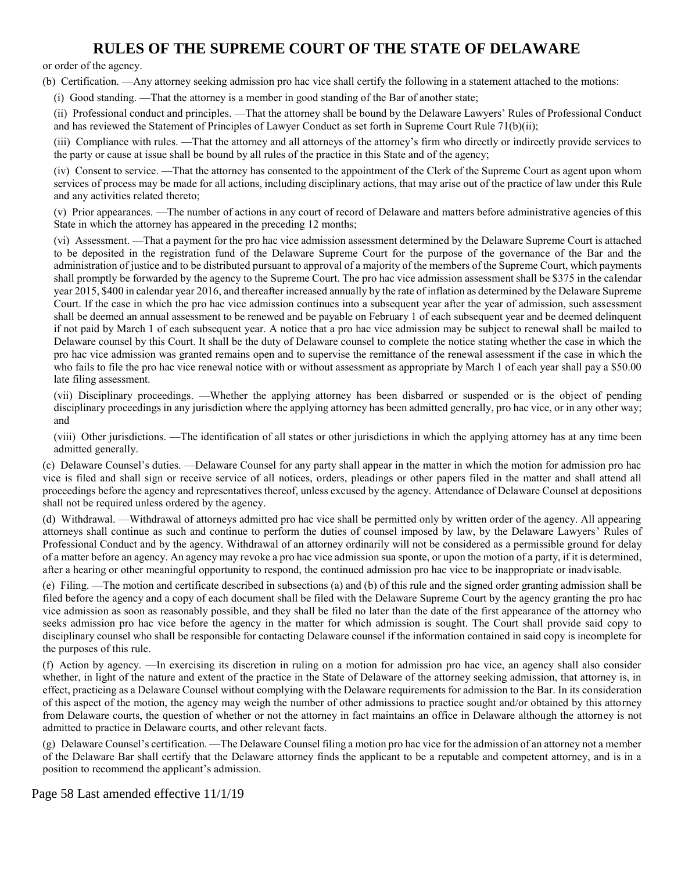or order of the agency.

(b) Certification. —Any attorney seeking admission pro hac vice shall certify the following in a statement attached to the motions:

(i) Good standing. —That the attorney is a member in good standing of the Bar of another state;

(ii) Professional conduct and principles. —That the attorney shall be bound by the Delaware Lawyers' Rules of Professional Conduct and has reviewed the Statement of Principles of Lawyer Conduct as set forth in Supreme Court Rule 71(b)(ii);

(iii) Compliance with rules. —That the attorney and all attorneys of the attorney's firm who directly or indirectly provide services to the party or cause at issue shall be bound by all rules of the practice in this State and of the agency;

(iv) Consent to service. —That the attorney has consented to the appointment of the Clerk of the Supreme Court as agent upon whom services of process may be made for all actions, including disciplinary actions, that may arise out of the practice of law under this Rule and any activities related thereto;

(v) Prior appearances. —The number of actions in any court of record of Delaware and matters before administrative agencies of this State in which the attorney has appeared in the preceding 12 months;

(vi) Assessment. —That a payment for the pro hac vice admission assessment determined by the Delaware Supreme Court is attached to be deposited in the registration fund of the Delaware Supreme Court for the purpose of the governance of the Bar and the administration of justice and to be distributed pursuant to approval of a majority of the members of the Supreme Court, which payments shall promptly be forwarded by the agency to the Supreme Court. The pro hac vice admission assessment shall be \$375 in the calendar year 2015, \$400 in calendar year 2016, and thereafter increased annually by the rate of inflation as determined by the Delaware Supreme Court. If the case in which the pro hac vice admission continues into a subsequent year after the year of admission, such assessment shall be deemed an annual assessment to be renewed and be payable on February 1 of each subsequent year and be deemed delinquent if not paid by March 1 of each subsequent year. A notice that a pro hac vice admission may be subject to renewal shall be mailed to Delaware counsel by this Court. It shall be the duty of Delaware counsel to complete the notice stating whether the case in which the pro hac vice admission was granted remains open and to supervise the remittance of the renewal assessment if the case in which the who fails to file the pro hac vice renewal notice with or without assessment as appropriate by March 1 of each year shall pay a \$50.00 late filing assessment.

(vii) Disciplinary proceedings. —Whether the applying attorney has been disbarred or suspended or is the object of pending disciplinary proceedings in any jurisdiction where the applying attorney has been admitted generally, pro hac vice, or in any other way; and

(viii) Other jurisdictions. —The identification of all states or other jurisdictions in which the applying attorney has at any time been admitted generally.

(c) Delaware Counsel's duties. —Delaware Counsel for any party shall appear in the matter in which the motion for admission pro hac vice is filed and shall sign or receive service of all notices, orders, pleadings or other papers filed in the matter and shall attend all proceedings before the agency and representatives thereof, unless excused by the agency. Attendance of Delaware Counsel at depositions shall not be required unless ordered by the agency.

(d) Withdrawal. —Withdrawal of attorneys admitted pro hac vice shall be permitted only by written order of the agency. All appearing attorneys shall continue as such and continue to perform the duties of counsel imposed by law, by the Delaware Lawyers' Rules of Professional Conduct and by the agency. Withdrawal of an attorney ordinarily will not be considered as a permissible ground for delay of a matter before an agency. An agency may revoke a pro hac vice admission sua sponte, or upon the motion of a party, if it is determined, after a hearing or other meaningful opportunity to respond, the continued admission pro hac vice to be inappropriate or inadvisable.

(e) Filing. —The motion and certificate described in subsections (a) and (b) of this rule and the signed order granting admission shall be filed before the agency and a copy of each document shall be filed with the Delaware Supreme Court by the agency granting the pro hac vice admission as soon as reasonably possible, and they shall be filed no later than the date of the first appearance of the attorney who seeks admission pro hac vice before the agency in the matter for which admission is sought. The Court shall provide said copy to disciplinary counsel who shall be responsible for contacting Delaware counsel if the information contained in said copy is incomplete for the purposes of this rule.

(f) Action by agency. —In exercising its discretion in ruling on a motion for admission pro hac vice, an agency shall also consider whether, in light of the nature and extent of the practice in the State of Delaware of the attorney seeking admission, that attorney is, in effect, practicing as a Delaware Counsel without complying with the Delaware requirements for admission to the Bar. In its consideration of this aspect of the motion, the agency may weigh the number of other admissions to practice sought and/or obtained by this attorney from Delaware courts, the question of whether or not the attorney in fact maintains an office in Delaware although the attorney is not admitted to practice in Delaware courts, and other relevant facts.

(g) Delaware Counsel's certification. —The Delaware Counsel filing a motion pro hac vice for the admission of an attorney not a member of the Delaware Bar shall certify that the Delaware attorney finds the applicant to be a reputable and competent attorney, and is in a position to recommend the applicant's admission.

Page 58 Last amended effective 11/1/19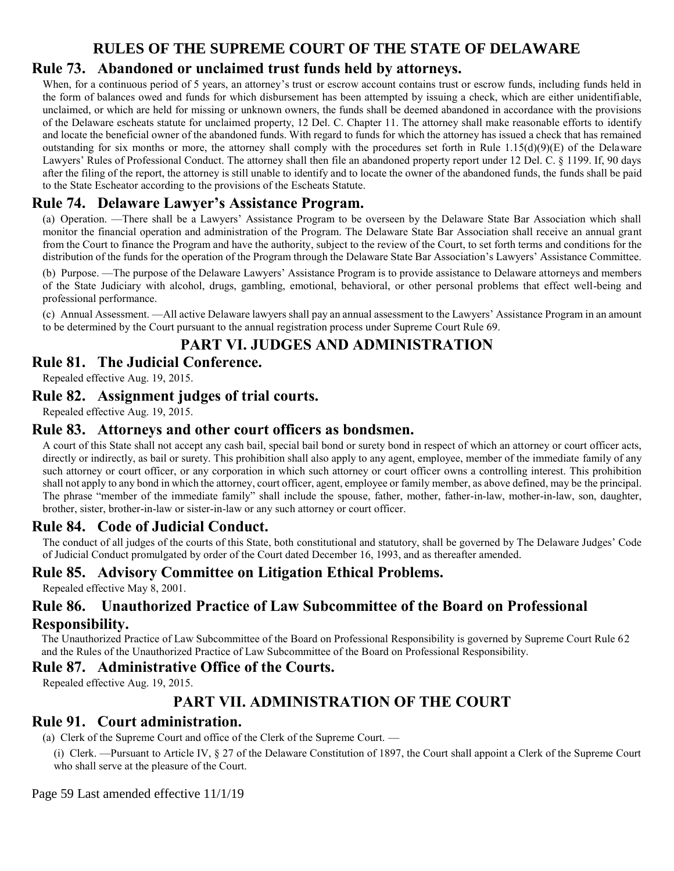# **Rule 73. Abandoned or unclaimed trust funds held by attorneys.**

When, for a continuous period of 5 years, an attorney's trust or escrow account contains trust or escrow funds, including funds held in the form of balances owed and funds for which disbursement has been attempted by issuing a check, which are either unidentifiable, unclaimed, or which are held for missing or unknown owners, the funds shall be deemed abandoned in accordance with the provisions of the Delaware escheats statute for unclaimed property, 12 Del. C. Chapter 11. The attorney shall make reasonable efforts to identify and locate the beneficial owner of the abandoned funds. With regard to funds for which the attorney has issued a check that has remained outstanding for six months or more, the attorney shall comply with the procedures set forth in Rule  $1.15(d)(9)(E)$  of the Delaware Lawyers' Rules of Professional Conduct. The attorney shall then file an abandoned property report under 12 Del. C. § 1199. If, 90 days after the filing of the report, the attorney is still unable to identify and to locate the owner of the abandoned funds, the funds shall be paid to the State Escheator according to the provisions of the Escheats Statute.

# **Rule 74. Delaware Lawyer's Assistance Program.**

(a) Operation. —There shall be a Lawyers' Assistance Program to be overseen by the Delaware State Bar Association which shall monitor the financial operation and administration of the Program. The Delaware State Bar Association shall receive an annual grant from the Court to finance the Program and have the authority, subject to the review of the Court, to set forth terms and conditions for the distribution of the funds for the operation of the Program through the Delaware State Bar Association's Lawyers' Assistance Committee.

(b) Purpose. —The purpose of the Delaware Lawyers' Assistance Program is to provide assistance to Delaware attorneys and members of the State Judiciary with alcohol, drugs, gambling, emotional, behavioral, or other personal problems that effect well-being and professional performance.

(c) Annual Assessment. —All active Delaware lawyers shall pay an annual assessment to the Lawyers' Assistance Program in an amount to be determined by the Court pursuant to the annual registration process under Supreme Court Rule 69.

# **PART VI. JUDGES AND ADMINISTRATION**

**Rule 81. The Judicial Conference.**

Repealed effective Aug. 19, 2015.

#### **Rule 82. Assignment judges of trial courts.**

Repealed effective Aug. 19, 2015.

#### **Rule 83. Attorneys and other court officers as bondsmen.**

A court of this State shall not accept any cash bail, special bail bond or surety bond in respect of which an attorney or court officer acts, directly or indirectly, as bail or surety. This prohibition shall also apply to any agent, employee, member of the immediate family of any such attorney or court officer, or any corporation in which such attorney or court officer owns a controlling interest. This prohibition shall not apply to any bond in which the attorney, court officer, agent, employee or family member, as above defined, may be the principal. The phrase "member of the immediate family" shall include the spouse, father, mother, father-in-law, mother-in-law, son, daughter, brother, sister, brother-in-law or sister-in-law or any such attorney or court officer.

## **Rule 84. Code of Judicial Conduct.**

The conduct of all judges of the courts of this State, both constitutional and statutory, shall be governed by The Delaware Judges' Code of Judicial Conduct promulgated by order of the Court dated December 16, 1993, and as thereafter amended.

## **Rule 85. Advisory Committee on Litigation Ethical Problems.**

Repealed effective May 8, 2001.

### **Rule 86. Unauthorized Practice of Law Subcommittee of the Board on Professional Responsibility.**

The Unauthorized Practice of Law Subcommittee of the Board on Professional Responsibility is governed by Supreme Court Rule 62 and the Rules of the Unauthorized Practice of Law Subcommittee of the Board on Professional Responsibility.

#### **Rule 87. Administrative Office of the Courts.**

Repealed effective Aug. 19, 2015.

## **PART VII. ADMINISTRATION OF THE COURT**

### **Rule 91. Court administration.**

(a) Clerk of the Supreme Court and office of the Clerk of the Supreme Court. —

(i) Clerk. —Pursuant to Article IV, § 27 of the Delaware Constitution of 1897, the Court shall appoint a Clerk of the Supreme Court who shall serve at the pleasure of the Court.

Page 59 Last amended effective 11/1/19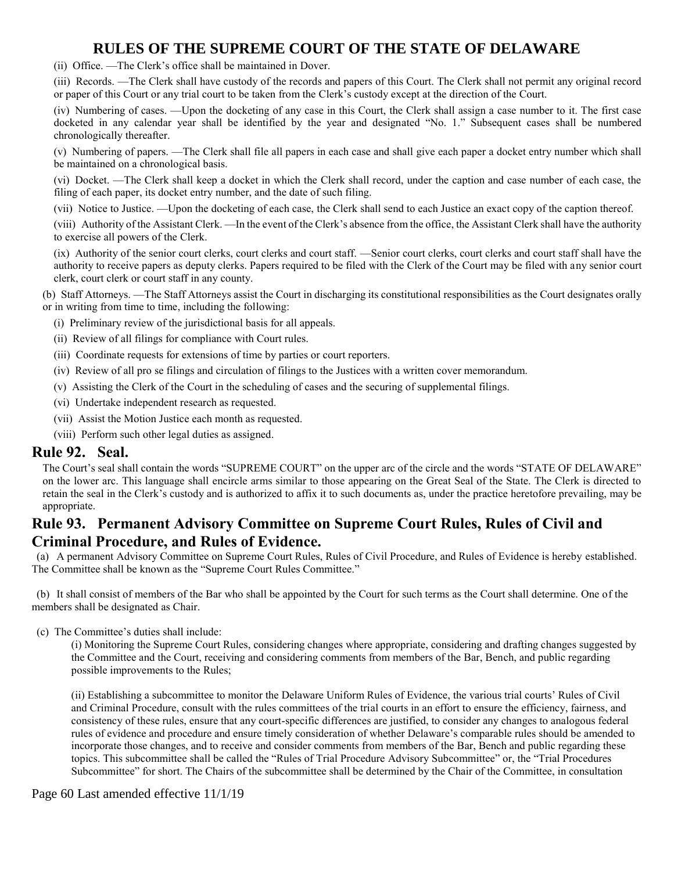(ii) Office. —The Clerk's office shall be maintained in Dover.

(iii) Records. —The Clerk shall have custody of the records and papers of this Court. The Clerk shall not permit any original record or paper of this Court or any trial court to be taken from the Clerk's custody except at the direction of the Court.

(iv) Numbering of cases. —Upon the docketing of any case in this Court, the Clerk shall assign a case number to it. The first case docketed in any calendar year shall be identified by the year and designated "No. 1." Subsequent cases shall be numbered chronologically thereafter.

(v) Numbering of papers. —The Clerk shall file all papers in each case and shall give each paper a docket entry number which shall be maintained on a chronological basis.

(vi) Docket. —The Clerk shall keep a docket in which the Clerk shall record, under the caption and case number of each case, the filing of each paper, its docket entry number, and the date of such filing.

(vii) Notice to Justice. —Upon the docketing of each case, the Clerk shall send to each Justice an exact copy of the caption thereof.

(viii) Authority of the Assistant Clerk. —In the event of the Clerk's absence from the office, the Assistant Clerk shall have the authority to exercise all powers of the Clerk.

(ix) Authority of the senior court clerks, court clerks and court staff. —Senior court clerks, court clerks and court staff shall have the authority to receive papers as deputy clerks. Papers required to be filed with the Clerk of the Court may be filed with any senior court clerk, court clerk or court staff in any county.

(b) Staff Attorneys. —The Staff Attorneys assist the Court in discharging its constitutional responsibilities as the Court designates orally or in writing from time to time, including the following:

- (i) Preliminary review of the jurisdictional basis for all appeals.
- (ii) Review of all filings for compliance with Court rules.
- (iii) Coordinate requests for extensions of time by parties or court reporters.
- (iv) Review of all pro se filings and circulation of filings to the Justices with a written cover memorandum.
- (v) Assisting the Clerk of the Court in the scheduling of cases and the securing of supplemental filings.
- (vi) Undertake independent research as requested.
- (vii) Assist the Motion Justice each month as requested.
- (viii) Perform such other legal duties as assigned.

#### **Rule 92. Seal.**

The Court's seal shall contain the words "SUPREME COURT" on the upper arc of the circle and the words "STATE OF DELAWARE" on the lower arc. This language shall encircle arms similar to those appearing on the Great Seal of the State. The Clerk is directed to retain the seal in the Clerk's custody and is authorized to affix it to such documents as, under the practice heretofore prevailing, may be appropriate.

### **Rule 93. Permanent Advisory Committee on Supreme Court Rules, Rules of Civil and Criminal Procedure, and Rules of Evidence.**

(a) A permanent Advisory Committee on Supreme Court Rules, Rules of Civil Procedure, and Rules of Evidence is hereby established. The Committee shall be known as the "Supreme Court Rules Committee."

(b) It shall consist of members of the Bar who shall be appointed by the Court for such terms as the Court shall determine. One of the members shall be designated as Chair.

(c) The Committee's duties shall include:

(i) Monitoring the Supreme Court Rules, considering changes where appropriate, considering and drafting changes suggested by the Committee and the Court, receiving and considering comments from members of the Bar, Bench, and public regarding possible improvements to the Rules;

(ii) Establishing a subcommittee to monitor the Delaware Uniform Rules of Evidence, the various trial courts' Rules of Civil and Criminal Procedure, consult with the rules committees of the trial courts in an effort to ensure the efficiency, fairness, and consistency of these rules, ensure that any court-specific differences are justified, to consider any changes to analogous federal rules of evidence and procedure and ensure timely consideration of whether Delaware's comparable rules should be amended to incorporate those changes, and to receive and consider comments from members of the Bar, Bench and public regarding these topics. This subcommittee shall be called the "Rules of Trial Procedure Advisory Subcommittee" or, the "Trial Procedures Subcommittee" for short. The Chairs of the subcommittee shall be determined by the Chair of the Committee, in consultation

#### Page 60 Last amended effective 11/1/19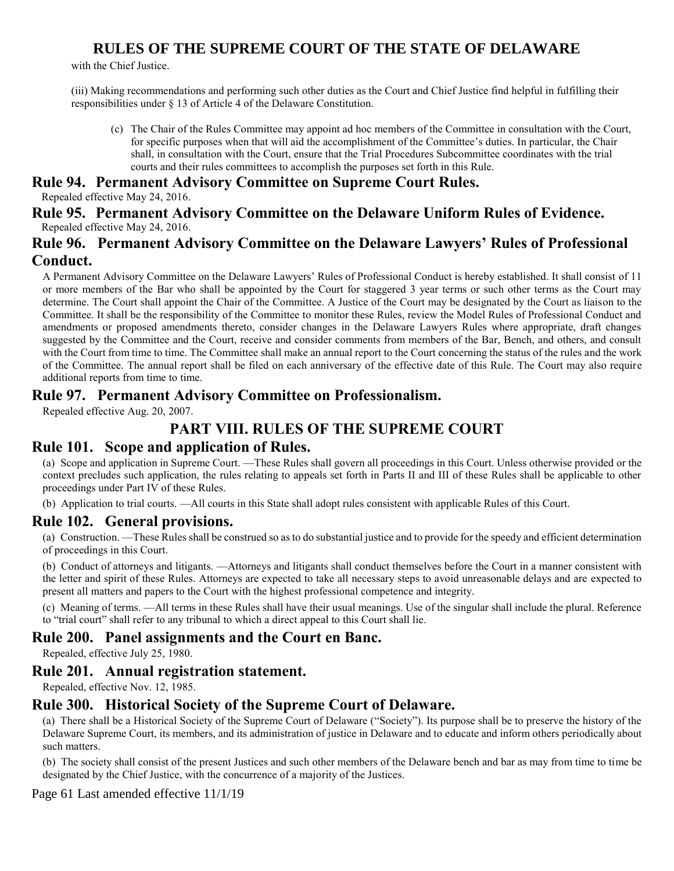with the Chief Justice.

(iii) Making recommendations and performing such other duties as the Court and Chief Justice find helpful in fulfilling their responsibilities under § 13 of Article 4 of the Delaware Constitution.

(c) The Chair of the Rules Committee may appoint ad hoc members of the Committee in consultation with the Court, for specific purposes when that will aid the accomplishment of the Committee's duties. In particular, the Chair shall, in consultation with the Court, ensure that the Trial Procedures Subcommittee coordinates with the trial courts and their rules committees to accomplish the purposes set forth in this Rule.

#### **Rule 94. Permanent Advisory Committee on Supreme Court Rules.**

Repealed effective May 24, 2016.

**Rule 95. Permanent Advisory Committee on the Delaware Uniform Rules of Evidence.** Repealed effective May 24, 2016.

#### **Rule 96. Permanent Advisory Committee on the Delaware Lawyers' Rules of Professional Conduct.**

A Permanent Advisory Committee on the Delaware Lawyers' Rules of Professional Conduct is hereby established. It shall consist of 11 or more members of the Bar who shall be appointed by the Court for staggered 3 year terms or such other terms as the Court may determine. The Court shall appoint the Chair of the Committee. A Justice of the Court may be designated by the Court as liaison to the Committee. It shall be the responsibility of the Committee to monitor these Rules, review the Model Rules of Professional Conduct and amendments or proposed amendments thereto, consider changes in the Delaware Lawyers Rules where appropriate, draft changes suggested by the Committee and the Court, receive and consider comments from members of the Bar, Bench, and others, and consult with the Court from time to time. The Committee shall make an annual report to the Court concerning the status of the rules and the work of the Committee. The annual report shall be filed on each anniversary of the effective date of this Rule. The Court may also require additional reports from time to time.

#### **Rule 97. Permanent Advisory Committee on Professionalism.**

Repealed effective Aug. 20, 2007.

## **PART VIII. RULES OF THE SUPREME COURT**

### **Rule 101. Scope and application of Rules.**

(a) Scope and application in Supreme Court. —These Rules shall govern all proceedings in this Court. Unless otherwise provided or the context precludes such application, the rules relating to appeals set forth in Parts II and III of these Rules shall be applicable to other proceedings under Part IV of these Rules.

(b) Application to trial courts. —All courts in this State shall adopt rules consistent with applicable Rules of this Court.

#### **Rule 102. General provisions.**

(a) Construction. —These Rules shall be construed so as to do substantial justice and to provide for the speedy and efficient determination of proceedings in this Court.

(b) Conduct of attorneys and litigants. —Attorneys and litigants shall conduct themselves before the Court in a manner consistent with the letter and spirit of these Rules. Attorneys are expected to take all necessary steps to avoid unreasonable delays and are expected to present all matters and papers to the Court with the highest professional competence and integrity.

(c) Meaning of terms. —All terms in these Rules shall have their usual meanings. Use of the singular shall include the plural. Reference to "trial court" shall refer to any tribunal to which a direct appeal to this Court shall lie.

### **Rule 200. Panel assignments and the Court en Banc.**

Repealed, effective July 25, 1980.

#### **Rule 201. Annual registration statement.**

Repealed, effective Nov. 12, 1985.

#### **Rule 300. Historical Society of the Supreme Court of Delaware.**

(a) There shall be a Historical Society of the Supreme Court of Delaware ("Society"). Its purpose shall be to preserve the history of the Delaware Supreme Court, its members, and its administration of justice in Delaware and to educate and inform others periodically about such matters.

(b) The society shall consist of the present Justices and such other members of the Delaware bench and bar as may from time to time be designated by the Chief Justice, with the concurrence of a majority of the Justices.

Page 61 Last amended effective 11/1/19